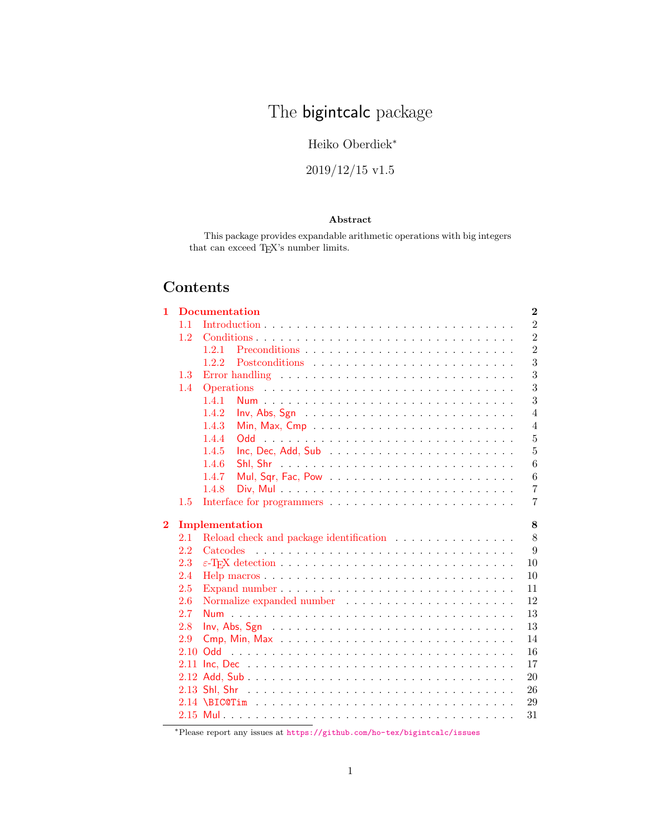# The **bigintcalc** package

### Heiko Oberdiek<sup>∗</sup>

## 2019/12/15 v1.5

### Abstract

This package provides expandable arithmetic operations with big integers that can exceed TgX's number limits. <br> <br> $\;$ 

# Contents

| 1              |                  | <b>Documentation</b><br>$\bf{2}$                                                            |  |  |  |  |  |
|----------------|------------------|---------------------------------------------------------------------------------------------|--|--|--|--|--|
|                | 1.1              | $\overline{2}$                                                                              |  |  |  |  |  |
|                | 1.2 <sub>1</sub> | $\overline{2}$                                                                              |  |  |  |  |  |
|                |                  | $\overline{2}$<br>1.2.1                                                                     |  |  |  |  |  |
|                |                  | 3<br>1.2.2                                                                                  |  |  |  |  |  |
|                | 1.3              | 3<br>Error handling $\ldots \ldots \ldots \ldots \ldots \ldots \ldots \ldots \ldots \ldots$ |  |  |  |  |  |
|                | 1.4              | 3                                                                                           |  |  |  |  |  |
|                |                  | 3<br>1.4.1                                                                                  |  |  |  |  |  |
|                |                  | $\overline{4}$<br>1.4.2<br>$Inv, Abs, Sgn            $                                      |  |  |  |  |  |
|                |                  | 1.4.3<br>$\overline{4}$                                                                     |  |  |  |  |  |
|                |                  | $\overline{5}$<br>1.4.4                                                                     |  |  |  |  |  |
|                |                  | $\overline{5}$<br>1.4.5                                                                     |  |  |  |  |  |
|                |                  | 6<br>1.4.6                                                                                  |  |  |  |  |  |
|                |                  | 1.4.7<br>6                                                                                  |  |  |  |  |  |
|                |                  | $\overline{7}$<br>1.4.8                                                                     |  |  |  |  |  |
|                | 1.5              | 7                                                                                           |  |  |  |  |  |
|                |                  |                                                                                             |  |  |  |  |  |
|                |                  |                                                                                             |  |  |  |  |  |
| $\overline{2}$ | 2.1              | Implementation<br>8                                                                         |  |  |  |  |  |
|                | 2.2              | 8<br>9<br><i>Catcodes</i>                                                                   |  |  |  |  |  |
|                | 2.3              | 10                                                                                          |  |  |  |  |  |
|                | 2.4              | 10                                                                                          |  |  |  |  |  |
|                | 2.5              | 11                                                                                          |  |  |  |  |  |
|                | 2.6              | 12                                                                                          |  |  |  |  |  |
|                | 2.7              | 13                                                                                          |  |  |  |  |  |
|                | 2.8              | 13                                                                                          |  |  |  |  |  |
|                | 2.9              | 14                                                                                          |  |  |  |  |  |
|                |                  | 16                                                                                          |  |  |  |  |  |
|                |                  | 17                                                                                          |  |  |  |  |  |
|                |                  | 20                                                                                          |  |  |  |  |  |
|                |                  | 26                                                                                          |  |  |  |  |  |
|                |                  | 29                                                                                          |  |  |  |  |  |
|                |                  | 31                                                                                          |  |  |  |  |  |

<sup>∗</sup>Please report any issues at <https://github.com/ho-tex/bigintcalc/issues>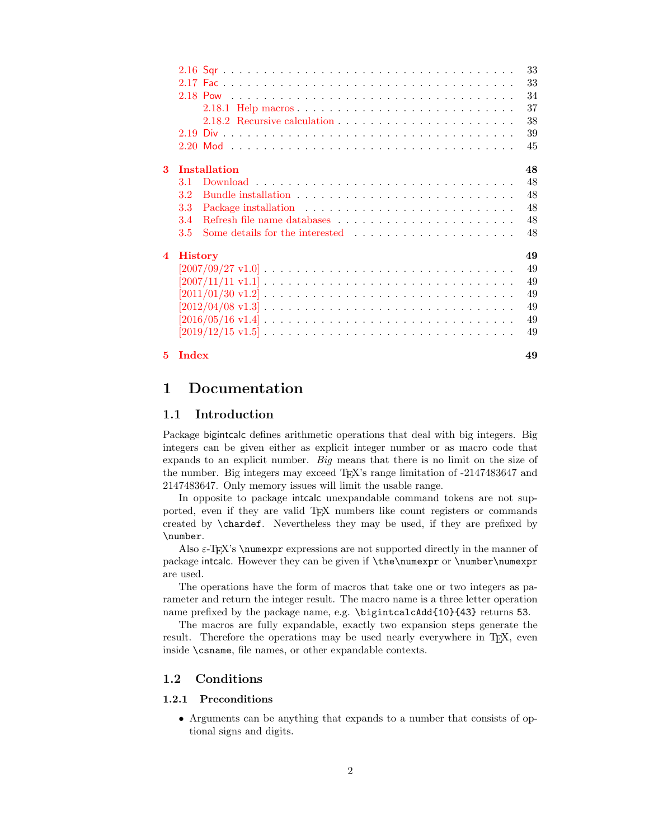|          |                |                                                                                                                 | 33 |
|----------|----------------|-----------------------------------------------------------------------------------------------------------------|----|
|          |                |                                                                                                                 | 33 |
|          |                |                                                                                                                 | 34 |
|          |                |                                                                                                                 | 37 |
|          |                |                                                                                                                 | 38 |
|          |                |                                                                                                                 | 39 |
|          |                |                                                                                                                 | 45 |
| $\bf{3}$ |                | Installation                                                                                                    | 48 |
|          | 3.1            |                                                                                                                 | 48 |
|          | 3.2            |                                                                                                                 | 48 |
|          | 3.3            |                                                                                                                 | 48 |
|          | 3.4            |                                                                                                                 | 48 |
|          | 3.5            |                                                                                                                 | 48 |
| 4        | <b>History</b> |                                                                                                                 | 49 |
|          |                |                                                                                                                 | 49 |
|          |                |                                                                                                                 | 49 |
|          |                |                                                                                                                 | 49 |
|          |                |                                                                                                                 | 49 |
|          |                |                                                                                                                 | 49 |
|          |                | $[2019/12/15 \text{ v}1.5] \ldots \ldots \ldots \ldots \ldots \ldots \ldots \ldots \ldots \ldots \ldots \ldots$ | 49 |
|          | $5$ Index      |                                                                                                                 | 49 |

### <span id="page-1-0"></span>1 Documentation

### <span id="page-1-1"></span>1.1 Introduction

Package bigintcalc defines arithmetic operations that deal with big integers. Big integers can be given either as explicit integer number or as macro code that expands to an explicit number. Big means that there is no limit on the size of the number. Big integers may exceed TEX's range limitation of -2147483647 and 2147483647. Only memory issues will limit the usable range.

In opposite to package intcalc unexpandable command tokens are not supported, even if they are valid TEX numbers like count registers or commands created by \chardef. Nevertheless they may be used, if they are prefixed by \number.

Also  $\varepsilon$ -T<sub>E</sub>X's \numexpr expressions are not supported directly in the manner of package intcalc. However they can be given if \the\numexpr or \number\numexpr are used.

The operations have the form of macros that take one or two integers as parameter and return the integer result. The macro name is a three letter operation name prefixed by the package name, e.g. \bigintcalcAdd{10}{43} returns 53.

The macros are fully expandable, exactly two expansion steps generate the result. Therefore the operations may be used nearly everywhere in T<sub>E</sub>X, even inside \csname, file names, or other expandable contexts.

### <span id="page-1-2"></span>1.2 Conditions

#### <span id="page-1-3"></span>1.2.1 Preconditions

• Arguments can be anything that expands to a number that consists of optional signs and digits.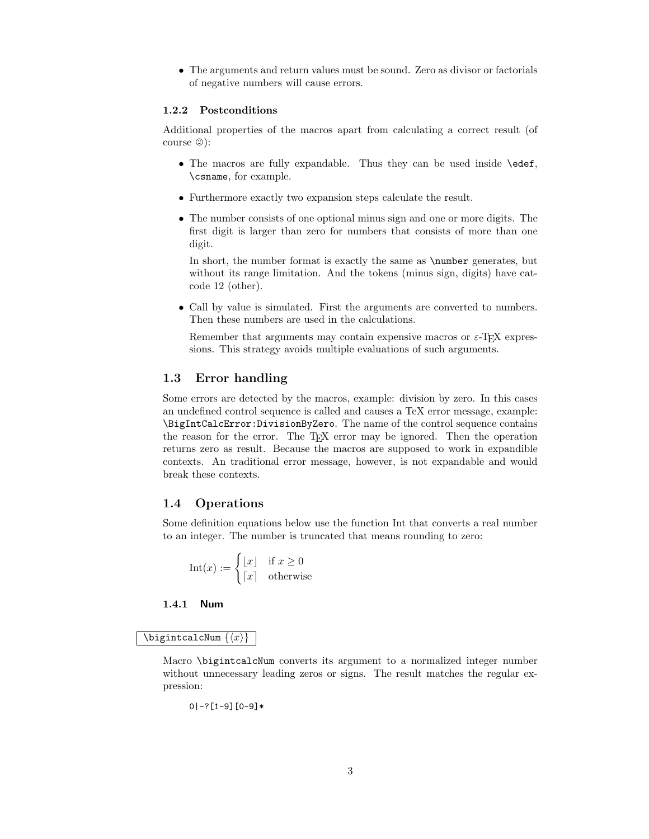• The arguments and return values must be sound. Zero as divisor or factorials of negative numbers will cause errors.

#### <span id="page-2-0"></span>1.2.2 Postconditions

Additional properties of the macros apart from calculating a correct result (of course  $\circledcirc$ :

- The macros are fully expandable. Thus they can be used inside \edef, \csname, for example.
- Furthermore exactly two expansion steps calculate the result.
- The number consists of one optional minus sign and one or more digits. The first digit is larger than zero for numbers that consists of more than one digit.

In short, the number format is exactly the same as  $\text{number}$  generates, but without its range limitation. And the tokens (minus sign, digits) have catcode 12 (other).

• Call by value is simulated. First the arguments are converted to numbers. Then these numbers are used in the calculations.

Remember that arguments may contain expensive macros or  $\varepsilon$ -TEX expressions. This strategy avoids multiple evaluations of such arguments.

### <span id="page-2-1"></span>1.3 Error handling

Some errors are detected by the macros, example: division by zero. In this cases an undefined control sequence is called and causes a TeX error message, example: \BigIntCalcError:DivisionByZero. The name of the control sequence contains the reason for the error. The T<sub>E</sub>X error may be ignored. Then the operation returns zero as result. Because the macros are supposed to work in expandible contexts. An traditional error message, however, is not expandable and would break these contexts.

### <span id="page-2-2"></span>1.4 Operations

Some definition equations below use the function Int that converts a real number to an integer. The number is truncated that means rounding to zero:

$$
Int(x) := \begin{cases} \lfloor x \rfloor & \text{if } x \ge 0\\ \lceil x \rceil & \text{otherwise} \end{cases}
$$

### <span id="page-2-3"></span>1.4.1 Num

#### <span id="page-2-4"></span> $\big\{\langle x\rangle\big\}$

Macro \bigintcalcNum converts its argument to a normalized integer number without unnecessary leading zeros or signs. The result matches the regular expression:

$$
0 \mid -? \left[ 1 - 9 \right] \left[ 0 - 9 \right] *
$$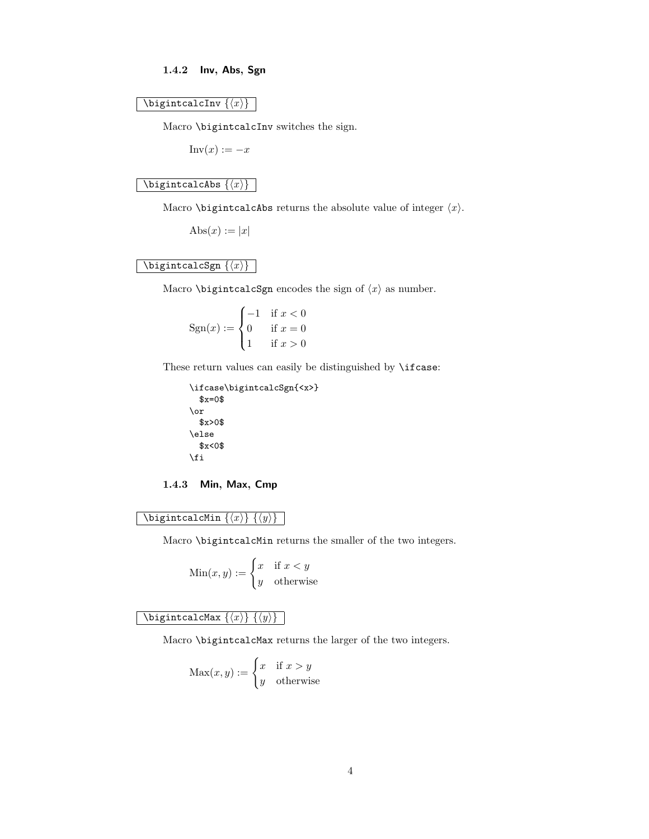### <span id="page-3-0"></span>1.4.2 Inv, Abs, Sgn

#### <span id="page-3-3"></span> $\big\{\langle x\rangle\}$

Macro \bigintcalcInv switches the sign.

 $Inv(x) := -x$ 

### <span id="page-3-2"></span>\bigintcalcAbs  $\{\langle x \rangle\}$  |

Macro \bigintcalcAbs returns the absolute value of integer  $\langle x \rangle$ .

 $\text{Abs}(x) := |x|$ 

### <span id="page-3-6"></span>\bigintcalcSgn  $\{\langle x \rangle\}$  |

Macro \bigintcalcSgn encodes the sign of  $\langle x \rangle$  as number.

$$
Sgn(x) := \begin{cases} -1 & \text{if } x < 0\\ 0 & \text{if } x = 0\\ 1 & \text{if } x > 0 \end{cases}
$$

These return values can easily be distinguished by \ifcase:

```
\ifcase\bigintcalcSgn{<x>}
  x=0$
\or
  $x>0$
\else
  $x<0$
\fi
```
### <span id="page-3-1"></span>1.4.3 Min, Max, Cmp

<span id="page-3-5"></span>\bigintcalcMin  $\{\langle x \rangle\}$   $\{\langle y \rangle\}$ 

Macro \bigintcalcMin returns the smaller of the two integers.

$$
Min(x, y) := \begin{cases} x & \text{if } x < y \\ y & \text{otherwise} \end{cases}
$$

<span id="page-3-4"></span> $\big\{\langle b \rangle \} \left\{ \langle y \rangle \right\}$ 

Macro \bigintcalcMax returns the larger of the two integers.

$$
\operatorname{Max}(x, y) := \begin{cases} x & \text{if } x > y \\ y & \text{otherwise} \end{cases}
$$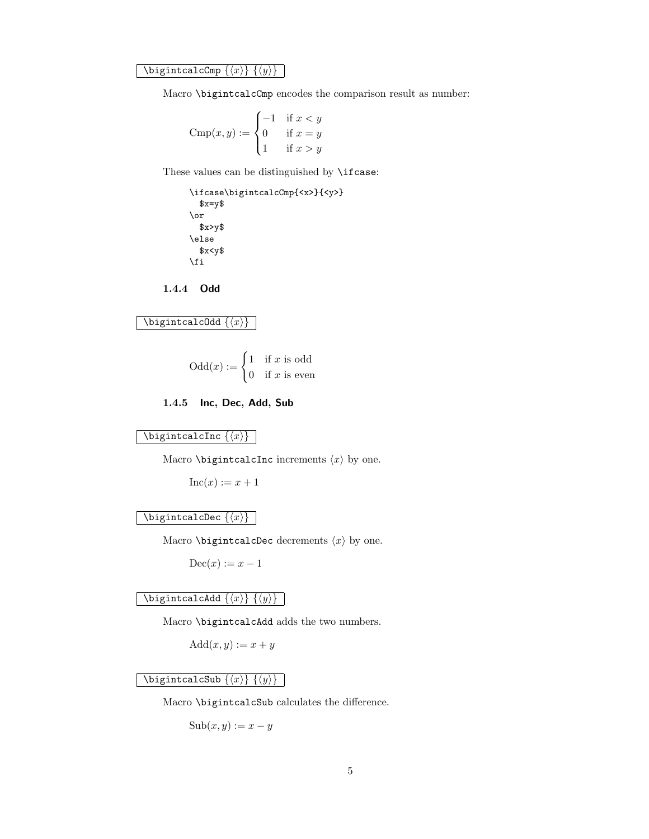<span id="page-4-3"></span>\bigintcalcCmp  $\{\langle x \rangle\}$   $\{\langle y \rangle\}$ 

Macro \bigintcalcCmp encodes the comparison result as number:

$$
\text{Cmp}(x, y) := \begin{cases} -1 & \text{if } x < y \\ 0 & \text{if } x = y \\ 1 & \text{if } x > y \end{cases}
$$

These values can be distinguished by \ifcase:

\ifcase\bigintcalcCmp{<x>}{<y>}  $x=y$ \$ \or \$x>y\$ \else  $x < y$ \$ \fi

<span id="page-4-0"></span>1.4.4 Odd

```
\bigintcalcOdd \{\langle x \rangle\}
```

$$
Odd(x) := \begin{cases} 1 & \text{if } x \text{ is odd} \\ 0 & \text{if } x \text{ is even} \end{cases}
$$

<span id="page-4-1"></span>1.4.5 Inc, Dec, Add, Sub

<span id="page-4-5"></span> $\big\{\langle x\rangle\big\}$ 

Macro \bigintcalcInc increments  $\langle x \rangle$  by one.

 $Inc(x) := x + 1$ 

### <span id="page-4-4"></span> $\big\{\langle x\rangle\big\}$

Macro \bigintcalcDec decrements  $\langle x \rangle$  by one.

 $\mathrm{Dec}(x) := x - 1$ 

### <span id="page-4-2"></span>\bigintcalcAdd  $\{\langle x \rangle\}$   $\{\langle y \rangle\}$

Macro \bigintcalcAdd adds the two numbers.

 $Add(x, y) := x + y$ 

### <span id="page-4-7"></span> $\big\{\langle x\rangle\}$   $\{\langle y\rangle\}$

Macro \bigintcalcSub calculates the difference.

 $\text{Sub}(x, y) := x - y$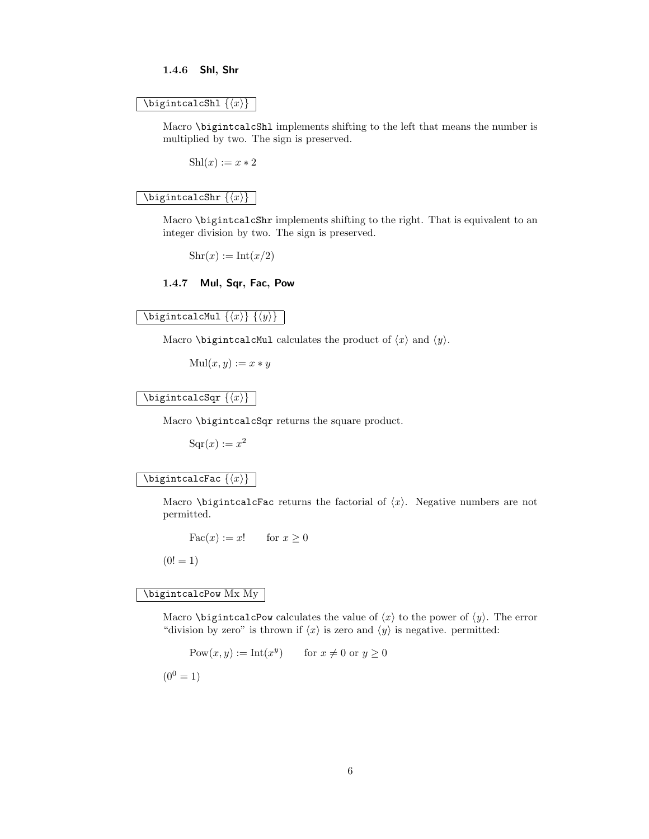#### <span id="page-5-0"></span>1.4.6 Shl, Shr

#### <span id="page-5-5"></span>\bigintcalcShl  $\{\langle x \rangle\}$

Macro \bigintcalcShl implements shifting to the left that means the number is multiplied by two. The sign is preserved.

 $Shl(x) := x * 2$ 

#### <span id="page-5-6"></span> $\big\{\langle x\rangle\big\}$  |

Macro \bigintcalcShr implements shifting to the right. That is equivalent to an integer division by two. The sign is preserved.

 $\text{Shr}(x) := \text{Int}(x/2)$ 

#### <span id="page-5-1"></span>1.4.7 Mul, Sqr, Fac, Pow

### <span id="page-5-3"></span>\bigintcalcMul  $\{\langle x \rangle\}$   $\{\langle y \rangle\}$

Macro \bigintcalcMul calculates the product of  $\langle x \rangle$  and  $\langle y \rangle$ .

 $Mul(x, y) := x * y$ 

### <span id="page-5-7"></span> $\big\{\langle x\rangle\big\}$

Macro \bigintcalcSqr returns the square product.

 $Sqr(x) := x^2$ 

#### <span id="page-5-2"></span> $\left\{ \left\langle x\right\rangle \right\}$   $\left\{ \left\langle x\right\rangle \right\}$

Macro \bigintcalcFac returns the factorial of  $\langle x \rangle$ . Negative numbers are not permitted.

$$
Fac(x) := x! \quad \text{for } x \ge 0
$$

 $(0! = 1)$ 

### <span id="page-5-4"></span>\bigintcalcPow Mx My

Macro **\bigintcalcPow** calculates the value of  $\langle x \rangle$  to the power of  $\langle y \rangle$ . The error "division by zero" is thrown if  $\langle x \rangle$  is zero and  $\langle y \rangle$  is negative. permitted:

$$
Pow(x, y) := Int(x^y) \qquad \text{for } x \neq 0 \text{ or } y \geq 0
$$

 $(0^0 = 1)$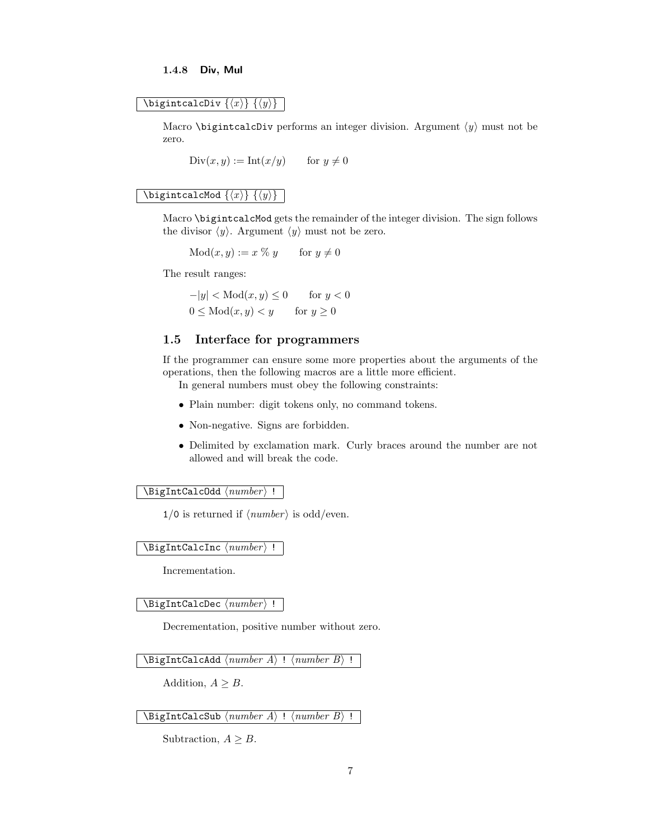#### <span id="page-6-0"></span>1.4.8 Div, Mul

### <span id="page-6-4"></span>\bigintcalcDiv  $\{\langle x \rangle\}$   $\{\langle y \rangle\}$

Macro \bigintcalcDiv performs an integer division. Argument  $\langle y \rangle$  must not be zero.

 $Div(x, y) := Int(x/y)$  for  $y \neq 0$ 

### <span id="page-6-6"></span> $\lambda$ bigintcalcMod  $\{\langle x \rangle\}$   $\{\langle y \rangle\}$

Macro \bigintcalcMod gets the remainder of the integer division. The sign follows the divisor  $\langle y \rangle$ . Argument  $\langle y \rangle$  must not be zero.

 $Mod(x, y) := x \; \% \; y$  for  $y \neq 0$ 

The result ranges:

 $-|y| < \text{Mod}(x, y) \leq 0$  for  $y < 0$  $0 \leq Mod(x, y) \leq y$  for  $y \geq 0$ 

### <span id="page-6-1"></span>1.5 Interface for programmers

If the programmer can ensure some more properties about the arguments of the operations, then the following macros are a little more efficient.

In general numbers must obey the following constraints:

- Plain number: digit tokens only, no command tokens.
- Non-negative. Signs are forbidden.
- Delimited by exclamation mark. Curly braces around the number are not allowed and will break the code.

#### <span id="page-6-7"></span> $\Big\{\Big\}$  /BigIntCalcOdd  $\langle number \rangle$  !

 $1/0$  is returned if  $\langle number \rangle$  is odd/even.

#### <span id="page-6-5"></span> $\Big\{\Big\}$  igIntCalcInc  $\langle number \rangle$  !

Incrementation.

#### <span id="page-6-3"></span> $\langle$ BigIntCalcDec  $\langle number \rangle$  !

Decrementation, positive number without zero.

<span id="page-6-2"></span> $\Big\{ \Big\}$  !  $\{ number A \}$  !  $\{ number B \}$  !

Addition,  $A \geq B$ .

<span id="page-6-8"></span> $\Big\backslash \texttt{BigIntCalcSub} \setminus \textit{number A} \Big\}$  !  $\Big\backslash \textit{number B} \Big\}$  !

Subtraction,  $A \geq B$ .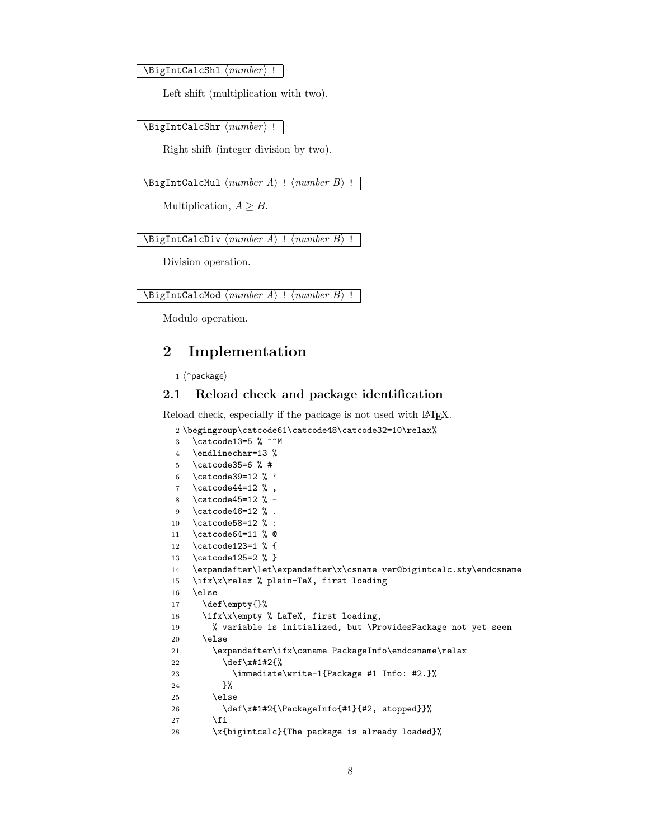<span id="page-7-5"></span> $\left\{ \text{D} \right\}$  is intermed in  $\left\{ \text{number} \right\}$  !

Left shift (multiplication with two).

<span id="page-7-6"></span> $\Big\langle$ BigIntCalcShr $\langle number \rangle$  !

Right shift (integer division by two).

<span id="page-7-4"></span> $\left\{ \Delta \right\}$  !  $\left\{ number\right\}$  !

Multiplication,  $A \geq B$ .

<span id="page-7-2"></span> $\Big\{ \Big\}$  !  $\{ number A \}$  !  $\{ number B \}$  !

Division operation.

```
\DeltaBigIntCalcMod \langle number A \rangle! \langle number B \rangle!
```
Modulo operation.

### <span id="page-7-0"></span>2 Implementation

```
1 \langle *packetackage\rangle
```
#### <span id="page-7-1"></span>2.1 Reload check and package identification

Reload check, especially if the package is not used with L<sup>AT</sup>EX.

```
2 \begingroup\catcode61\catcode48\catcode32=10\relax%
```

```
3 \catcode13=5 % ^^M
4 \endlinechar=13 %
5 \catcode35=6 % #
6 \catcode39=12 \% '
7 \catcode44=12 %,
8 \catcode45=12 % -
9 \catcode46=12 % .
10 \catcode58=12 % :
11 \catcode64=11 % @
12 \catcode123=1 % {
13 \catcode125=2 % }
14 \expandafter\let\expandafter\x\csname ver@bigintcalc.sty\endcsname
15 \ifx\x\relax % plain-TeX, first loading
16 \else
17 \def\emptyset18 \ifx\x\empty % LaTeX, first loading,
19 % variable is initialized, but \ProvidesPackage not yet seen
20 \else
21 \expandafter\ifx\csname PackageInfo\endcsname\relax
22 \det\{x\#1\#2\%23 \immediate\write-1{Package #1 Info: #2.}%
24 }%
25 \else
26 \def\x#1#2{\PackageInfo{#1}{#2, stopped}}%
27 \forallfi
28 \x{bigintcalc}{The package is already loaded}%
```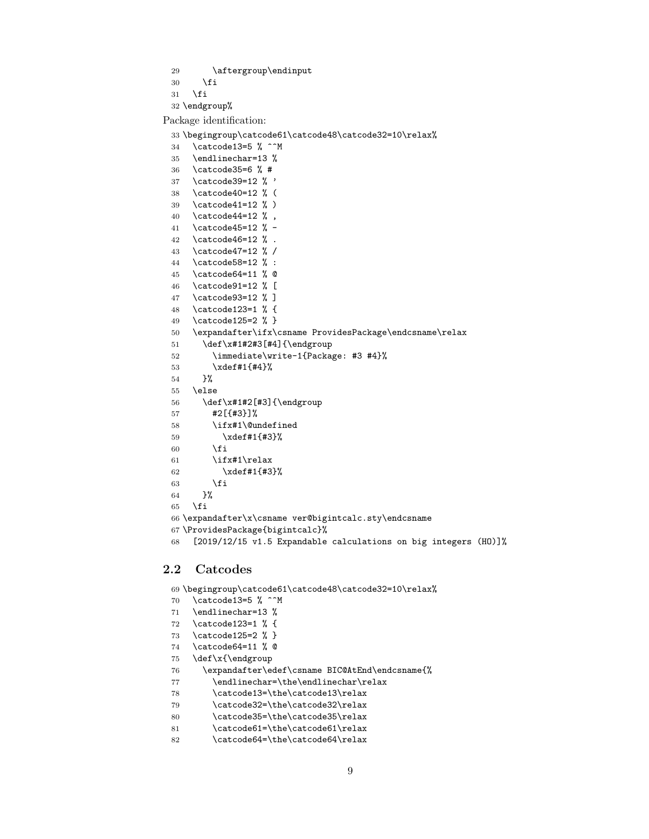<span id="page-8-2"></span>\aftergroup\endinput

 $30 \overline{\text{1}}$ 

\fi

\endgroup%

Package identification:

<span id="page-8-38"></span><span id="page-8-32"></span><span id="page-8-29"></span><span id="page-8-18"></span><span id="page-8-17"></span><span id="page-8-16"></span><span id="page-8-15"></span><span id="page-8-14"></span><span id="page-8-13"></span><span id="page-8-12"></span><span id="page-8-11"></span><span id="page-8-10"></span><span id="page-8-9"></span><span id="page-8-8"></span><span id="page-8-7"></span><span id="page-8-6"></span><span id="page-8-5"></span><span id="page-8-4"></span><span id="page-8-3"></span> \begingroup\catcode61\catcode48\catcode32=10\relax% \catcode13=5 % ^^M \endlinechar=13 % \catcode35=6 % # \catcode39=12 % ' \catcode40=12 % ( \catcode41=12 % ) \catcode44=12 % , \catcode45=12 % - \catcode46=12 % . \catcode47=12 % / \catcode58=12 % : \catcode64=11 % @ \catcode91=12 % [ \catcode93=12 % ] \catcode123=1 % { \catcode125=2 % } \expandafter\ifx\csname ProvidesPackage\endcsname\relax \def\x#1#2#3[#4]{\endgroup \immediate\write-1{Package: #3 #4}% \xdef#1{#4}% }% \else  $\det\ x#1#2[#3]{\end$  #2[{#3}]% \ifx#1\@undefined \xdef#1{#3}%  $\overline{\text{f}i}$  \ifx#1\relax \xdef#1{#3}%  $\setminus$ fi }%  $\setminus$ fi \expandafter\x\csname ver@bigintcalc.sty\endcsname \ProvidesPackage{bigintcalc}% [2019/12/15 v1.5 Expandable calculations on big integers (HO)]%

### <span id="page-8-39"></span><span id="page-8-37"></span><span id="page-8-36"></span><span id="page-8-35"></span><span id="page-8-30"></span><span id="page-8-1"></span><span id="page-8-0"></span>2.2 Catcodes

<span id="page-8-40"></span><span id="page-8-34"></span><span id="page-8-33"></span><span id="page-8-31"></span><span id="page-8-28"></span><span id="page-8-27"></span><span id="page-8-26"></span><span id="page-8-25"></span><span id="page-8-24"></span><span id="page-8-23"></span><span id="page-8-22"></span><span id="page-8-21"></span><span id="page-8-20"></span><span id="page-8-19"></span>

|    | 69 \begingroup\catcode61\catcode48\catcode32=10\relax% |
|----|--------------------------------------------------------|
| 70 | \catcode13=5 % ^^M                                     |
| 71 | \endlinechar=13 %                                      |
| 72 | \catcode123=1 % {                                      |
| 73 | \catcode125=2 % }                                      |
| 74 | \catcode64=11 % @                                      |
| 75 | \def\x{\endgroup                                       |
| 76 | \expandafter\edef\csname BIC@AtEnd\endcsname{%         |
| 77 | \endlinechar=\the\endlinechar\relax                    |
| 78 | \catcode13=\the\catcode13\relax                        |
| 79 | \catcode32=\the\catcode32\relax                        |
| 80 | \catcode35=\the\catcode35\relax                        |
| 81 | \catcode61=\the\catcode61\relax                        |
| 82 | \catcode64=\the\catcode64\relax                        |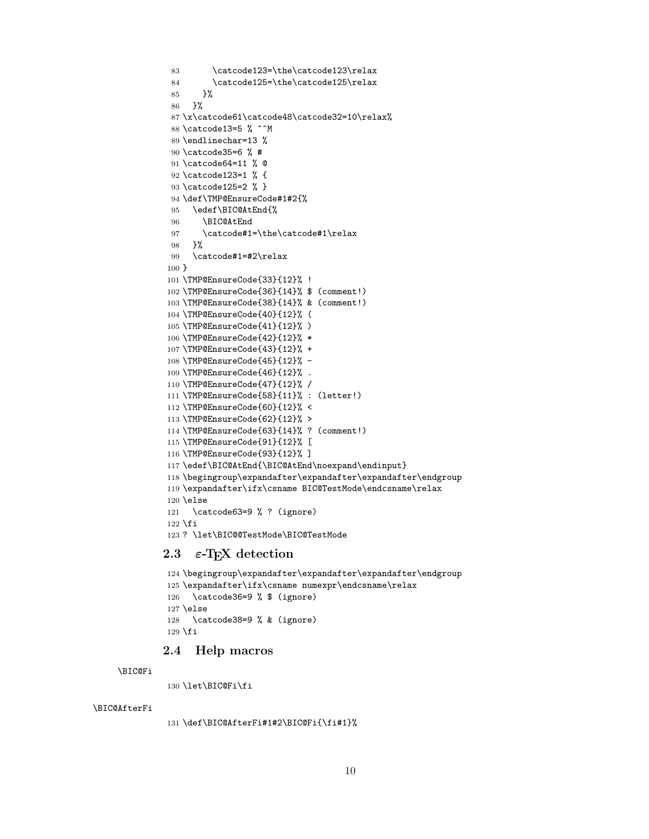```
83 \catcode123=\the\catcode123\relax
84 \catcode125=\the\catcode125\relax
85 }%
86 }%
87 \x\catcode61\catcode48\catcode32=10\relax%
88 \catcode13=5 % ^^M
89 \endlinechar=13 %
90 \catcode35=6 % #
91 \catcode64=11 % @
92 \catcode123=1 % {
93 \catcode125=2 % }
94 \def\TMP@EnsureCode#1#2{%
95 \edef\BIC@AtEnd{%
96 \BIC@AtEnd
97 \catcode#1=\the\catcode#1\relax
98 }%
99 \catcode#1=#2\relax
100 }
101 \TMP@EnsureCode{33}{12}% !
102 \TMP@EnsureCode{36}{14}% $ (comment!)
103 \TMP@EnsureCode{38}{14}% & (comment!)
104 \TMP@EnsureCode{40}{12}% (
105 \TMP@EnsureCode{41}{12}% )
106 \TMP@EnsureCode{42}{12}% *
107 \TMP@EnsureCode{43}{12}% +
108 \TMP@EnsureCode{45}{12}% -
109 \TMP@EnsureCode{46}{12}% .
110 \TMP@EnsureCode{47}{12}% /
111 \TMP@EnsureCode{58}{11}% : (letter!)
112 \TMP@EnsureCode{60}{12}% <
113 \TMP@EnsureCode{62}{12}% >
114 \TMP@EnsureCode{63}{14}% ? (comment!)
115 \TMP@EnsureCode{91}{12}% [
116 \TMP@EnsureCode{93}{12}% ]
117 \edef\BIC@AtEnd{\BIC@AtEnd\noexpand\endinput}
118 \begingroup\expandafter\expandafter\expandafter\endgroup
119 \expandafter\ifx\csname BIC@TestMode\endcsname\relax
120 \else
121 \catcode63=9 % ? (ignore)
122 \fi
123 ? \let\BIC@@TestMode\BIC@TestMode
```
### <span id="page-9-41"></span><span id="page-9-40"></span><span id="page-9-39"></span><span id="page-9-38"></span><span id="page-9-37"></span><span id="page-9-36"></span><span id="page-9-35"></span><span id="page-9-34"></span><span id="page-9-33"></span><span id="page-9-32"></span><span id="page-9-31"></span><span id="page-9-30"></span><span id="page-9-29"></span><span id="page-9-22"></span><span id="page-9-19"></span><span id="page-9-6"></span><span id="page-9-2"></span><span id="page-9-0"></span>2.3  $\varepsilon$ -T<sub>F</sub>X detection

```
124 \begingroup\expandafter\expandafter\expandafter\endgroup
125 \expandafter\ifx\csname numexpr\endcsname\relax
126 \catcode36=9 % $ (ignore)
127 \else
128 \catcode38=9 % & (ignore)
129 \fi
```
#### <span id="page-9-21"></span><span id="page-9-1"></span>2.4 Help macros

```
\BIC@Fi
```
\let\BIC@Fi\fi

#### <span id="page-9-3"></span>\BIC@AfterFi

<span id="page-9-8"></span>\def\BIC@AfterFi#1#2\BIC@Fi{\fi#1}%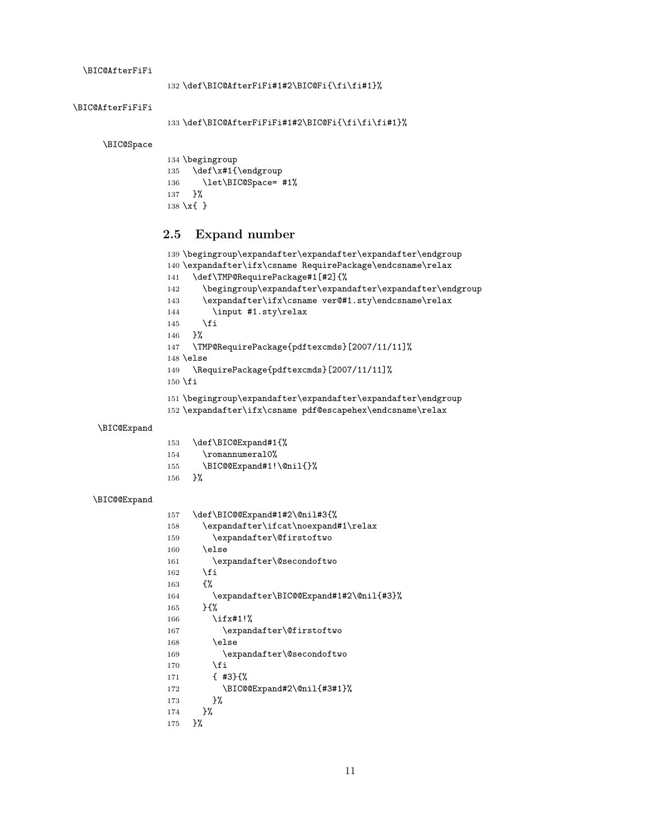<span id="page-10-10"></span>\BIC@AfterFiFi

```
\BIC@AfterFiFiFi
```

```
133 \def\BIC@AfterFiFiFi#1#2\BIC@Fi{\fi\fi\fi#1}%
```
<span id="page-10-15"></span>\BIC@Space

<span id="page-10-26"></span> \begingroup \def\x#1{\endgroup 136 \let\BIC@Space= #1% }% \x{ }

### <span id="page-10-27"></span><span id="page-10-0"></span>2.5 Expand number

```
139 \begingroup\expandafter\expandafter\expandafter\endgroup
140 \expandafter\ifx\csname RequirePackage\endcsname\relax
141 \def\TMP@RequirePackage#1[#2]{%
142 \begingroup\expandafter\expandafter\expandafter\endgroup
143 \expandafter\ifx\csname ver@#1.sty\endcsname\relax
144 \input #1.sty\relax
145 \overrightarrow{fi}146 }%
147 \TMP@RequirePackage{pdftexcmds}[2007/11/11]%
148 \else
149 \RequirePackage{pdftexcmds}[2007/11/11]%
150 \fi
151 \begingroup\expandafter\expandafter\expandafter\endgroup
152 \expandafter\ifx\csname pdf@escapehex\endcsname\relax
```
#### <span id="page-10-12"></span>\BIC@Expand

<span id="page-10-23"></span><span id="page-10-22"></span><span id="page-10-18"></span><span id="page-10-3"></span>

| 153 | \def\BIC@Expand#1{%     |
|-----|-------------------------|
| 154 | \romannumeral0%         |
| 155 | \BIC@@Expand#1!\@nil{}% |
| 156 | ጉ%                      |

#### <span id="page-10-9"></span>\BIC@@Expand

<span id="page-10-20"></span><span id="page-10-19"></span><span id="page-10-8"></span><span id="page-10-7"></span><span id="page-10-6"></span><span id="page-10-5"></span><span id="page-10-4"></span><span id="page-10-2"></span><span id="page-10-1"></span>

| 157 | \def\BIC@@Expand#1#2\@nil#3{%          |
|-----|----------------------------------------|
| 158 | \expandafter\ifcat\noexpand#1\relax    |
| 159 | \expandafter\@firstoftwo               |
| 160 | \else                                  |
| 161 | \expandafter\@secondoftwo              |
| 162 | \fi                                    |
| 163 | ſ%                                     |
| 164 | \expandafter\BIC@@Expand#1#2\@nil{#3}% |
| 165 | $H^{\prime}$                           |
| 166 | \ifx#1!%                               |
| 167 | \expandafter\@firstoftwo               |
| 168 | \else                                  |
| 169 | \expandafter\@secondoftwo              |
| 170 | \fi                                    |
| 171 | $\{43\}$                               |
| 172 | \BIC@@Expand#2\@nil{#3#1}%             |
| 173 | }‰                                     |
| 174 | ጉ%                                     |
| 175 | ን%                                     |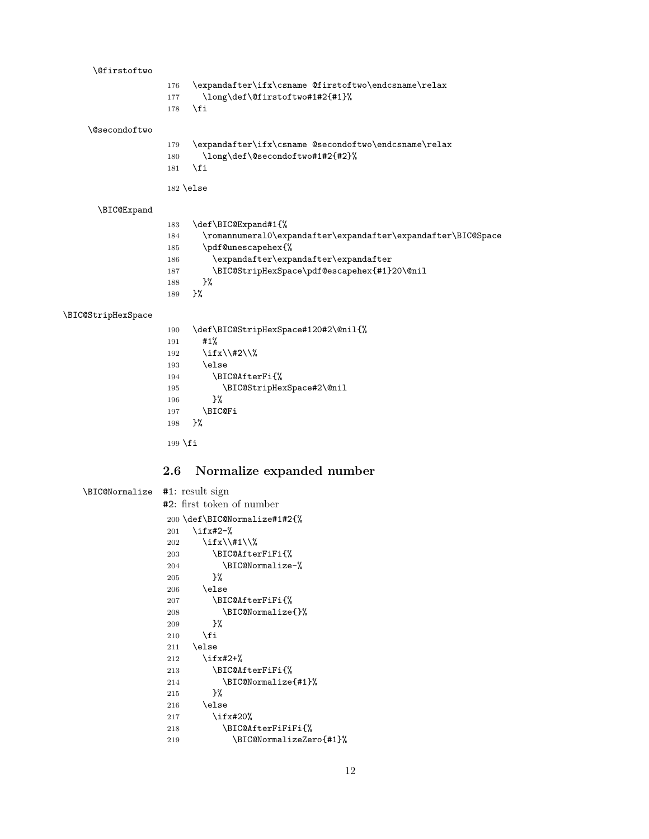<span id="page-11-24"></span><span id="page-11-20"></span><span id="page-11-19"></span><span id="page-11-18"></span><span id="page-11-17"></span><span id="page-11-13"></span><span id="page-11-6"></span><span id="page-11-5"></span><span id="page-11-3"></span><span id="page-11-2"></span><span id="page-11-1"></span>

| <b>\@firstoftwo</b>            |                     |                                                                     |
|--------------------------------|---------------------|---------------------------------------------------------------------|
|                                | 176                 | \expandafter\ifx\csname @firstoftwo\endcsname\relax                 |
|                                | 177                 | \long\def\@firstoftwo#1#2{#1}%                                      |
|                                | 178                 | \fi                                                                 |
| <b>\@secondoftwo</b>           |                     |                                                                     |
|                                | 179                 | \expandafter\ifx\csname @secondoftwo\endcsname\relax                |
|                                | 180                 | \long\def\@secondoftwo#1#2{#2}%                                     |
|                                | 181                 | \fi                                                                 |
|                                |                     | $182$ \else                                                         |
|                                |                     |                                                                     |
| \BIC@Expand                    |                     |                                                                     |
|                                | 183                 | \def\BIC@Expand#1{%                                                 |
|                                | 184                 | \romannumeral0\expandafter\expandafter\expandafter\BIC@Space        |
|                                | 185<br>186          | \pdf@unescapehex{%<br>$\verb \expandafter\expandafter\expandafter $ |
|                                | 187                 | \BIC@StripHexSpace\pdf@escapehex{#1}20\@nil                         |
|                                | 188                 | }‰                                                                  |
|                                | 189                 | $\frac{1}{2}$ %                                                     |
|                                |                     |                                                                     |
| \BIC@StripHexSpace             |                     |                                                                     |
|                                | 190                 | \def\BIC@StripHexSpace#120#2\@nil{%<br>#1%                          |
|                                | 191<br>192          | \ifx\\#2\\%                                                         |
|                                | 193                 | \else                                                               |
|                                | 194                 | \BIC@AfterFi{%                                                      |
|                                | 195                 | \BIC@StripHexSpace#2\@nil                                           |
|                                | 196                 | }‰                                                                  |
|                                | 197                 | \BIC@Fi                                                             |
|                                | 198                 | $\frac{1}{2}$                                                       |
|                                | 199 $\overline{fi}$ |                                                                     |
|                                | 2.6                 | Normalize expanded number                                           |
| \BIC@Normalize #1: result sign |                     |                                                                     |
|                                |                     | $#2:$ first token of number                                         |
|                                |                     | 200 \def\BIC@Normalize#1#2{%                                        |
|                                | 201                 | \ifx#2-%                                                            |
|                                | 202                 | \ifx\\#1\\%                                                         |
|                                | 203                 | \BIC@AfterFiFi{%                                                    |
|                                | 204                 | \BIC@Normalize-%                                                    |
|                                | 205                 | }%                                                                  |
|                                | 206                 | \else                                                               |
|                                | 207                 | \BIC@AfterFiFi{%                                                    |
|                                | 208                 | \BIC@Normalize{}%                                                   |
|                                | 209                 | }%                                                                  |
|                                | 210                 | $\sqrt{fi}$                                                         |
|                                | 211                 | \else                                                               |
|                                | 212                 | $\iota$ ifx#2+%                                                     |

<span id="page-11-22"></span><span id="page-11-21"></span><span id="page-11-15"></span><span id="page-11-14"></span><span id="page-11-11"></span><span id="page-11-10"></span><span id="page-11-9"></span><span id="page-11-8"></span><span id="page-11-7"></span><span id="page-11-4"></span><span id="page-11-0"></span>\BIC@AfterFiFi{%

<span id="page-11-23"></span>216 \else<br>217 \ifx 217 \ifx#20%<br>218 \BIC@Af

214 \BIC@Normalize{#1}% <br>215 }%

<span id="page-11-16"></span><span id="page-11-12"></span>218 \BIC@AfterFiFiFi{%<br>219 \BIC@NormalizeZer

\BIC@NormalizeZero{#1}%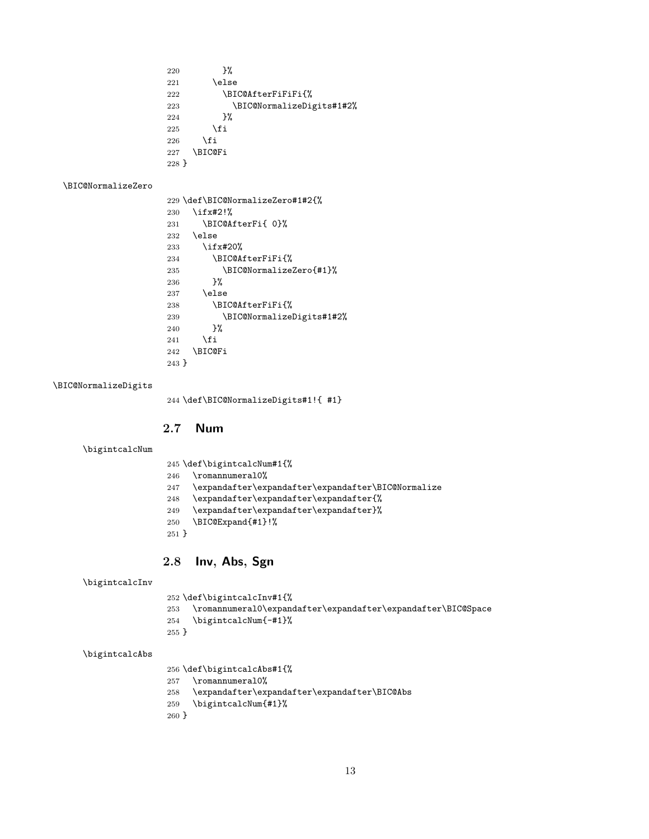<span id="page-12-11"></span><span id="page-12-6"></span> }% \else 222 \BIC@AfterFiFiFi{% \BIC@NormalizeDigits#1#2% }% 225  $\forall$ fi \fi \BIC@Fi }

#### <span id="page-12-14"></span>\BIC@NormalizeZero

<span id="page-12-22"></span><span id="page-12-21"></span><span id="page-12-8"></span><span id="page-12-4"></span><span id="page-12-3"></span>

|         | 229 \def\BIC@NormalizeZero#1#2{% |
|---------|----------------------------------|
| 230     | $\iota$ ifx#2!%                  |
| 231     | \BIC@AfterFi{ 0}%                |
| 232     | \else                            |
| 233     | $\iota$ ifx#20%                  |
| 234     | \BIC@AfterFiFi{%                 |
| 235     | \BIC@NormalizeZero{#1}%          |
| 236     | ጉ%                               |
| 237     | \else                            |
| 238     | \BIC@AfterFiFi{%                 |
| 239     | \BIC@NormalizeDigits#1#2%        |
| 240     | ጉ%                               |
| 241     | \fi                              |
| 242     | <b>\BIC@Fi</b>                   |
| $243$ } |                                  |

#### <span id="page-12-13"></span>\BIC@NormalizeDigits

<span id="page-12-12"></span><span id="page-12-9"></span><span id="page-12-5"></span>\def\BIC@NormalizeDigits#1!{ #1}

### <span id="page-12-0"></span>2.7 Num

```
\bigintcalcNum
```

```
245 \def\bigintcalcNum#1{%
```
- <span id="page-12-23"></span>\romannumeral0%
- <span id="page-12-10"></span> $247 \quad \verb|\expandafter\expandafter\expandafter\BBC@Normalize$
- \expandafter\expandafter\expandafter{%
- \expandafter\expandafter\expandafter}%
- <span id="page-12-7"></span>\BIC@Expand{#1}!%
- }

### <span id="page-12-1"></span>2.8 Inv, Abs, Sgn

<span id="page-12-17"></span>\bigintcalcInv

\def\bigintcalcInv#1{%

- <span id="page-12-15"></span>\romannumeral0\expandafter\expandafter\expandafter\BIC@Space
- <span id="page-12-19"></span>\bigintcalcNum{-#1}%
- }

### <span id="page-12-16"></span>\bigintcalcAbs

\def\bigintcalcAbs#1{%

- <span id="page-12-24"></span>\romannumeral0%
- <span id="page-12-2"></span>\expandafter\expandafter\expandafter\BIC@Abs
- <span id="page-12-20"></span>\bigintcalcNum{#1}%
- }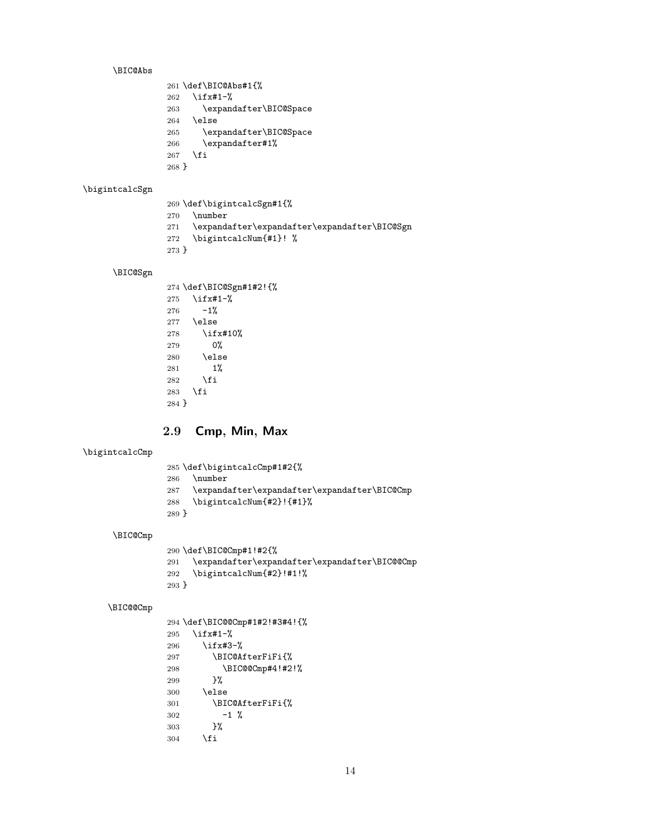#### <span id="page-13-3"></span>\BIC@Abs

<span id="page-13-17"></span><span id="page-13-11"></span><span id="page-13-10"></span>

|         | 261 \def\BIC@Abs#1{%   |
|---------|------------------------|
| 262     | $\iota$ ifx#1-%        |
| 263     | \expandafter\BIC@Space |
| 264     | \else                  |
| 265     | \expandafter\BIC@Space |
| 266     | \expandafter#1%        |
| 267     | \fi                    |
| $268$ } |                        |

#### <span id="page-13-16"></span>\bigintcalcSgn

- \def\bigintcalcSgn#1{%
- <span id="page-13-22"></span>\number
- <span id="page-13-8"></span>\expandafter\expandafter\expandafter\BIC@Sgn
- <span id="page-13-13"></span>\bigintcalcNum{#1}! %
- }

#### <span id="page-13-9"></span>\BIC@Sgn

<span id="page-13-19"></span><span id="page-13-18"></span>

|       | 274 \def\BIC@Sgn#1#2!{% |
|-------|-------------------------|
| 275   | $\iota$ ifx#1-%         |
| 276   | $-1%$                   |
|       | $277$ \else             |
| 278   | \ifx#10%                |
| 279   | 0%                      |
| 280   | \else                   |
| 281   | $1\%$                   |
| 282   | <b>\fi</b>              |
| 283   | \fi                     |
| 284 } |                         |

### <span id="page-13-0"></span>2.9 Cmp, Min, Max

#### <span id="page-13-12"></span>\bigintcalcCmp

- \def\bigintcalcCmp#1#2{%
- <span id="page-13-23"></span>\number
- <span id="page-13-6"></span>\expandafter\expandafter\expandafter\BIC@Cmp
- <span id="page-13-14"></span>\bigintcalcNum{#2}!{#1}%
- }

### <span id="page-13-7"></span>\BIC@Cmp

<span id="page-13-15"></span><span id="page-13-1"></span>

|       | 290 \def\BIC@Cmp#1!#2{%                           |
|-------|---------------------------------------------------|
|       | 291 \expandafter\expandafter\expandafter\BIC@@Cmp |
| 292   | \bigintcalcNum{#2}!#1!%                           |
| 293 } |                                                   |

#### <span id="page-13-2"></span>\BIC@@Cmp

<span id="page-13-21"></span><span id="page-13-20"></span><span id="page-13-5"></span><span id="page-13-4"></span> \def\BIC@@Cmp#1#2!#3#4!{% \ifx#1-% \ifx#3-% \BIC@AfterFiFi{% \BIC@@Cmp#4!#2!% }% \else \BIC@AfterFiFi{%  $\begin{matrix} 302 & \hspace{1.5cm} -1 \end{matrix} \begin{matrix} \hspace{1.5cm} \text{\bf\%} \\ 303 & \hspace{1.5cm} \end{matrix}$  $303\,$ \fi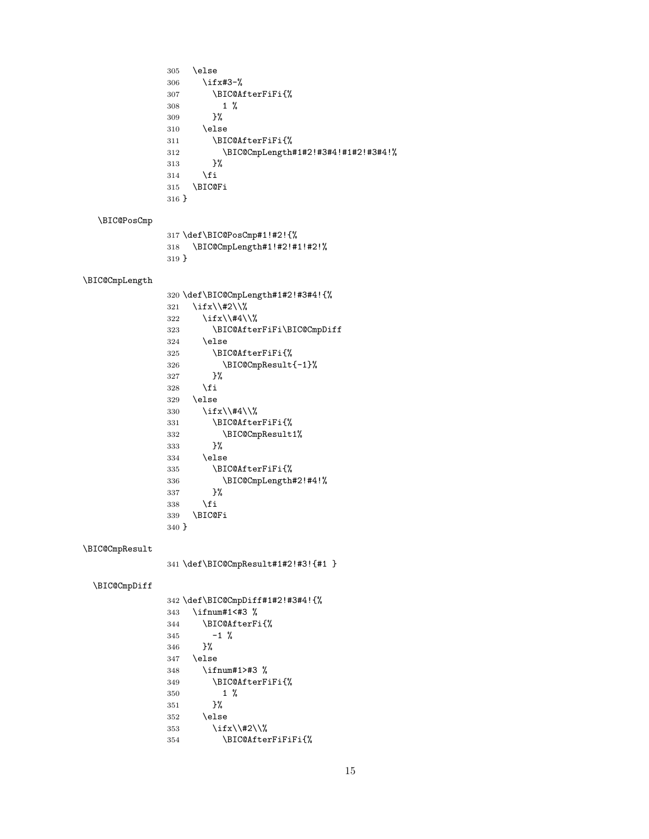```
305 \else
                306 \ifx#3-%
                307 \BIC@AfterFiFi{%
                \begin{matrix} 308 & \hspace{1.5cm} 1 \hspace{1.5cm} \% \\ 309 & \hspace{1.5cm} \end{matrix}309\,310 \else
                311 \BIC@AfterFiFi{%
                312 \BIC@CmpLength#1#2!#3#4!#1#2!#3#4!%
                313 }%
                314 \overrightarrow{fi}315 \BIC@Fi
                316 }
  \BIC@PosCmp
                317 \def\BIC@PosCmp#1!#2!{%
                318 \BIC@CmpLength#1!#2!#1!#2!%
                319 }
\BIC@CmpLength
                320 \def\BIC@CmpLength#1#2!#3#4!{%
                321 \ifx\\#2\\%
                322 \ifx\\#4\\%
                323 \BIC@AfterFiFi\BIC@CmpDiff
                324 \else
                325 \BIC@AfterFiFi{%
                326 \BIC@CmpResult{-1}%
                327 }%
                328 \fi
                329 \else
                330 \ifx\\#4\\%
                331 \BIC@AfterFiFi{%
                332 \BIC@CmpResult1%
                333 }%
                334 \else
                335 \BIC@AfterFiFi{%
                336 \BIC@CmpLength#2!#4!%
                337 }%
                338 \fi
                339 \BIC@Fi
                340 }
\BIC@CmpResult
                341 \def\BIC@CmpResult#1#2!#3!{#1 }
  \BIC@CmpDiff
                342 \def\BIC@CmpDiff#1#2!#3#4!{%
                343 \ifnum#1<#3 %
                344 \BIC@AfterFi{%
                345 -1 \%346 }%
                347 \else
                348 \ifnum#1>#3 %
                349 \BIC@AfterFiFi{%
                350 1 %
                351 }%
                352 \else
                353 \iint x\lambda +2\lambda354 \BIC@AfterFiFiFi{%
```

```
15
```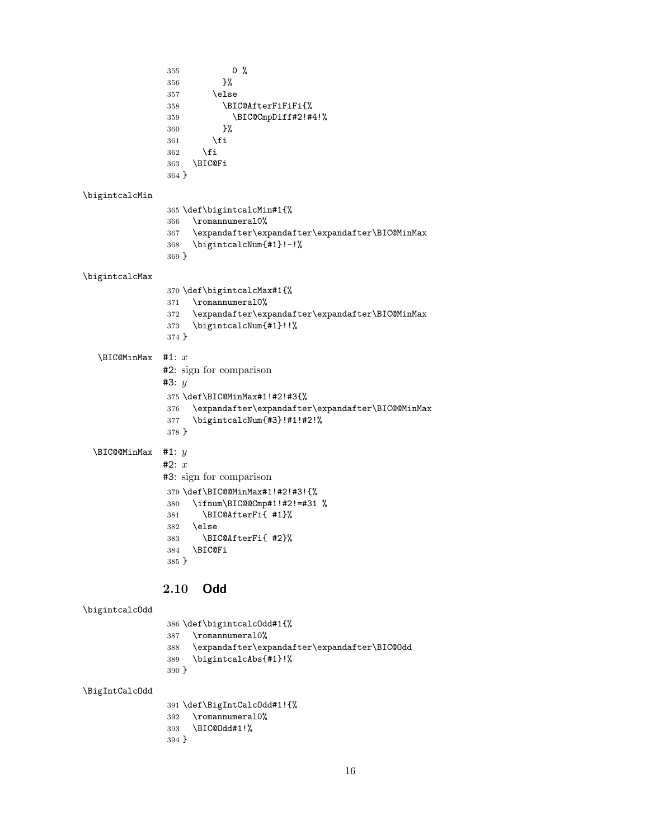<span id="page-15-23"></span><span id="page-15-22"></span><span id="page-15-17"></span><span id="page-15-16"></span><span id="page-15-15"></span><span id="page-15-10"></span><span id="page-15-9"></span><span id="page-15-7"></span><span id="page-15-6"></span> 0 %<br>356 }% \else \BIC@AfterFiFiFi{% \BIC@CmpDiff#2!#4!% }% \fi \fi \BIC@Fi } \bigintcalcMin \def\bigintcalcMin#1{% \romannumeral0% \expandafter\expandafter\expandafter\BIC@MinMax \bigintcalcNum{#1}!-!% } \bigintcalcMax \def\bigintcalcMax#1{% \romannumeral0% \expandafter\expandafter\expandafter\BIC@MinMax \bigintcalcNum{#1}!!% }  $\Xi$  \BIC@MinMax #1:  $x$ #2: sign for comparison #3:  $y$  \def\BIC@MinMax#1!#2!#3{% \expandafter\expandafter\expandafter\BIC@@MinMax \bigintcalcNum{#3}!#1!#2!% }  $\Upsilon$  \BIC@@MinMax #1:  $y$ #2:  $x$ #3: sign for comparison \def\BIC@@MinMax#1!#2!#3!{% \ifnum\BIC@@Cmp#1!#2!=#31 % \BIC@AfterFi{ #1}% \else \BIC@AfterFi{ #2}% \BIC@Fi }

### <span id="page-15-19"></span><span id="page-15-18"></span><span id="page-15-11"></span><span id="page-15-8"></span><span id="page-15-5"></span><span id="page-15-4"></span><span id="page-15-3"></span><span id="page-15-2"></span><span id="page-15-1"></span><span id="page-15-0"></span>2.10 Odd

```
\bigintcalcOdd
```
<span id="page-15-24"></span><span id="page-15-14"></span><span id="page-15-12"></span>

|       | 386 \def\bigintcalc0dd#1{%                   |
|-------|----------------------------------------------|
|       | 387 \romannumeral0%                          |
| 388   | \expandafter\expandafter\expandafter\BIC@Odd |
| 389   | \bigintcalcAbs{#1}!%                         |
| 390 ት |                                              |

<span id="page-15-20"></span>\BigIntCalcOdd

<span id="page-15-25"></span><span id="page-15-13"></span> \def\BigIntCalcOdd#1!{% \romannumeral0% \BIC@Odd#1!% }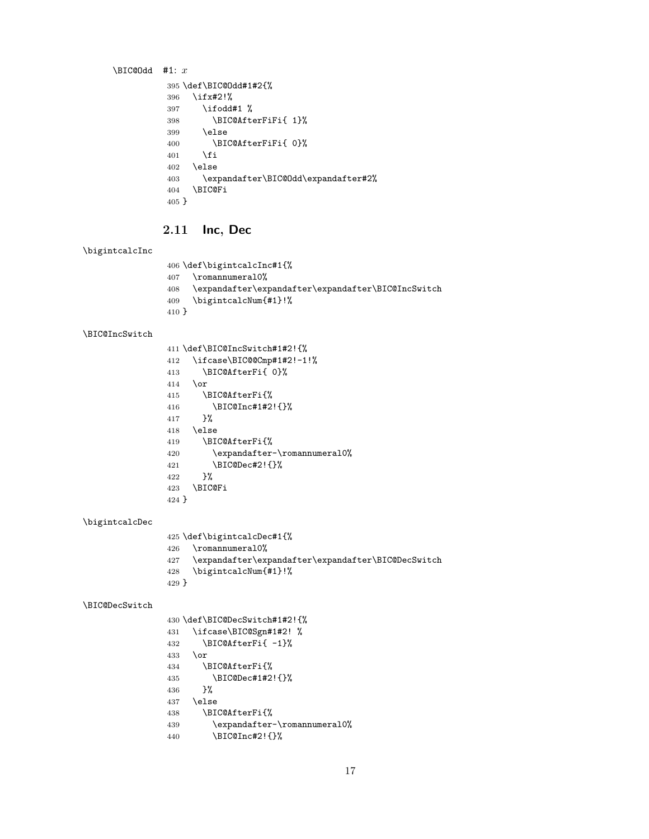```
\BIC@Odd #1: x395 \def\BIC@Odd#1#2{%
         396 \ifx#2!%
         397 \ifodd#1 %
         398 \BIC@AfterFiFi{ 1}%
         399 \else
         400 \BIC@AfterFiFi{ 0}%
         401 \fi
         402 \else
         403 \expandafter\BIC@Odd\expandafter#2%
         404 \BIC@Fi
         405 }
```
### <span id="page-16-14"></span><span id="page-16-9"></span><span id="page-16-0"></span>2.11 Inc, Dec

#### <span id="page-16-23"></span>\bigintcalcInc

```
406 \def\bigintcalcInc#1{%
407 \romannumeral0%
408 \expandafter\expandafter\expandafter\BIC@IncSwitch
409 \bigintcalcNum{#1}!%
410 }
```
#### <span id="page-16-19"></span>\BIC@IncSwitch

<span id="page-16-16"></span><span id="page-16-3"></span><span id="page-16-2"></span><span id="page-16-1"></span>

|       | 411 \def\BIC@IncSwitch#1#2!{% |
|-------|-------------------------------|
|       |                               |
| 412   | \ifcase\BIC@@Cmp#1#2!-1!%     |
| 413   | \BIC@AfterFi{ 0}%             |
| 414   | \or                           |
| 415   | \BIC@AfterFi{%                |
| 416   | \BIC@Inc#1#2!{}%              |
| 417   | ጉ%                            |
| 418   | \else                         |
| 419   | \BIC@AfterFi{%                |
| 420   | \expandafter-\romannumeral0%  |
| 421   | \BIC@Dec#2!{}%                |
| 422   | ጉ%                            |
| 423   | <b>\BIC@Fi</b>                |
| 424 } |                               |

#### <span id="page-16-22"></span>\bigintcalcDec

```
425 \def\bigintcalcDec#1{%
426 \romannumeral0%
```

```
427 \expandafter\expandafter\expandafter\BIC@DecSwitch
```

```
428 \bigintcalcNum{#1}!%
```

```
429 }
```
#### <span id="page-16-13"></span>\BIC@DecSwitch

```
430 \def\BIC@DecSwitch#1#2!{%
431 \ifcase\BIC@Sgn#1#2! %
432 \BIC@AfterFi{ -1}%
433 \or
434 \BIC@AfterFi{%
435 \BIC@Dec#1#2!{}%
436 }%
437 \else
438 \BIC@AfterFi{%
439 \expandafter-\romannumeral0%
440 \BIC@Inc#2!{}%
```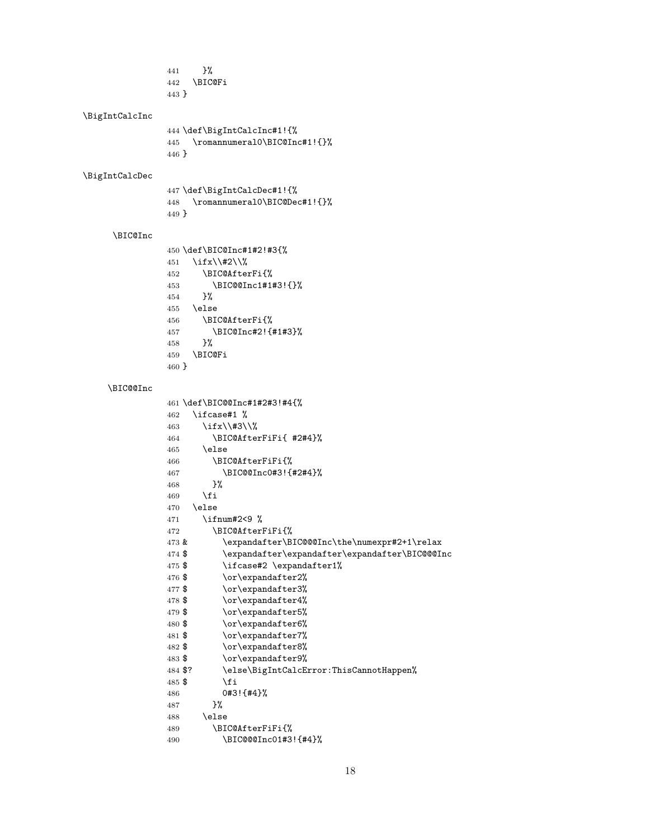<span id="page-17-23"></span><span id="page-17-22"></span><span id="page-17-21"></span><span id="page-17-20"></span><span id="page-17-19"></span><span id="page-17-18"></span><span id="page-17-17"></span><span id="page-17-16"></span><span id="page-17-15"></span><span id="page-17-14"></span><span id="page-17-13"></span><span id="page-17-12"></span><span id="page-17-11"></span><span id="page-17-10"></span><span id="page-17-9"></span><span id="page-17-8"></span><span id="page-17-7"></span><span id="page-17-6"></span><span id="page-17-5"></span><span id="page-17-4"></span><span id="page-17-3"></span><span id="page-17-2"></span><span id="page-17-1"></span><span id="page-17-0"></span> }% \BIC@Fi } \BigIntCalcInc \def\BigIntCalcInc#1!{% \romannumeral0\BIC@Inc#1!{}% } \BigIntCalcDec \def\BigIntCalcDec#1!{% \romannumeral0\BIC@Dec#1!{}% } \BIC@Inc \def\BIC@Inc#1#2!#3{% 451 \ifx\\#2\\% \BIC@AfterFi{% \BIC@@Inc1#1#3!{}% }% \else \BIC@AfterFi{% \BIC@Inc#2!{#1#3}% }% \BIC@Fi } \BIC@@Inc \def\BIC@@Inc#1#2#3!#4{% 462 \ifcase#1  $%$  \ifx\\#3\\% \BIC@AfterFiFi{ #2#4}% \else \BIC@AfterFiFi{% \BIC@@Inc0#3!{#2#4}% }% 469  $\{f_i\}$  \else \ifnum#2<9 % \BIC@AfterFiFi{% 473 & \expandafter\BIC@@@Inc\the\numexpr#2+1\relax \$ \expandafter\expandafter\expandafter\BIC@@@Inc 475 \$ \ifcase#2 \expandafter1% 476 \$  $\or\exp\{\arctan\arctan\}$ 477 \$ \or\expandafter3% 478 \$ \or\expandafter4% 479 \$ \or\expandafter5% 480 \$ \or\expandafter6% 481 \$ \or\expandafter7% 482 \$ \or\expandafter8% 483 \$ \or\expandafter9% \$? \else\BigIntCalcError:ThisCannotHappen% 485  $\$$  \fi 0#3!{#4}% }% 488 \else \BIC@AfterFiFi{% \BIC@@@Inc01#3!{#4}%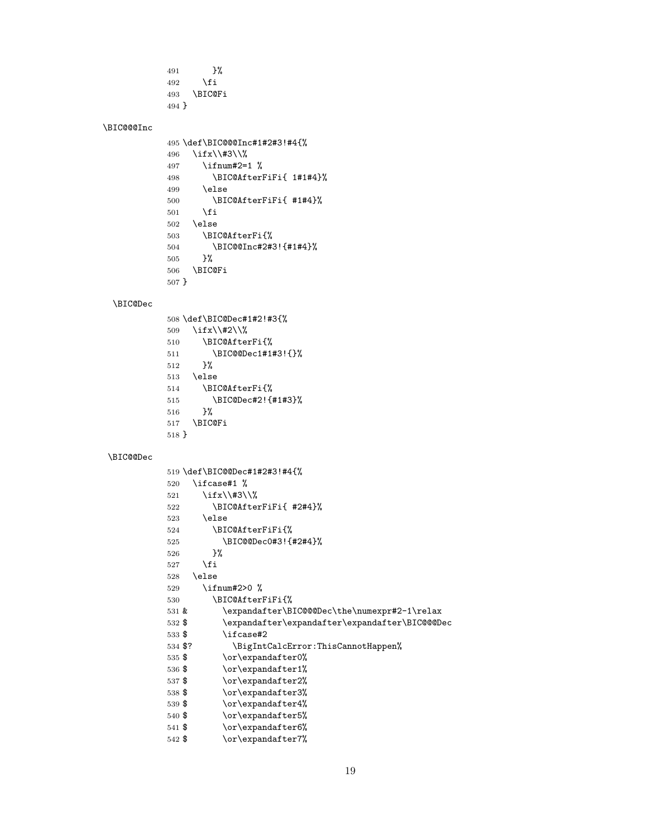```
491 }%
492 \qquad \qquad \fi
493 \BIC@Fi
494 }
```
#### <span id="page-18-5"></span>\BIC@@@Inc

```
495 \def\BIC@@@Inc#1#2#3!#4{%
496 \ifx\\#3\\%
497 \ifnum#2=1 %
498 \BIC@AfterFiFi{ 1#1#4}%
499 \else
500 \BIC@AfterFiFi{ #1#4}%
501 \overrightarrow{fi}502 \else
503 \BIC@AfterFi{%
504 \BIC@@Inc#2#3!{#1#4}%
505 }%
506 \BIC@Fi
507 }
```
#### <span id="page-18-17"></span><span id="page-18-9"></span>\BIC@Dec

<span id="page-18-19"></span><span id="page-18-11"></span><span id="page-18-10"></span><span id="page-18-8"></span><span id="page-18-6"></span><span id="page-18-1"></span> \def\BIC@Dec#1#2!#3{% \ifx\\#2\\% \BIC@AfterFi{% \BIC@@Dec1#1#3!{}% }% \else \BIC@AfterFi{% \BIC@Dec#2!{#1#3}% }% \BIC@Fi }

#### <span id="page-18-7"></span>\BIC@@Dec

```
519 \def\BIC@@Dec#1#2#3!#4{%
520 \ifcase#1 %
521 \ifx\\#3\\%
522 \BIC@AfterFiFi{ #2#4}%
523 \else
524 \BIC@AfterFiFi{%
525 \BIC@@Dec0#3!{#2#4}%
526 }%
527 \fi
528 \else
529 \ifnum#2>0 %
530 \BIC@AfterFiFi{%
531 & \expandafter\BIC@@@Dec\the\numexpr#2-1\relax<br>532 $ \expandafter\expandafter\expandafter\BIC@@@Dec
          \expandafter\expandafter\expandafter\BIC@@Dec
533 $ \ifcase#2
534 $? \BigIntCalcError:ThisCannotHappen%
535 $ \or\expandafter0%
536 $ \or\expandafter1%
537 $ \or\expandafter2%
538 $ \or\expandafter3%
539 $ \or\expandafter4%
540 $ \or\expandafter5%
541 $ \or\expandafter6%
542 $ \or\expandafter7%
```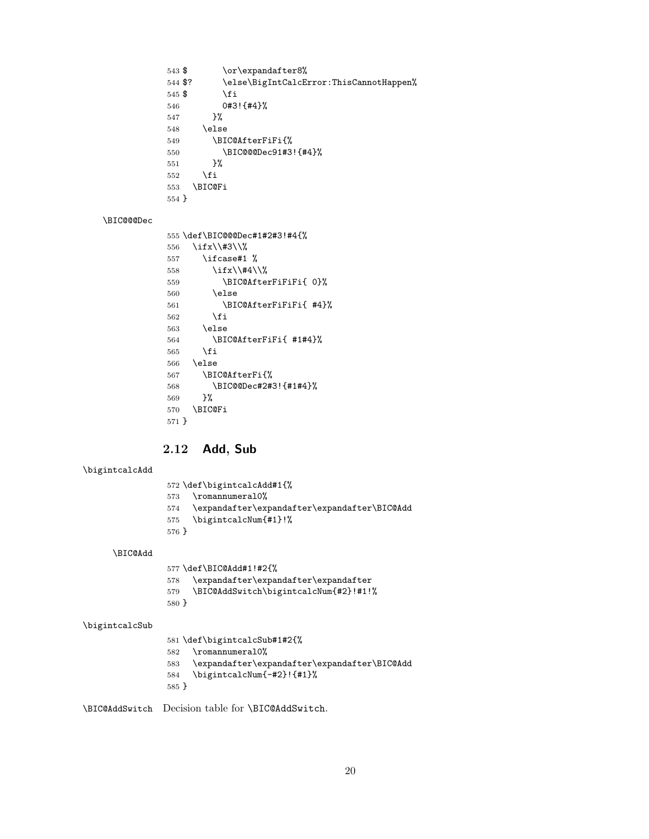```
543 $ \or\expandafter8%
544 $? \else\BigIntCalcError:ThisCannotHappen%
545 $ \fi
546 0#3!{#4}%
547 }%
548 \else
549 \BIC@AfterFiFi{%
550 \BIC@@@Dec91#3!{#4}%
551 }%
552 \overrightarrow{fi}553 \BIC@Fi
554 }
```
#### <span id="page-19-4"></span>\BIC@@@Dec

```
555 \def\BIC@@@Dec#1#2#3!#4{%
556 \ifx\\#3\\%
557 \iint case #1 %558 \iint x \lvert 4\rangle \lvert 8559 \BIC@AfterFiFiFi{ 0}%
560 \else
561 \BIC@AfterFiFiFi{ #4}%
562 \fi
563 \else
564 \BIC@AfterFiFi{ #1#4}%
565 \fi
566 \else
567 \BIC@AfterFi{%
568 \BIC@@Dec#2#3!{#1#4}%
569 }%
570 \BIC@Fi
571 }
```
### <span id="page-19-17"></span><span id="page-19-11"></span><span id="page-19-5"></span><span id="page-19-0"></span>2.12 Add, Sub

#### <span id="page-19-18"></span>\bigintcalcAdd

- \def\bigintcalcAdd#1{%
- <span id="page-19-24"></span>\romannumeral0%
- <span id="page-19-6"></span>\expandafter\expandafter\expandafter\BIC@Add
- <span id="page-19-20"></span>\bigintcalcNum{#1}!%
- }

<span id="page-19-7"></span>\BIC@Add

```
577 \def\BIC@Add#1!#2{%
578 \expandafter\expandafter\expandafter
579 \BIC@AddSwitch\bigintcalcNum{#2}!#1!%
580 }
```
#### <span id="page-19-22"></span>\bigintcalcSub

```
581 \def\bigintcalcSub#1#2{%
582 \romannumeral0%
583 \expandafter\expandafter\expandafter\BIC@Add
584 \bigintcalcNum{-#2}!{#1}%
585 }
```
<span id="page-19-10"></span>\BIC@AddSwitch Decision table for \BIC@AddSwitch.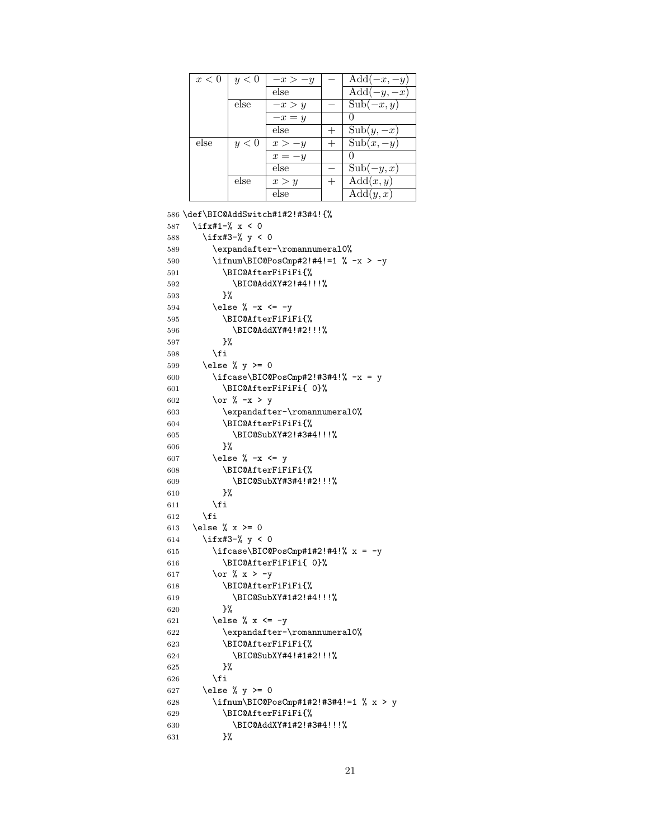| x<0  | y<0  | $-x > -y$ | $Add(-x, -y)$                  |
|------|------|-----------|--------------------------------|
|      |      | else      | $\overline{\text{Add}(-y,-x)}$ |
|      | else | $-x > y$  | $Sub(-x, y)$                   |
|      |      | $-x=y$    |                                |
|      |      | else      | $Sub(y, -x)$                   |
| else | y<0  | $x > -y$  | $Sub(x, -y)$                   |
|      |      | $x=-y$    |                                |
|      |      | else      | $Sub(-y,x)$                    |
|      | else | x > y     | $\overline{\text{Add}}(x,y)$   |
|      |      | else      | $\overline{\text{Add}}(y,x)$   |

```
586 \def\BIC@AddSwitch#1#2!#3#4!{%
587 \ifx#1-% x < 0
588 \ifx#3-% y < 0589 \expandafter-\romannumeral0%
590 \ifnum\BIC@PosCmp#2!#4!=1 % -x > -y
591 \BIC@AfterFiFiFi{%
592 \BIC@AddXY#2!#4!!!%
593 }%
594 \else % -x \leq -y
595 \BIC@AfterFiFiFi{%
596 \BIC@AddXY#4!#2!!!%
597 }%
598 \fi
599 \else % y \ge 0600 \ifcase\BIC@PosCmp#2!#3#4!% -x = y601 \BIC@AfterFiFiFi{ 0}%
602 \or % -x > y
603 \expandafter-\romannumeral0%
604 \BIC@AfterFiFiFi{%
605 \BIC@SubXY#2!#3#4!!!%
606 }%
607 \else % -x \leq y608 \BIC@AfterFiFiFi{%
609 \BIC@SubXY#3#4!#2!!!%
610 }%
611 \overrightarrow{fi}612 \fi
613 \else % x >= 0
614 \ifx#3-% y < 0615 \ifcase\BIC@PosCmp#1#2!#4!% x = -y616 \BIC@AfterFiFiFi{ 0}%
617 \or % x > -y
618 \BIC@AfterFiFiFi{%
619 \BIC@SubXY#1#2!#4!!!%
620 }%
621 \else % x <= -y
622 \expandafter-\romannumeral0%
623 \BIC@AfterFiFiFi{%
624 \BIC@SubXY#4!#1#2!!!%
625 } \frac{25}{10}626 \fi
627 \else % y \ge 0628 \ifnum\BIC@PosCmp#1#2!#3#4!=1 % x > y
629 \BIC@AfterFiFiFi{%
630 \BIC@AddXY#1#2!#3#4!!!%
631 }%
```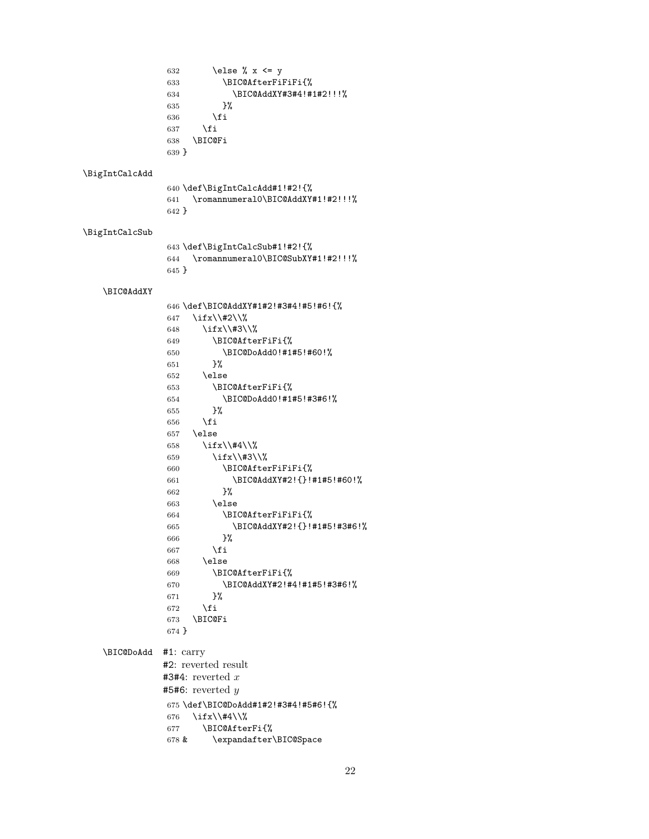<span id="page-21-23"></span><span id="page-21-22"></span><span id="page-21-21"></span><span id="page-21-20"></span><span id="page-21-19"></span><span id="page-21-18"></span><span id="page-21-17"></span><span id="page-21-16"></span><span id="page-21-15"></span><span id="page-21-14"></span><span id="page-21-13"></span><span id="page-21-12"></span><span id="page-21-11"></span><span id="page-21-10"></span><span id="page-21-9"></span><span id="page-21-8"></span><span id="page-21-7"></span><span id="page-21-6"></span><span id="page-21-5"></span><span id="page-21-4"></span><span id="page-21-3"></span><span id="page-21-2"></span><span id="page-21-1"></span><span id="page-21-0"></span>632 \else % x <= y \BIC@AfterFiFiFi{% \BIC@AddXY#3#4!#1#2!!!% }% \fi 637  $\overline{f}$  \BIC@Fi } \BigIntCalcAdd \def\BigIntCalcAdd#1!#2!{% \romannumeral0\BIC@AddXY#1!#2!!!% } \BigIntCalcSub \def\BigIntCalcSub#1!#2!{% \romannumeral0\BIC@SubXY#1!#2!!!% } \BIC@AddXY \def\BIC@AddXY#1#2!#3#4!#5!#6!{% \ifx\\#2\\% 648 \ifx\\#3\\% \BIC@AfterFiFi{% \BIC@DoAdd0!#1#5!#60!% }% \else \BIC@AfterFiFi{% \BIC@DoAdd0!#1#5!#3#6!% }% \fi \else 658 \ifx\\#4\\% 659  $\iint x\lambda$  \BIC@AfterFiFiFi{% \BIC@AddXY#2!{}!#1#5!#60!% }% \else \BIC@AfterFiFiFi{% \BIC@AddXY#2!{}!#1#5!#3#6!% }% 667 \fi \else \BIC@AfterFiFi{% \BIC@AddXY#2!#4!#1#5!#3#6!% }% 672  $\setminus$ fi \BIC@Fi } \BIC@DoAdd #1: carry #2: reverted result  $#3#4:$  reverted x  $#5#6:$  reverted y \def\BIC@DoAdd#1#2!#3#4!#5#6!{% 676 \ifx\\#4\\% \BIC@AfterFi{% & \expandafter\BIC@Space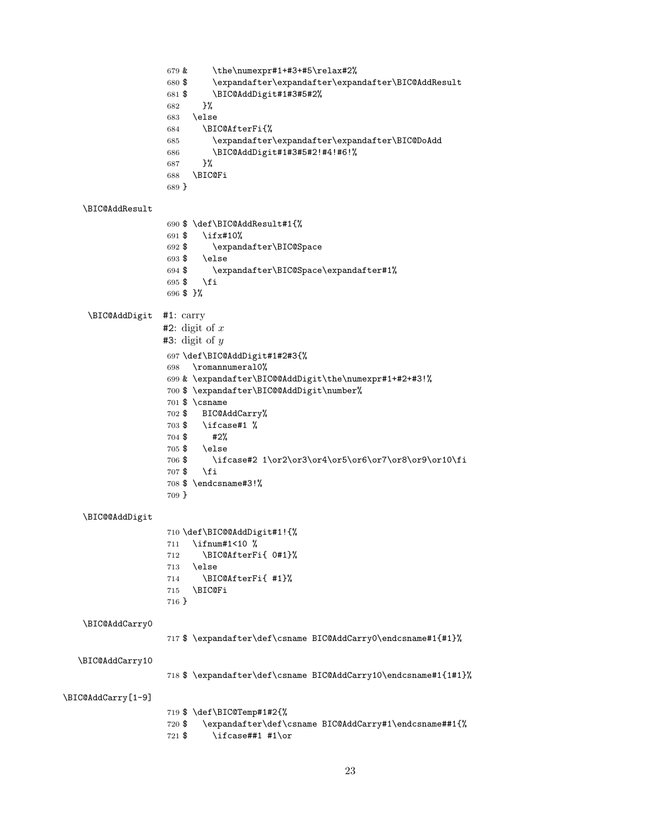<span id="page-22-30"></span><span id="page-22-29"></span><span id="page-22-28"></span><span id="page-22-27"></span><span id="page-22-26"></span><span id="page-22-25"></span><span id="page-22-24"></span><span id="page-22-23"></span><span id="page-22-22"></span><span id="page-22-21"></span><span id="page-22-20"></span><span id="page-22-19"></span><span id="page-22-18"></span><span id="page-22-17"></span><span id="page-22-16"></span><span id="page-22-15"></span><span id="page-22-14"></span><span id="page-22-13"></span><span id="page-22-12"></span><span id="page-22-11"></span><span id="page-22-10"></span><span id="page-22-9"></span><span id="page-22-8"></span><span id="page-22-7"></span><span id="page-22-6"></span><span id="page-22-5"></span><span id="page-22-4"></span><span id="page-22-3"></span><span id="page-22-2"></span><span id="page-22-1"></span><span id="page-22-0"></span> & \the\numexpr#1+#3+#5\relax#2% \$ \expandafter\expandafter\expandafter\BIC@AddResult \$ \BIC@AddDigit#1#3#5#2% }% \else \BIC@AfterFi{% \expandafter\expandafter\expandafter\BIC@DoAdd \BIC@AddDigit#1#3#5#2!#4!#6!% }% \BIC@Fi } \BIC@AddResult \$ \def\BIC@AddResult#1{% \$ \ifx#10% \$ \expandafter\BIC@Space \$ \else \$ \expandafter\BIC@Space\expandafter#1% 695 \$\fi \$ }% \BIC@AddDigit #1: carry  $#2$ : digit of x  $#3:$  digit of y \def\BIC@AddDigit#1#2#3{% \romannumeral0% & \expandafter\BIC@@AddDigit\the\numexpr#1+#2+#3!% \$ \expandafter\BIC@@AddDigit\number% \$ \csname \$ BIC@AddCarry% \$ \ifcase#1 %  $704 $$  #2%<br> $705 $$  \else  $\text{else}$  \$ \ifcase#2 1\or2\or3\or4\or5\or6\or7\or8\or9\or10\fi \$ \fi \$ \endcsname#3!% } \BIC@@AddDigit \def\BIC@@AddDigit#1!{% \ifnum#1<10 % \BIC@AfterFi{ 0#1}% \else \BIC@AfterFi{ #1}% \BIC@Fi } \BIC@AddCarry0 \$ \expandafter\def\csname BIC@AddCarry0\endcsname#1{#1}% \BIC@AddCarry10 \$ \expandafter\def\csname BIC@AddCarry10\endcsname#1{1#1}% \BIC@AddCarry[1-9] \$ \def\BIC@Temp#1#2{% \$ \expandafter\def\csname BIC@AddCarry#1\endcsname##1{% \$ \ifcase##1 #1\or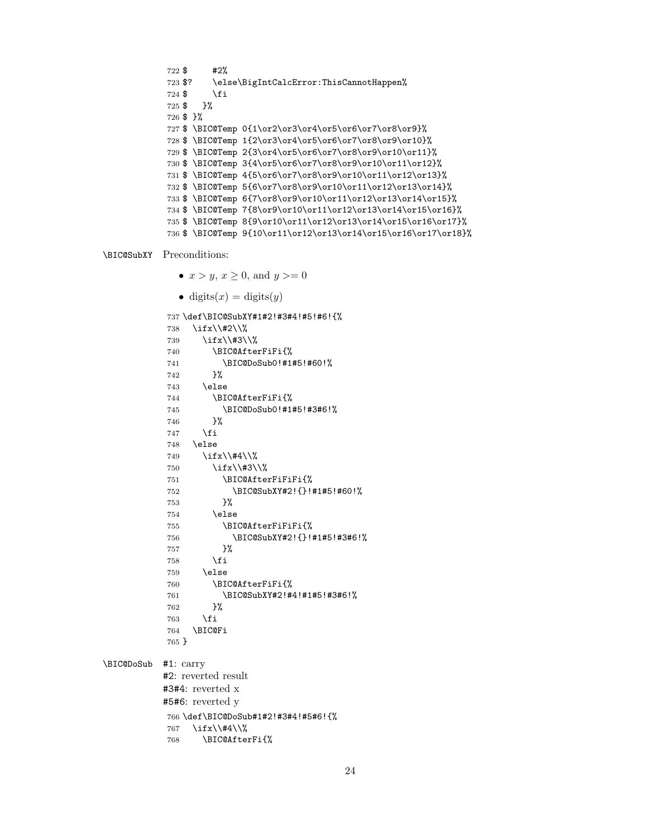```
722 $ #2%
723 $? \else\BigIntCalcError:ThisCannotHappen%
724 \text{ } \fi
725 $ }%
726 $ }%
727 $ \BIC@Temp 0{1\or2\or3\or4\or5\or6\or7\or8\or9}%
728 $ \BIC@Temp 1{2\or3\or4\or5\or6\or7\or8\or9\or10}%
729 $ \BIC@Temp 2{3\or4\or5\or6\or7\or8\or9\or10\or11}%
730 $ \BIC@Temp 3{4\or5\or6\or7\or8\or9\or10\or11\or12}%
731 $ \BIC@Temp 4{5\or6\or7\or8\or9\or10\or11\or12\or13}%
732 $ \BIC@Temp 5{6\or7\or8\or9\or10\or11\or12\or13\or14}%
733 $ \BIC@Temp 6{7\or8\or9\or10\or11\or12\or13\or14\or15}%
734 $ \BIC@Temp 7{8\or9\or10\or11\or12\or13\or14\or15\or16}%
735 $ \BIC@Temp 8{9\or10\or11\or12\or13\or14\or15\or16\or17}%
736 $ \BIC@Temp 9{10\or11\or12\or13\or14\or15\or16\or17\or18}%
```
<span id="page-23-20"></span><span id="page-23-15"></span>\BIC@SubXY Preconditions:

- <span id="page-23-25"></span><span id="page-23-24"></span><span id="page-23-23"></span><span id="page-23-22"></span><span id="page-23-21"></span>•  $x > y, x \ge 0$ , and  $y >= 0$
- <span id="page-23-11"></span><span id="page-23-6"></span><span id="page-23-1"></span><span id="page-23-0"></span>• digits $(x)$  = digits $(y)$

```
737 \def\BIC@SubXY#1#2!#3#4!#5!#6!{%
           738 \ifx\\#2\\%
           739 \ifx\\#3\\%
           740 \BIC@AfterFiFi{%
           741 \BIC@DoSub0!#1#5!#60!%
           742 }%
           743 \else
           744 \BIC@AfterFiFi{%
           745 \BIC@DoSub0!#1#5!#3#6!%
           746 }%
           747 \int fi
           748 \else
           749 \ifx\\#4\\%
           750 \ifx\\#3\\%
           751 \BIC@AfterFiFiFi{%
           752 \BIC@SubXY#2!{}!#1#5!#60!%
           753 }%
           754 \else
           755 \BIC@AfterFiFiFi{%
           756 \BIC@SubXY#2!{}!#1#5!#3#6!%
           757 }%
           758 \fi
           759 \else
           760 \BIC@AfterFiFi{%
           761 \BIC@SubXY#2!#4!#1#5!#3#6!%
           762 }%
           763 \setminusfi
           764 \BIC@Fi
           765 }
\BIC@DoSub #1: carry
          #2: reverted result
          #3#4: reverted x
          #5#6: reverted y
          766 \def\BIC@DoSub#1#2!#3#4!#5#6!{%
           767 \ifx\\#4\\%
           768 \BIC@AfterFi{%
```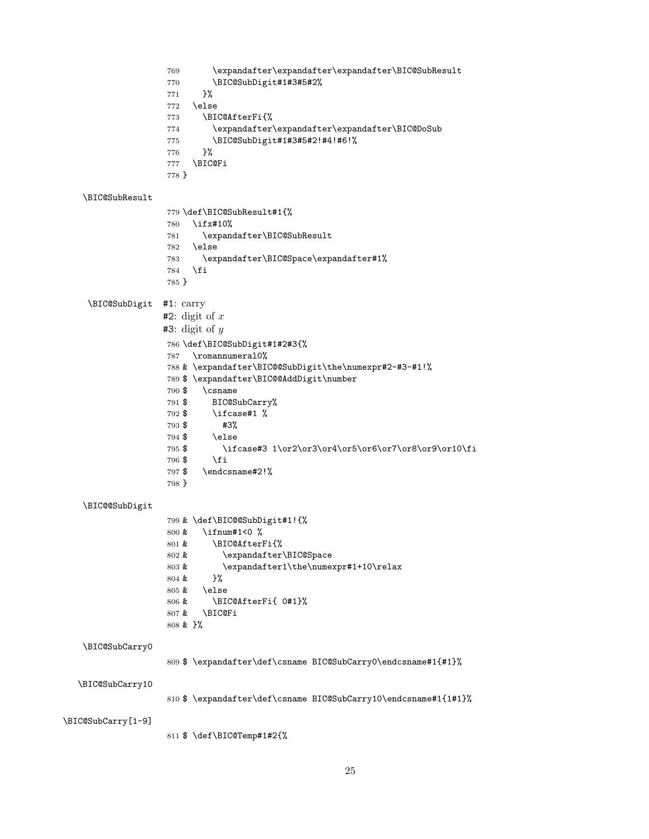<span id="page-24-28"></span><span id="page-24-27"></span><span id="page-24-26"></span><span id="page-24-25"></span><span id="page-24-24"></span><span id="page-24-23"></span><span id="page-24-22"></span><span id="page-24-21"></span><span id="page-24-20"></span><span id="page-24-19"></span><span id="page-24-18"></span><span id="page-24-17"></span><span id="page-24-16"></span><span id="page-24-15"></span><span id="page-24-14"></span><span id="page-24-13"></span><span id="page-24-12"></span><span id="page-24-11"></span><span id="page-24-10"></span><span id="page-24-9"></span><span id="page-24-8"></span><span id="page-24-7"></span><span id="page-24-6"></span><span id="page-24-5"></span><span id="page-24-4"></span><span id="page-24-3"></span><span id="page-24-2"></span><span id="page-24-1"></span><span id="page-24-0"></span> \expandafter\expandafter\expandafter\BIC@SubResult \BIC@SubDigit#1#3#5#2% }% \else \BIC@AfterFi{% \expandafter\expandafter\expandafter\BIC@DoSub \BIC@SubDigit#1#3#5#2!#4!#6!% }% \BIC@Fi } \BIC@SubResult \def\BIC@SubResult#1{% \ifx#10% \expandafter\BIC@SubResult \else \expandafter\BIC@Space\expandafter#1% \fi } \BIC@SubDigit #1: carry  $#2$ : digit of x  $#3:$  digit of y \def\BIC@SubDigit#1#2#3{% \romannumeral0% & \expandafter\BIC@@SubDigit\the\numexpr#2-#3-#1!% \$ \expandafter\BIC@@AddDigit\number \$ \csname \$ BIC@SubCarry% \$ \ifcase#1 % \$ #3% \$ \else \$ \ifcase#3 1\or2\or3\or4\or5\or6\or7\or8\or9\or10\fi \$ \fi \$ \endcsname#2!% } \BIC@@SubDigit & \def\BIC@@SubDigit#1!{% & \ifnum#1<0 % & \BIC@AfterFi{% 802 & \expandafter\BIC@Space 803 & \expandafter1\the\numexpr#1+10\relax & }% & \else & \BIC@AfterFi{ 0#1}% & \BIC@Fi & }% \BIC@SubCarry0 \$ \expandafter\def\csname BIC@SubCarry0\endcsname#1{#1}% \BIC@SubCarry10 \$ \expandafter\def\csname BIC@SubCarry10\endcsname#1{1#1}% \BIC@SubCarry[1-9] \$ \def\BIC@Temp#1#2{%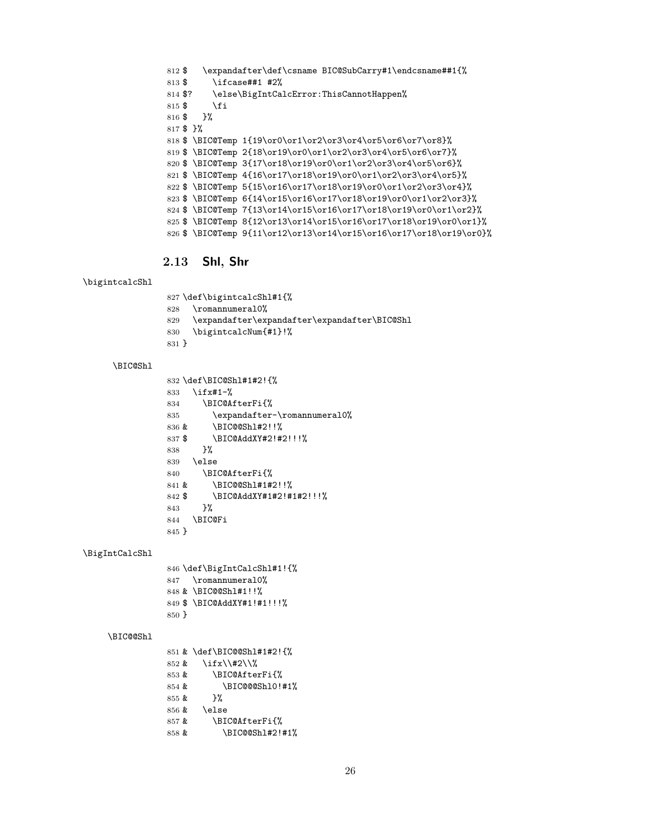<span id="page-25-31"></span><span id="page-25-30"></span><span id="page-25-26"></span><span id="page-25-19"></span><span id="page-25-18"></span><span id="page-25-17"></span> \$ \expandafter\def\csname BIC@SubCarry#1\endcsname##1{% \$ \ifcase##1 #2% 814 \$? \else\BigIntCalcError:ThisCannotHappen%  $\text{\$}$  \fi \$ }% \$ }% \$ \BIC@Temp 1{19\or0\or1\or2\or3\or4\or5\or6\or7\or8}% \$ \BIC@Temp 2{18\or19\or0\or1\or2\or3\or4\or5\or6\or7}%  $\Big\$  \BIC@Temp 3{17\or18\or19\or0\or1\or2\or3\or4\or5\or6}% \$ \BIC@Temp 4{16\or17\or18\or19\or0\or1\or2\or3\or4\or5}% \$ \BIC@Temp 5{15\or16\or17\or18\or19\or0\or1\or2\or3\or4}% \$ \BIC@Temp 6{14\or15\or16\or17\or18\or19\or0\or1\or2\or3}% \$ \BIC@Temp 7{13\or14\or15\or16\or17\or18\or19\or0\or1\or2}% \$ \BIC@Temp 8{12\or13\or14\or15\or16\or17\or18\or19\or0\or1}% \$ \BIC@Temp 9{11\or12\or13\or14\or15\or16\or17\or18\or19\or0}%

### <span id="page-25-25"></span><span id="page-25-24"></span><span id="page-25-23"></span><span id="page-25-22"></span><span id="page-25-21"></span><span id="page-25-20"></span><span id="page-25-0"></span>2.13 Shl, Shr

#### <span id="page-25-29"></span>\bigintcalcShl

<span id="page-25-33"></span><span id="page-25-27"></span><span id="page-25-15"></span> \def\bigintcalcShl#1{% \romannumeral0% \expandafter\expandafter\expandafter\BIC@Shl \bigintcalcNum{#1}!% }

#### <span id="page-25-16"></span>\BIC@Shl

<span id="page-25-34"></span><span id="page-25-32"></span><span id="page-25-11"></span><span id="page-25-10"></span><span id="page-25-7"></span><span id="page-25-3"></span>

|         | 832 \def\BIC@Sh1#1#2!{%      |
|---------|------------------------------|
| 833     | $\iota$ ifx#1-%              |
| 834     | \BIC@AfterFi{%               |
| 835     | \expandafter-\romannumeral0% |
| 836 &   | \BIC@@Sh1#2!!%               |
| 837\$   | \BIC@AddXY#2!#2!!!%          |
| 838     | ጉ%                           |
| 839     | \else                        |
| 840     | \BIC@AfterFi{%               |
| 841 &   | \BIC@@Sh1#1#2!!%             |
| 842 \$  | \BIC@AddXY#1#2!#1#2!!!%      |
| 843     | ጉ%                           |
| 844     | \BIC@Fi                      |
| $845$ } |                              |

#### <span id="page-25-28"></span>\BigIntCalcShl

<span id="page-25-35"></span><span id="page-25-14"></span><span id="page-25-9"></span><span id="page-25-8"></span><span id="page-25-5"></span><span id="page-25-4"></span>

|         | 846 \def\BigIntCalcShl#1!{% |
|---------|-----------------------------|
|         | 847 \romannumeral0%         |
|         | 848 & \BIC@@Shl#1!!%        |
|         | 849 \$ \BIC@AddXY#1!#1!!!%  |
| $850$ } |                             |

#### <span id="page-25-6"></span>\BIC@@Shl

<span id="page-25-13"></span><span id="page-25-12"></span><span id="page-25-2"></span><span id="page-25-1"></span>

|           | 851 & \def\BIC@@Shl#1#2!{% |
|-----------|----------------------------|
| 852 &     | \ifx\\#2\\%                |
| 853 &     | \BIC@AfterFi{%             |
| 854 &     | \BIC@@@Sh10!#1%            |
| $8.55 \&$ | ጉ%                         |
| 856 &     | \else                      |
| 857 &     | \BIC@AfterFi{%             |
| 858 &     | \BIC@@Shl#2!#1%            |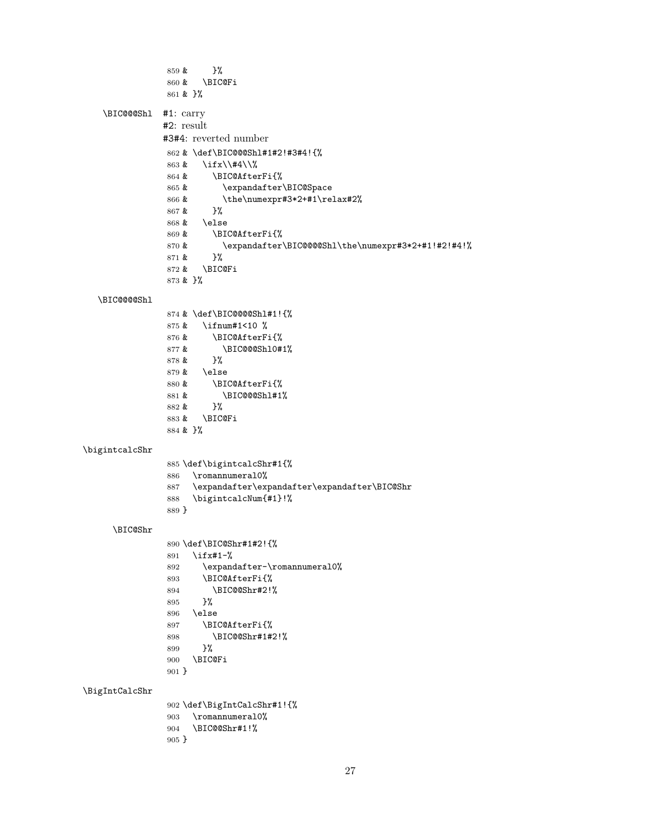```
859 & }%
               860 & \BIC@Fi
               861 & }%
   \BIC@@@Shl #1: carry
              #2: result
              #3#4: reverted number
               862 & \def\BIC@@@Shl#1#2!#3#4!{%
               863 & \ifx\\#4\\%
               864 & \BIC@AfterFi{%
               865 & \expandafter\BIC@Space
               866 & \the\numexpr#3*2+#1\relax#2%
               867 & }%
               868 & \else
               869 & \BIC@AfterFi{%
               870 & \expandafter\BIC@@@@Shl\the\numexpr#3*2+#1!#2!#4!%
               871 & }%
               872 & \BIC@Fi
               873 & }%
  \BIC@@@@Shl
               874 & \def\BIC@@@@Shl#1!{%
               875 & \ifnum#1<10 %
               876 & \BIC@AfterFi{%
               877 \& \BIC@@@Shl0#1%
               878 &879 & \else
               880 & \BIC@AfterFi{%
               881 & \BIC@@@Shl#1%
               882 & }%
               883 & \BIC@Fi
               884 & }%
\bigintcalcShr
               885 \def\bigintcalcShr#1{%
               886 \romannumeral0%
               887 \expandafter\expandafter\expandafter\BIC@Shr
               888 \bigintcalcNum{#1}!%
               889 }
     \BIC@Shr
               890 \def\BIC@Shr#1#2!{%
               891 \ifx#1-%
               892 \expandafter-\romannumeral0%
               893 \BIC@AfterFi{%
               894 \BIC@@Shr#2!%
               895 }%
               896 \else
               897 \BIC@AfterFi{%
               898 \BIC@@Shr#1#2!%
               899 }%
               900 \BIC@Fi
               901 }
\BigIntCalcShr
               902 \def\BigIntCalcShr#1!{%
               903 \romannumeral0%
               904 \BIC@@Shr#1!%
               905 }
```
<span id="page-26-30"></span><span id="page-26-29"></span><span id="page-26-28"></span><span id="page-26-26"></span><span id="page-26-23"></span><span id="page-26-22"></span><span id="page-26-20"></span><span id="page-26-19"></span><span id="page-26-18"></span><span id="page-26-14"></span><span id="page-26-13"></span><span id="page-26-8"></span><span id="page-26-7"></span><span id="page-26-6"></span>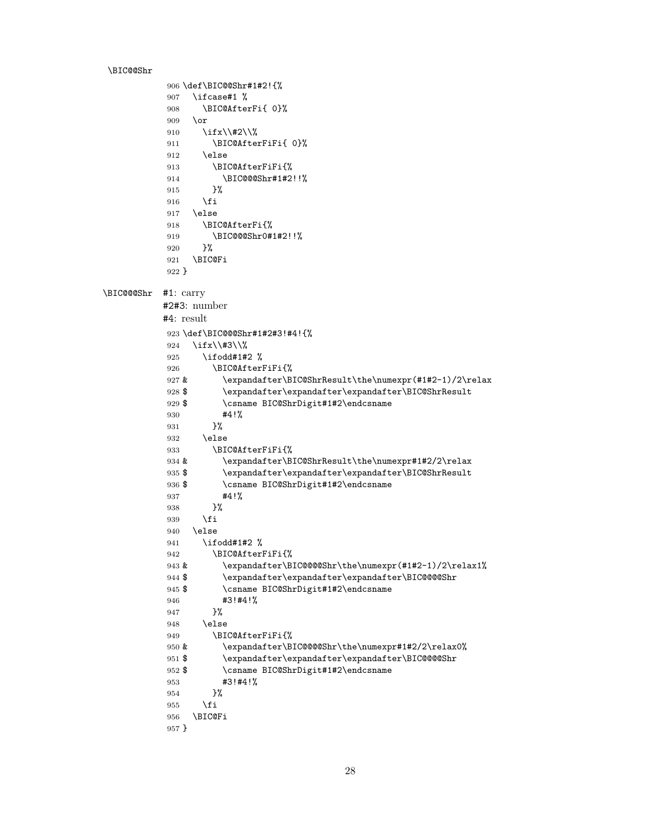```
\BIC@@Shr
           906 \def\BIC@@Shr#1#2!{%
           907 \ifcase#1 %
           908 \BIC@AfterFi{ 0}%
           909 \or
           910 \ifx\\#2\\%
           911 \BIC@AfterFiFi{ 0}%
           912 \else
           913 \BIC@AfterFiFi{%
           914 \BIC@@@Shr#1#2!!%
           915 }%
           916 \fi
           917 \else
           918 \BIC@AfterFi{%
           919 \BIC@@@Shr0#1#2!!%
           920 }%
           921 \BIC@Fi
           922 }
\BIC@@@Shr #1: carry
          #2#3: number
           #4: result
           923 \def\BIC@@@Shr#1#2#3!#4!{%
           924 \ifx\\#3\\%
           925 \ifodd#1#2 %
           926 \BIC@AfterFiFi{%
           927 & \expandafter\BIC@ShrResult\the\numexpr(#1#2-1)/2\relax
           928 $ \expandafter\expandafter\expandafter\BIC@ShrResult
           929 $ \csname BIC@ShrDigit#1#2\endcsname
           930 #4!%
           931 }%
           932 \else
           933 \BIC@AfterFiFi{%
           934 & \expandafter\BIC@ShrResult\the\numexpr#1#2/2\relax
           935 $ \expandafter\expandafter\expandafter\BIC@ShrResult<br>936 $ \csname BIC@ShrDigit#1#2\endcsname
                      \csname BIC@ShrDigit#1#2\endcsname
           937 #4!%
           938 }%
           939 \setminusfi
           940 \else
           941 \ifodd#1#2 %
           942 \BIC@AfterFiFi{%
           943 & \expandafter\BIC@@@@Shr\the\numexpr(#1#2-1)/2\relax1%
           944 $ \expandafter\expandafter\expandafter\BIC@@@@Shr
           945 $ \csname BIC@ShrDigit#1#2\endcsname
           946 #3!#4!%
           947 }%
           948 \else
           949 \BIC@AfterFiFi{%
           950 & \expandafter\BIC@@@@Shr\the\numexpr#1#2/2\relax0%
           951 $ \expandafter\expandafter\expandafter\BIC@@@@Shr
           952 $ \csname BIC@ShrDigit#1#2\endcsname
           953 #3!#4!%
           954 }%
           955 \fi
           956 \BIC@Fi
           957 }
```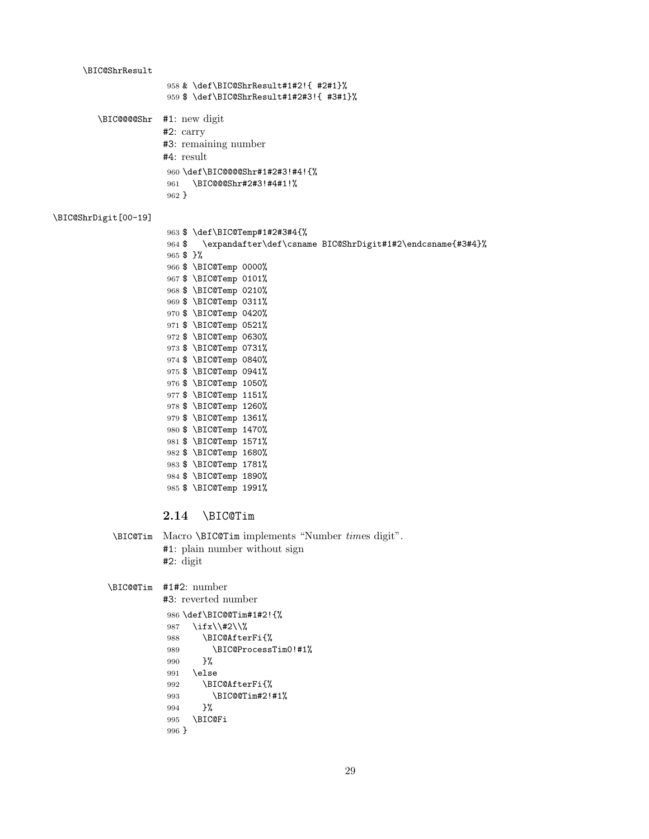```
\BIC@ShrResult
                       958 & \def\BIC@ShrResult#1#2!{ #2#1}%
                       959 $ \def\BIC@ShrResult#1#2#3!{ #3#1}%
         \BIC@@@@Shr #1: new digit
                      #2: carry
                      #3: remaining number
                      #4: result
                       960 \def\BIC@@@@Shr#1#2#3!#4!{%
                       961 \BIC@@@Shr#2#3!#4#1!%
                       962 }
\BIC@ShrDigit[00-19]
                       963 $ \def\BIC@Temp#1#2#3#4{%
                       964 $ \expandafter\def\csname BIC@ShrDigit#1#2\endcsname{#3#4}%
                       965 $ }%
                       966 $ \BIC@Temp 0000%
                       967 $ \BIC@Temp 0101%
                       968 $ \BIC@Temp 0210%
                       969 $ \BIC@Temp 0311%
                       970 $ \BIC@Temp 0420%
                       971 $ \BIC@Temp 0521%
                       972 $ \BIC@Temp 0630%
                      973 $ \BIC@Temp 0731%
                       974 $ \BIC@Temp 0840%
                       975 $ \BIC@Temp 0941%
                       976 $ \BIC@Temp 1050%
                       977 $ \BIC@Temp 1151%
                       978 $ \BIC@Temp 1260%
                       979 $ \BIC@Temp 1361%
                       980 $ \BIC@Temp 1470%
                       981 $ \BIC@Temp 1571%
                       982 $ \BIC@Temp 1680%
                       983 $ \BIC@Temp 1781%
                       984 $ \BIC@Temp 1890%
                       985 $ \BIC@Temp 1991%
                      2.14 \BIC@Tim
            \BIC@Tim Macro \BIC@Tim implements "Number times digit".
                      #1: plain number without sign
                      #2: digit
           \BIC@@Tim #1#2: number
                      #3: reverted number
                       986 \def\BIC@@Tim#1#2!{%
                       987 \ifx\\#2\\%
                       988 \BIC@AfterFi{%
                       989 \BIC@ProcessTim0!#1%
                       990 }%
                       991 \else
                       992 \BIC@AfterFi{%
                       993 \BIC@@Tim#2!#1%
                       994 }%
                       995 \BIC@Fi
                       996 }
```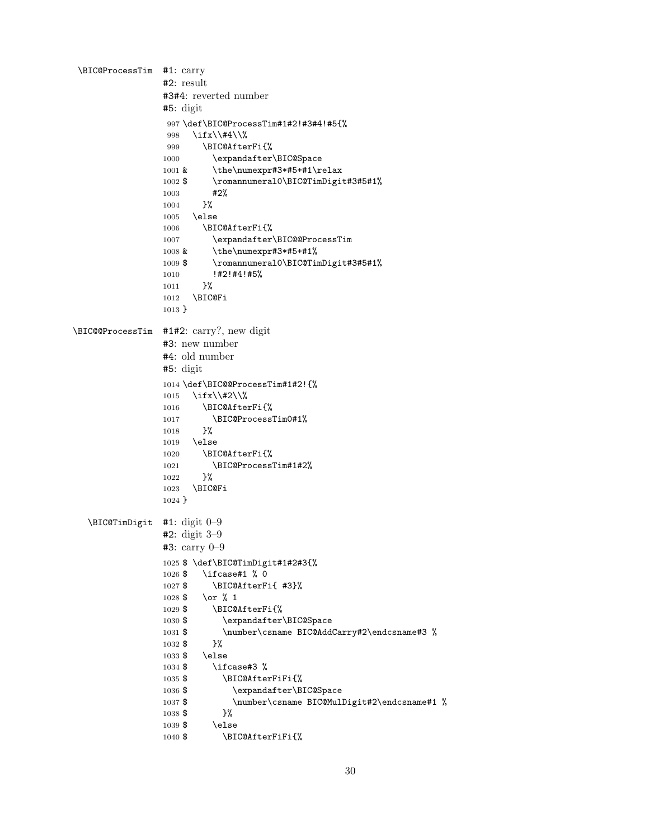<span id="page-29-28"></span><span id="page-29-27"></span><span id="page-29-26"></span><span id="page-29-25"></span><span id="page-29-24"></span><span id="page-29-23"></span><span id="page-29-22"></span><span id="page-29-21"></span><span id="page-29-20"></span><span id="page-29-19"></span><span id="page-29-18"></span><span id="page-29-17"></span><span id="page-29-16"></span><span id="page-29-15"></span><span id="page-29-14"></span><span id="page-29-13"></span><span id="page-29-12"></span><span id="page-29-11"></span><span id="page-29-10"></span><span id="page-29-9"></span><span id="page-29-8"></span><span id="page-29-7"></span><span id="page-29-6"></span><span id="page-29-5"></span><span id="page-29-4"></span><span id="page-29-3"></span><span id="page-29-2"></span><span id="page-29-1"></span><span id="page-29-0"></span>\BIC@ProcessTim #1: carry #2: result #3#4: reverted number #5: digit 997 \def\BIC@ProcessTim#1#2!#3#4!#5{% 998 \ifx\\#4\\% 999 \BIC@AfterFi{% 1000 \expandafter\BIC@Space 1001 & \the\numexpr#3\*#5+#1\relax 1002 \$ \romannumeral0\BIC@TimDigit#3#5#1% 1003 #2%  $1004$ 1005 \else 1006 \BIC@AfterFi{% 1007 \expandafter\BIC@@ProcessTim 1008 & \the\numexpr#3\*#5+#1% 1009 \$ \romannumeral0\BIC@TimDigit#3#5#1% 1010 !#2!#4!#5% 1011 }% 1012 \BIC@Fi 1013 } \BIC@@ProcessTim #1#2: carry?, new digit #3: new number #4: old number #5: digit 1014 \def\BIC@@ProcessTim#1#2!{% 1015 \ifx\\#2\\% 1016 \BIC@AfterFi{% 1017 \BIC@ProcessTim0#1% 1018 }% 1019 \else 1020 \BIC@AfterFi{% 1021 \BIC@ProcessTim#1#2% 1022 }% 1023 \BIC@Fi 1024 } \BIC@TimDigit #1: digit 0–9 #2: digit 3–9 #3: carry 0–9 1025 \$ \def\BIC@TimDigit#1#2#3{% 1026 \$ \ifcase#1 % 0 1027 \$ \BIC@AfterFi{ #3}% 1028 \$ \or % 1 1029 \$ \BIC@AfterFi{% 1030 \$ \expandafter\BIC@Space 1031 \$ \number\csname BIC@AddCarry#2\endcsname#3 % 1032 \$ }% 1033 \$ \else 1034 \$ \ifcase#3 % 1035 \$ \BIC@AfterFiFi{% 1036 \$ \expandafter\BIC@Space 1037 \$ \number\csname BIC@MulDigit#2\endcsname#1 % 1038 \$ }% 1039 \$ \else 1040 \$ \BIC@AfterFiFi{%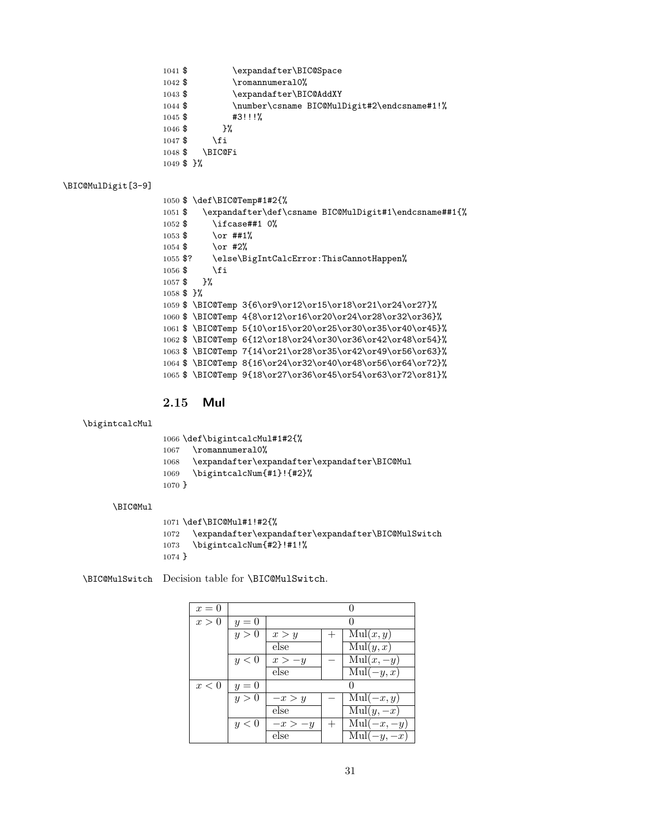- <span id="page-30-8"></span>1041 \$ \expandafter\BIC@Space<br>1042 \$ \romannumeral0%
	- $\Gamma$ 10%
- <span id="page-30-24"></span><span id="page-30-1"></span>1043 \$ \expandafter\BIC@AddXY
- <span id="page-30-21"></span>1044 \$ \number\csname BIC@MulDigit#2\endcsname#1!%
- 1045 \$ #3!!!%
- 1046 \$ }%
- 1047  $\$  \fi
- <span id="page-30-2"></span>1048 \$ \BIC@Fi
- 1049 \$ }%

### <span id="page-30-5"></span>\BIC@MulDigit[3-9]

<span id="page-30-23"></span><span id="page-30-22"></span><span id="page-30-17"></span><span id="page-30-9"></span>

|                         |                            | 1050 \$ \def\BIC@Temp#1#2{%                                 |
|-------------------------|----------------------------|-------------------------------------------------------------|
| $1051$ \$               |                            | \expandafter\def\csname BIC@MulDigit#1\endcsname##1{%       |
| $1052 \text{ }$ \$      |                            | \ifcase##1 0%                                               |
| $1053$ \$               | $\zeta$ and $\frac{11}{4}$ |                                                             |
|                         | $1054$ \$ \or #2%          |                                                             |
|                         |                            | 1055 \$? \else\BigIntCalcError:ThisCannotHappen%            |
| $1056 \text{ }$ \$      | \fi                        |                                                             |
|                         | $1057$ \$ }%               |                                                             |
| $1058$ \$ $\frac{1}{6}$ |                            |                                                             |
|                         |                            | 1059 \$ \BIC@Temp 3{6\or9\or12\or15\or18\or21\or24\or27}%   |
|                         |                            | 1060 \$\BIC@Temp 4{8\or12\or16\or20\or24\or28\or32\or36}%   |
|                         |                            | 1061 \$ \BIC@Temp 5{10\or15\or20\or25\or30\or35\or40\or45}% |
|                         |                            | 1062 \$ \BIC@Temp 6{12\or18\or24\or30\or36\or42\or48\or54}% |
|                         |                            | 1063 \$\BIC@Temp 7{14\or21\or28\or35\or42\or49\or56\or63}%  |
|                         |                            | 1064 \$ \BIC@Temp 8{16\or24\or32\or40\or48\or56\or64\or72}% |
|                         |                            | 1065 \$ \BIC@Temp 9{18\or27\or36\or45\or54\or63\or72\or81}% |
|                         |                            |                                                             |

### <span id="page-30-16"></span><span id="page-30-15"></span><span id="page-30-14"></span><span id="page-30-13"></span><span id="page-30-12"></span><span id="page-30-11"></span><span id="page-30-10"></span><span id="page-30-0"></span>2.15 Mul

#### <span id="page-30-18"></span>\bigintcalcMul

<span id="page-30-25"></span><span id="page-30-19"></span><span id="page-30-3"></span>

|          | 1066 \def\bigintcalcMul#1#2{%                |
|----------|----------------------------------------------|
|          | 1067 \romannumeral0%                         |
| 1068     | \expandafter\expandafter\expandafter\BIC@Mul |
| 1069     | \bigintcalcNum{#1}!{#2}%                     |
| $1070$ } |                                              |

#### <span id="page-30-4"></span>\BIC@Mul

```
1071 \def\BIC@Mul#1!#2{%
1072 \quad \verb|\expandafter\expandafter\expandafter\BBIC@MulSwitch|1073 \bigintcalcNum{#2}!#1!%
1074 }
```
<span id="page-30-7"></span>\BIC@MulSwitch Decision table for \BIC@MulSwitch.

| $x=0$ |       |           |                                  |
|-------|-------|-----------|----------------------------------|
| x>0   | $y=0$ |           |                                  |
|       | y>0   | x > y     | $\overline{\mathrm{Mul}}(x, y)$  |
|       |       | else      | $\overline{\mathrm{Mul}}(y,x)$   |
|       | y<0   | $x > -y$  | $\mathrm{Mul}(x, -y)$            |
|       |       | else      | $\text{Mul}(-y, x)$              |
| x<0   | $y=0$ |           |                                  |
|       | y > 0 | $-x > y$  | $\text{Mul}(-x, y)$              |
|       |       | else      | $\overline{\mathrm{Mul}}(y,-x)$  |
|       | y < 0 | $-x > -y$ | $\overline{\mathrm{Mul}}(-x,-y)$ |
|       |       | else      | $\text{Mul}(-y, -x)$             |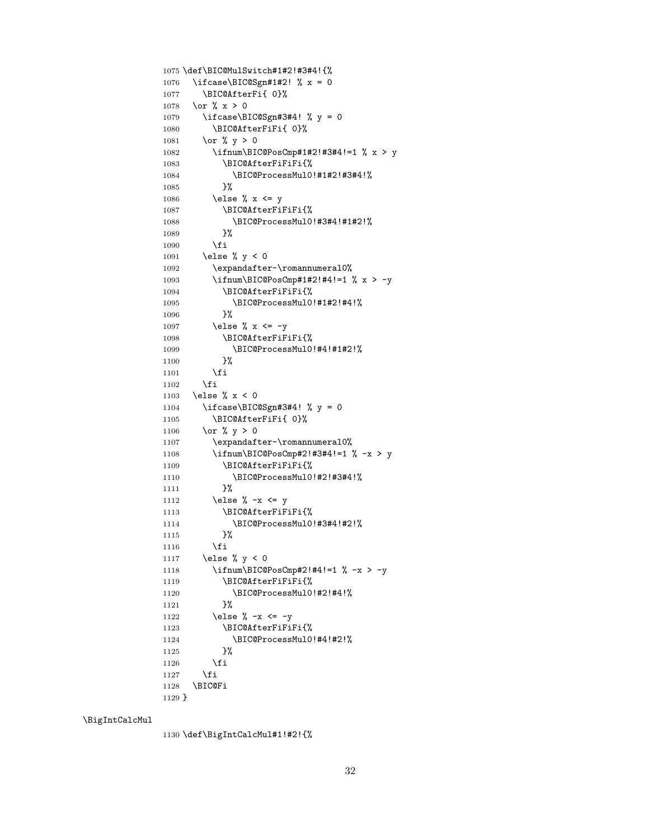```
1075 \def\BIC@MulSwitch#1#2!#3#4!{%
1076 \ifcase\BIC@Sgn#1#2! % x = 0
1077 \BIC@AfterFi{ 0}%
1078 \or \sqrt{x} > 01079 \ifcase\BIC@Sgn#3#4! % y = 0
1080 \BIC@AfterFiFi{ 0}%
1081 \or % y > 0
1082 \ifnum\BIC@PosCmp#1#2!#3#4!=1 % x > y
1083 \BIC@AfterFiFiFi{%
1084 \BIC@ProcessMul0!#1#2!#3#4!%
1085 }%
1086 \else % x <= y
1087 \BIC@AfterFiFiFi{%
1088 \BIC@ProcessMul0!#3#4!#1#2!%
1089 }%
1090 \qquad \qquad \int fi
1091 \else % y < 0
1092 \expandafter-\romannumeral0%
1093 \ifnum\BIC@PosCmp#1#2!#4!=1 % x > -y
1094 \BIC@AfterFiFiFi{%
1095 \BIC@ProcessMul0!#1#2!#4!%
1096 }%
1097 \else % x <= -y1098 \BIC@AfterFiFiFi{%
1099 \BIC@ProcessMul0!#4!#1#2!%
1100 }%
1101 \fi
1102 \fi
1103 \else \% x < 01104 \iint case\B{BIC@Sgn#3#4! } \gamma = 01105 \BIC@AfterFiFi{ 0}%
1106 \or % y > 01107 \expandafter-\romannumeral0%
1108 \ifnum\BIC@PosCmp#2!#3#4!=1 % -x > y
1109 \BIC@AfterFiFiFi{%
1110 \BIC@ProcessMul0!#2!#3#4!%
1111 }%
1112 \else % -x \leq y
1113 \BIC@AfterFiFiFi{%
1114 \BIC@ProcessMul0!#3#4!#2!%
1115 }%
1116 \fi
1117 \else % y < 01118 \ifnum\BIC@PosCmp#2!#4!=1 % -x > -y
1119 \BIC@AfterFiFiFi{%
1120 \BIC@ProcessMul0!#2!#4!%
1121 }%
1122 \else % -x <= -y
1123 \BIC@AfterFiFiFi{%
1124 \BIC@ProcessMul0!#4!#2!%
1125 }%
1126 \overline{1126}1127 \fi
1128 \BIC@Fi
1129 }
```
<span id="page-31-29"></span><span id="page-31-27"></span><span id="page-31-26"></span><span id="page-31-20"></span><span id="page-31-14"></span><span id="page-31-7"></span><span id="page-31-2"></span>\BigIntCalcMul

<span id="page-31-23"></span><span id="page-31-22"></span><span id="page-31-21"></span><span id="page-31-15"></span><span id="page-31-11"></span><span id="page-31-10"></span><span id="page-31-9"></span><span id="page-31-8"></span>1130 \def\BigIntCalcMul#1!#2!{%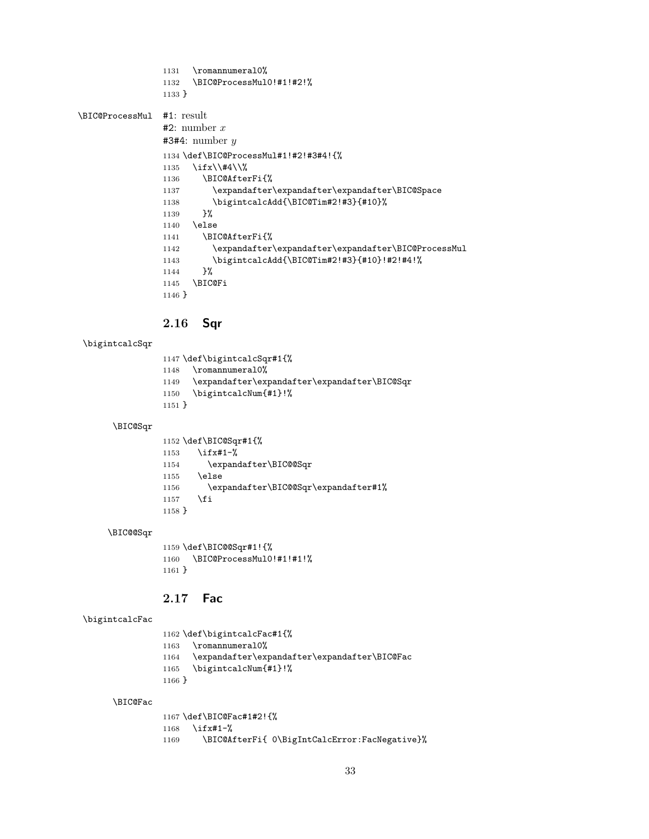<span id="page-32-26"></span><span id="page-32-13"></span><span id="page-32-12"></span><span id="page-32-6"></span><span id="page-32-2"></span>1131 \romannumeral0% \BIC@ProcessMul0!#1!#2!% } \BIC@ProcessMul #1: result #2: number  $x$ #3#4: number y \def\BIC@ProcessMul#1!#2!#3#4!{% \ifx\\#4\\% \BIC@AfterFi{% \expandafter\expandafter\expandafter\BIC@Space 1138 \bigintcalcAdd{\BIC@Tim#2!#3}{#10}% }% \else \BIC@AfterFi{% \expandafter\expandafter\expandafter\BIC@ProcessMul \bigintcalcAdd{\BIC@Tim#2!#3}{#10}!#2!#4!% 1144 }% \BIC@Fi }

### <span id="page-32-19"></span><span id="page-32-18"></span><span id="page-32-15"></span><span id="page-32-11"></span><span id="page-32-7"></span><span id="page-32-0"></span>2.16 Sqr

#### <span id="page-32-23"></span>\bigintcalcSqr

<span id="page-32-27"></span><span id="page-32-21"></span><span id="page-32-16"></span> \def\bigintcalcSqr#1{% 1148 \romannumeral0% \expandafter\expandafter\expandafter\BIC@Sqr \bigintcalcNum{#1}!% }

### <span id="page-32-17"></span>\BIC@Sqr

<span id="page-32-24"></span><span id="page-32-4"></span><span id="page-32-3"></span>

|          | $1152 \def\B{BIC@Sqr#1{{\cal{N}}}}$  |
|----------|--------------------------------------|
| 1153     | $\iota$ ifx#1-%                      |
| 1154     | \expandafter\BIC@@Sqr                |
| 1155     | \else                                |
| 1156     | \expandafter\BIC@@Sqr\expandafter#1% |
| 1157     | \fi                                  |
| $1158$ } |                                      |

#### <span id="page-32-5"></span>\BIC@@Sqr

<span id="page-32-14"></span> \def\BIC@@Sqr#1!{% \BIC@ProcessMul0!#1!#1!% }

#### <span id="page-32-1"></span>2.17 Fac

#### <span id="page-32-20"></span>\bigintcalcFac

<span id="page-32-28"></span><span id="page-32-22"></span><span id="page-32-9"></span> \def\bigintcalcFac#1{% 1163 \romannumeral0% \expandafter\expandafter\expandafter\BIC@Fac \bigintcalcNum{#1}!% }

#### <span id="page-32-10"></span>\BIC@Fac

```
1167 \def\BIC@Fac#1#2!{%
1168 \ifx#1-%
1169 \BIC@AfterFi{ 0\BigIntCalcError:FacNegative}%
```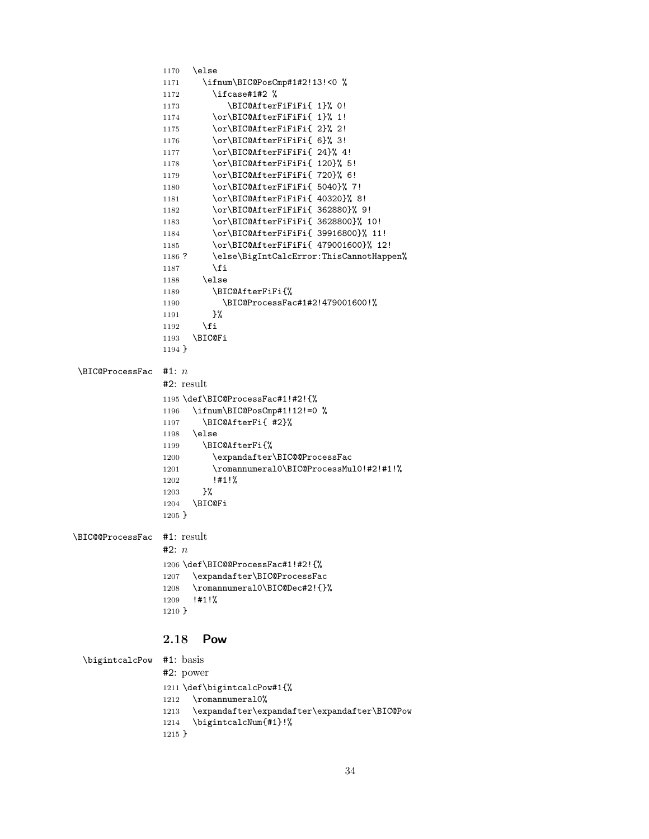```
1170 \else
                1171 \ifnum\BIC@PosCmp#1#2!13!<0 %
                1172 \ifcase#1#2 %
                1173 \BIC@AfterFiFiFi{ 1}% 0!
                1174 \or\BIC@AfterFiFiFi{ 1}% 1!
                1175 \or\BIC@AfterFiFiFi{ 2}% 2!
                1176 \or\BIC@AfterFiFiFi{ 6}% 3!
                1177 \or\BIC@AfterFiFiFi{ 24}% 4!
                1178 \or\BIC@AfterFiFiFi{ 120}% 5!
                1179 \or\BIC@AfterFiFiFi{ 720}% 6!
                1180 \or\BIC@AfterFiFiFi{ 5040}% 7!
                1181 \or\BIC@AfterFiFiFi{ 40320}% 8!
                1182 \or\BIC@AfterFiFiFi{ 362880}% 9!
                1183 \or\BIC@AfterFiFiFi{ 3628800}% 10!
                1184 \or\BIC@AfterFiFiFi{ 39916800}% 11!
                1185 \or\BIC@AfterFiFiFi{ 479001600}% 12!
                1186 ? \else\BigIntCalcError:ThisCannotHappen%
                1187 \fi
                1188 \else
                1189 \BIC@AfterFiFi{%
                1190 \BIC@ProcessFac#1#2!479001600!%
                1191 }%
                1192 \fi
                1193 \BIC@Fi
                1194 }
 \Bbb{IC@ProcessFac #1: n#2: result
                1195 \def\BIC@ProcessFac#1!#2!{%
                1196 \ifnum\BIC@PosCmp#1!12!=0 %
                1197 \BIC@AfterFi{ #2}%
                1198 \else
                1199 \BIC@AfterFi{%
                1200 \expandafter\BIC@@ProcessFac
                1201 \romannumeral0\BIC@ProcessMul0!#2!#1!%
                1202 !#1!%
                1203 }%
                1204 \BIC@Fi
                1205 }
\BIC@@ProcessFac #1: result
                #2: n1206 \def\BIC@@ProcessFac#1!#2!{%
                1207 \expandafter\BIC@ProcessFac
                1208 \romannumeral0\BIC@Dec#2!{}%
                1209 !#1!%
                1210 }
                2.18 Pow
 \bigintcalcPow #1: basis
                #2: power
                1211 \def\bigintcalcPow#1{%
                1212 \romannumeral0%
                1213 \expandafter\expandafter\expandafter\BIC@Pow
```

```
1214 \bigintcalcNum{#1}!%
1215 }
```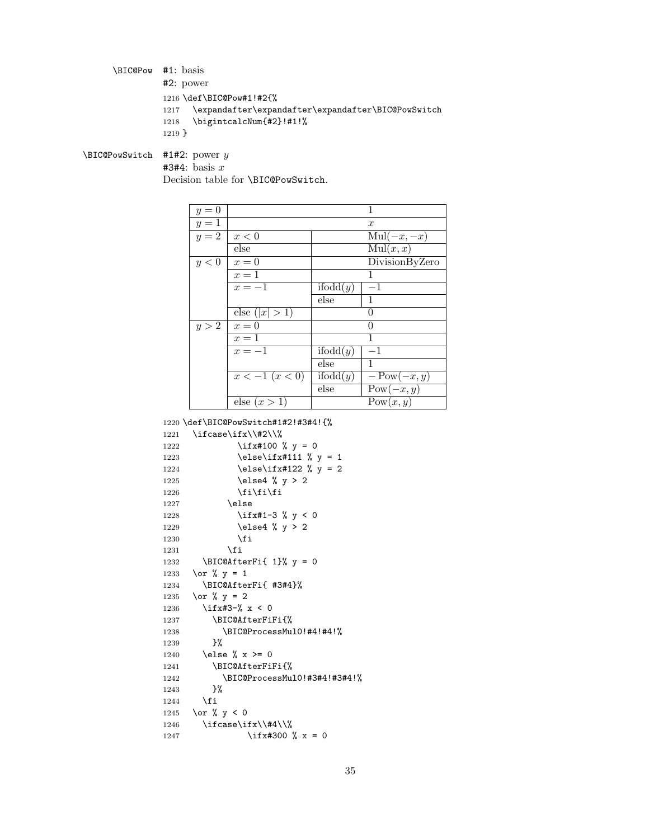<span id="page-34-6"></span>\BIC@Pow #1: basis #2: power 1216 \def\BIC@Pow#1!#2{% 1217 \expandafter\expandafter\expandafter\BIC@PowSwitch 1218 \bigintcalcNum{#2}!#1!% 1219 }

<span id="page-34-8"></span> $\Bbb{C}QPowSwitch$  #1#2: power y

<span id="page-34-11"></span><span id="page-34-7"></span> $#3#4:$  basis x

Decision table for \BIC@PowSwitch.

| $y=0$ |                               |                              | 1                     |
|-------|-------------------------------|------------------------------|-----------------------|
| $y=1$ |                               |                              | $\boldsymbol{x}$      |
| $y=2$ | x<0                           |                              | $\text{Mul}(-x, -x)$  |
|       | else                          |                              | $\mathrm{Mul}(x, x)$  |
| y<0   | $x=0$                         |                              | DivisionByZero        |
|       | $x=1$                         |                              | 1                     |
|       | $x=-1$                        | if odd(y)                    | $-1$                  |
|       |                               | else                         | $\mathbf{1}$          |
|       | else $( x  > 1)$              |                              | 0                     |
| y > 2 | $x=0$                         |                              | $\Omega$              |
|       | $x=1$                         |                              |                       |
|       | $x=-1$                        | $\overline{\text{ifodd}}(y)$ | $-1$                  |
|       |                               | else                         | $\mathbf{1}$          |
|       | $\overline{x}$ = 1 ( $x$ < 0) | if odd(y)                    | $-\mathrm{Pow}(-x,y)$ |
|       |                               | else                         | $Pow(-x, y)$          |
|       | else $(x>1)$                  |                              | Pow(x, y)             |

1220 \def\BIC@PowSwitch#1#2!#3#4!{%

```
1221 \ifcase\ifx\\#2\\%
1222 \iint x#100 % y = 01223 \else\ifx#111 % y = 11224 \else\ifx#122 % y = 21225 \else4 % y > 21226 \fi\fi\fi
1227 \else
1228 \iint x#1-3 % y < 01229 \else4 % y > 21230 \quad \text{if}1231 \overline{f}1232 \BIC@AfterFi{ 1}% y = 0
1233 \or % y = 11234 \BIC@AfterFi{ #3#4}%
1235 \or % y = 21236 \ifx#3-% x < 0
1237 \BIC@AfterFiFi{%
1238 \BIC@ProcessMul0!#4!#4!%
1239 }%
1240 \else % x >= 0
1241 \BIC@AfterFiFi{%
1242 \BIC@ProcessMul0!#3#4!#3#4!%<br>1243 }%
12431244 \fi
1245 \or % y < 01246 \ifcase\ifx\\#4\\%
1247 \iint x #300 % x = 0
```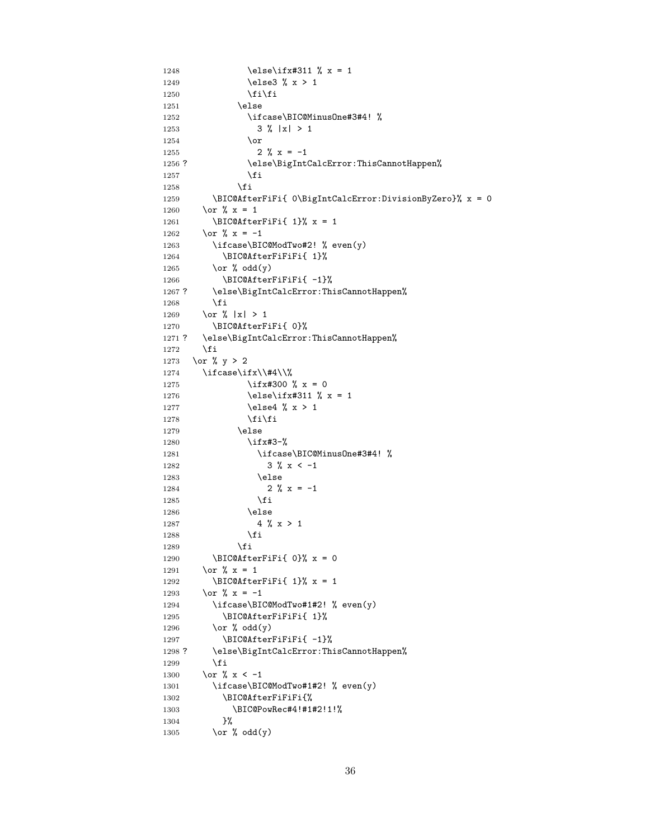```
1248 \else\ifx#311 % x = 1
1249 \else3 % x > 1
1250 \if{ifi}1251 \text{else}1252 \ifcase\BIC@MinusOne#3#4! %
1253 3 % | x | > 1
1254 \or
1255 2 % x = -11256 ? \else\BigIntCalcError:ThisCannotHappen%
1257 \fi
1258 \fi
1259 \BIC@AfterFiFi{ 0\BigIntCalcError:DivisionByZero}% x = 0
1260 \or \sqrt{x} = 11261 \BIC@AfterFiFi{ 1}% x = 1
1262 \or \sqrt{x} = -11263 \ifcase\BIC@ModTwo#2! % even(y)
1264 \BIC@AfterFiFiFi{ 1}%
1265 \or % odd(y)
1266 \BIC@AfterFiFiFi{ -1}%
1267 ? \else\BigIntCalcError:ThisCannotHappen%
1268 \overrightarrow{fi}1269 \or % |x| > 11270 \BIC@AfterFiFi{ 0}%
1271 ? \else\BigIntCalcError:ThisCannotHappen%
1272 \fi
1273 \or % y > 21274 \ifcase\ifx\\#4\\%
1275 \iint x#300 % x = 01276 \else\ifx#311 % x = 1
1277 \else4 % x > 1
1278 \fi\fi
1279 \else
1280 \ifx#3-%
1281 \ifcase\BIC@MinusOne#3#4! %
1282 3 \% x < -11283 \else
1284 2 % x = -11285 \fi
1286 \else
1287 4 \times x > 11288 \fi
1289 \fi
1290 \BIC@AfterFiFi{ 0}% x = 0
1291 \or \sqrt{x} = 11292 \BIC@AfterFiFi{ 1}% x = 1
1293 \or % x = -11294 \ifcase\BIC@ModTwo#1#2! % even(y)
1295 \BIC@AfterFiFiFi{ 1}%
1296 \or % odd(y)
1297 \BIC@AfterFiFiFi{ -1}%
1298 ? \else\BigIntCalcError:ThisCannotHappen%
1299 \overrightarrow{f}1300 \or % x < -11301 \ifcase\BIC@ModTwo#1#2! % even(y)
1302 \BIC@AfterFiFiFi{%
1303 \BIC@PowRec#4!#1#2!1!%
1304 }%
1305 \or % odd(y)
```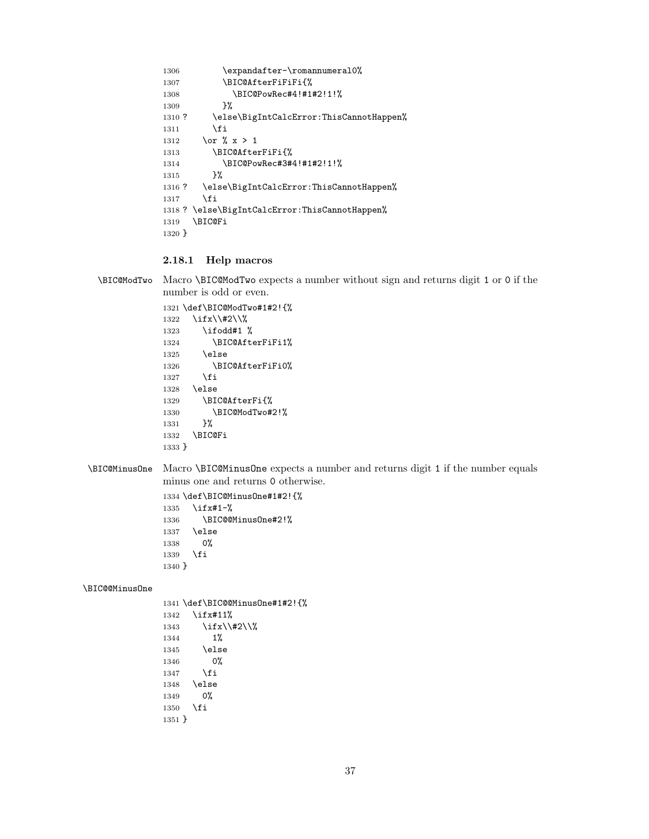```
1306 \expandafter-\romannumeral0%
1307 \BIC@AfterFiFiFi{%
1308 \BIC@PowRec#4!#1#2!1!%
1309 }%
1310 ? \else\BigIntCalcError:ThisCannotHappen%
1311 \overrightarrow{fi}1312 \or \sqrt{x} > 11313 \BIC@AfterFiFi{%
1314 \BIC@PowRec#3#4!#1#2!1!%
1315 }%
1316 ? \else\BigIntCalcError:ThisCannotHappen%
1317 \fi
1318 ? \else\BigIntCalcError:ThisCannotHappen%
1319 \BIC@Fi
1320 }
```
#### <span id="page-36-18"></span><span id="page-36-17"></span><span id="page-36-10"></span><span id="page-36-0"></span>2.18.1 Help macros

```
\BIC@ModTwo Macro \BIC@ModTwo expects a number without sign and returns digit 1 or 0 if the
             number is odd or even.
```

```
1321 \def\BIC@ModTwo#1#2!{%
1322 \ifx\\#2\\%
1323 \ifodd#1 %
1324 \BIC@AfterFiFi1%
1325 \else
1326 \BIC@AfterFiFi0%
1327 \fi
1328 \else
1329 \BIC@AfterFi{%
1330 \BIC@ModTwo#2!%
1331 }%
1332 \BIC@Fi
1333 }
```
<span id="page-36-12"></span>\BIC@MinusOne Macro \BIC@MinusOne expects a number and returns digit 1 if the number equals minus one and returns 0 otherwise.

> <span id="page-36-20"></span><span id="page-36-11"></span><span id="page-36-3"></span>1334 \def\BIC@MinusOne#1#2!{% 1335 \ifx#1-% 1336 \BIC@@MinusOne#2!% 1337 \else 1338 0% 1339  $\overline{1}$ 1340 }

#### <span id="page-36-4"></span>\BIC@@MinusOne

```
1341 \def\BIC@@MinusOne#1#2!{%
1342 \ifx#11%
1343 \ifx\\#2\\%
1344 1%
1345 \else
1346 0%
1347 \overrightarrow{fi}1348 \else
1349 0%
1350 \fi
1351 }
```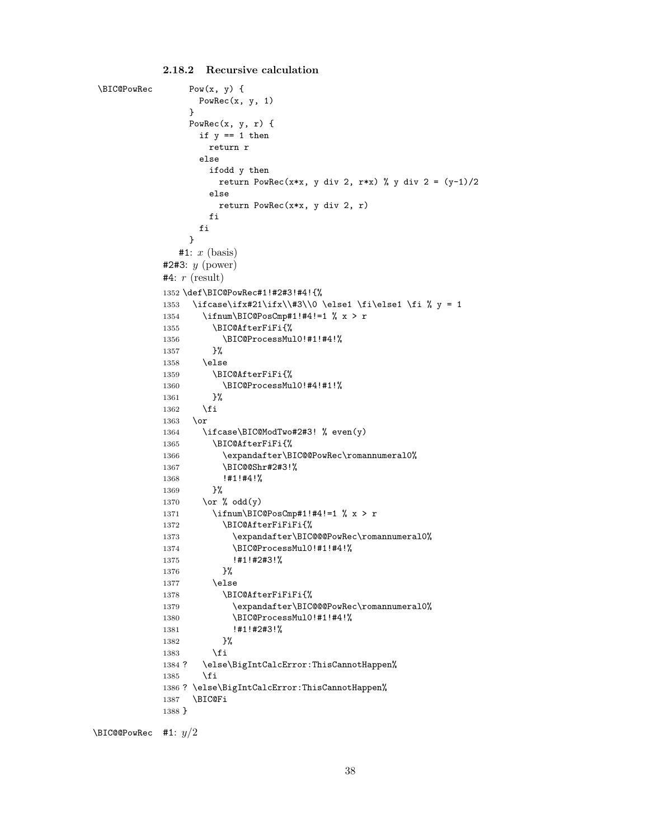```
\B{BIC@PowRec} Pow(x, y) {
                  PowRec(x, y, 1)
                 }
                 PowRec(x, y, r) {
                  if y == 1 then
                    return r
                  else
                    ifodd y then
                      return PowRec(x*x, y div 2, r*x) % y div 2 = (y-1)/2else
                      return PowRec(x*x, y div 2, r)
                    fi
                  fi
                 }
               #1: x (basis)#2#3: y (power)
            #4: r (result)
            1352 \def\BIC@PowRec#1!#2#3!#4!{%
            1353 \ifcase\ifx#21\ifx\\#3\\0 \else1 \fi\else1 \fi % y = 1
            1354 \ifnum\BIC@PosCmp#1!#4!=1 % x > r
            1355 \BIC@AfterFiFi{%
            1356 \BIC@ProcessMul0!#1!#4!%<br>1357 }%
            1357
            1358 \else
            1359 \BIC@AfterFiFi{%
            1360 \BIC@ProcessMul0!#4!#1!%
            1361 }%
            1362 \fi
            1363 \or
            1364 \ifcase\BIC@ModTwo#2#3! % even(y)
            1365 \BIC@AfterFiFi{%
            1366 \expandafter\BIC@@PowRec\romannumeral0%
            1367 \BIC@@Shr#2#3!%
            1368 !#1!#4!%
            1369 }%
            1370 \or % odd(y)
            1371 \ifnum\BIC@PosCmp#1!#4!=1 % x > r
            1372 \BIC@AfterFiFiFi{%
            1373 \expandafter\BIC@@@PowRec\romannumeral0%
            1374 \BIC@ProcessMul0!#1!#4!%
            1375 !#1!#2#3!%
            1376 }%
            1377 \else
            1378 \BIC@AfterFiFiFi{%
            1379 \expandafter\BIC@@@PowRec\romannumeral0%
            1380 \BIC@ProcessMul0!#1!#4!%
            1381 !#1!#2#3!%
            1382 }%
            1383 \fi
            1384 ? \else\BigIntCalcError:ThisCannotHappen%
            1385 \fi
            1386 ? \else\BigIntCalcError:ThisCannotHappen%
            1387 \BIC@Fi
            1388 }
\BIC@@PowRec #1: y/2
```

```
2.18.2 Recursive calculation
```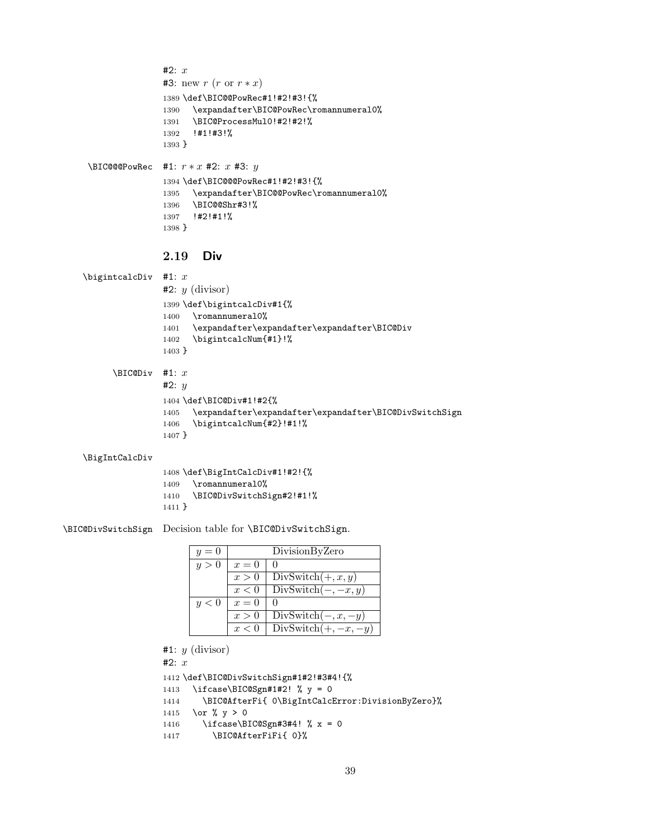```
#2: x#3: new r(r \text{ or } r * x)1389 \def\BIC@@PowRec#1!#2!#3!{%
               1390 \expandafter\BIC@PowRec\romannumeral0%
               1391 \BIC@ProcessMul0!#2!#2!%
               1392 !#1!#3!%
               1393 }
\XiC@@PowRec #1: r * x #2: x #3: y1394 \def\BIC@@@PowRec#1!#2!#3!{%
               1395 \expandafter\BIC@@PowRec\romannumeral0%
```

```
1396 \BIC@@Shr#3!%
1397 !#2!#1!%
1398 }
```
### <span id="page-38-19"></span><span id="page-38-6"></span><span id="page-38-0"></span>2.19 Div

```
\bigintcalcDiv #1: x#2: y (divisor)
                1399 \def\bigintcalcDiv#1{%
                1400 \romannumeral0%
                1401 \expandafter\expandafter\expandafter\BIC@Div
                1402 \bigintcalcNum{#1}!%
                1403 }
      \B{BIC@Div} #1: x
                #2: y
```

```
1404 \def\BIC@Div#1!#2{%
1405 \expandafter\expandafter\expandafter\BIC@DivSwitchSign
1406 \bigintcalcNum{#2}!#1!%
1407 }
```
#### <span id="page-38-15"></span>\BigIntCalcDiv

```
1408 \def\BigIntCalcDiv#1!#2!{%
1409 \romannumeral0%
1410 \BIC@DivSwitchSign#2!#1!%
1411 }
```
<span id="page-38-10"></span>\BIC@DivSwitchSign Decision table for \BIC@DivSwitchSign.

| $y=0$ |       | DivisionByZero         |
|-------|-------|------------------------|
| y>0   | $x=0$ |                        |
|       | x>0   | DivSwitch $(+, x, y)$  |
|       | x<0   | $DivSwitch(-, -x, y)$  |
| y<0   | $x=0$ |                        |
|       | x > 0 | $DivSwitch(-, x, -y)$  |
|       | r<0   | $DivSwitch(+, -x, -y)$ |

```
#1: y (divisor)
```
#2:  $x$ 

```
1412 \def\BIC@DivSwitchSign#1#2!#3#4!{%
1413 \ifcase\BIC@Sgn#1#2! % y = 01414 \BIC@AfterFi{ 0\BigIntCalcError:DivisionByZero}%
1415 \or % y > 01416 \ifcase\BIC@Sgn#3#4! % x = 0
1417 \BIC@AfterFiFi{ 0}%
```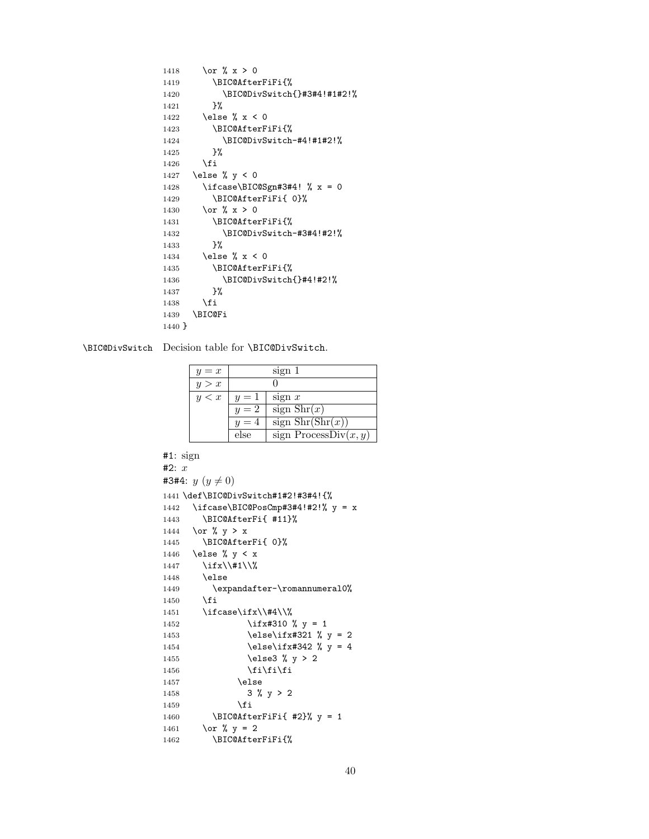```
1418 \or \sqrt{x} > 01419 \BIC@AfterFiFi{%
1420 \BIC@DivSwitch{}#3#4!#1#2!%
1421 }%
1422 \else % x < 0
1423 \BIC@AfterFiFi{%
1424 \BIC@DivSwitch-#4!#1#2!%
1425 }%
1426 \overrightarrow{fi}1427 \else % y < 0
1428 \ifcase\BIC@Sgn#3#4! % x = 0
1429 \BIC@AfterFiFi{ 0}%
1430 \text{or } \% x > 01431 \BIC@AfterFiFi{%
1432 \BIC@DivSwitch-#3#4!#2!%
1433 }%
1434 \else % x < 0
1435 \BIC@AfterFiFi{%
1436 \BIC@DivSwitch{}#4!#2!%
1437 }%
1438 \fi
1439 \BIC@Fi
1440 }
```
<span id="page-39-15"></span><span id="page-39-7"></span>\BIC@DivSwitch Decision table for \BIC@DivSwitch.

<span id="page-39-16"></span><span id="page-39-14"></span><span id="page-39-13"></span><span id="page-39-8"></span>

| $y = x$ |       | sign 1                                      |
|---------|-------|---------------------------------------------|
| y > x   |       |                                             |
| y < x   | $y=1$ | sign $x$                                    |
|         | $y=2$ | sign $\text{Shr}(x)$                        |
|         | $y=4$ | sign $\text{Shr}(\overline{\text{Shr}(x)})$ |
|         | else  | sign ProcessDiv $(x, y)$                    |

```
#1: sign
#2: x#3#4: y (y \neq 0)1441 \def\BIC@DivSwitch#1#2!#3#4!{%
1442 \ifcase\BIC@PosCmp#3#4!#2!% y = x1443 \BIC@AfterFi{ #11}%
1444 \or % y > x
1445 \BIC@AfterFi{ 0}%
1446 \else % y < x1447 \iint x \lvert 41 \rvert1448 \else
1449 \expandafter-\romannumeral0%
1450 \overrightarrow{fi}1451 \ifcase\ifx\\#4\\%
1452 \iint x#310 % y = 11453 \text{else}\if x#321 % y = 21454 \text{else}\if{\;x#342 \;y = 4}1455 \else3 % y > 2
1456 \if{ififif}1457 \text{else}1458 3 \text{ % } y > 21459 \fi
1460 \BIC@AfterFiFi{ #2}% y = 11461 \or % y = 21462 \BIC@AfterFiFi{%
```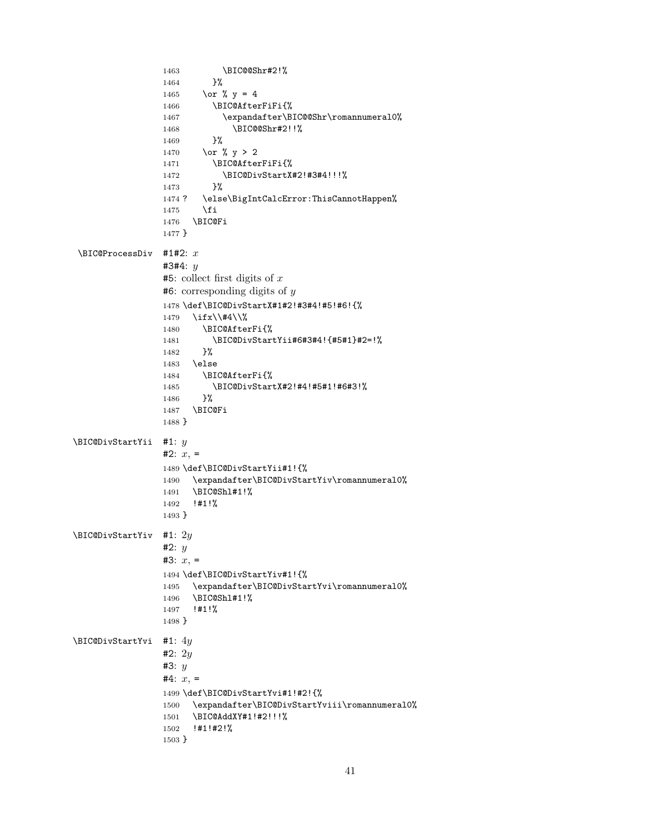```
1463 \BIC@@Shr#2!%
                14641465 \or % y = 41466 \BIC@AfterFiFi{%
                 1467 \expandafter\BIC@@Shr\romannumeral0%
                 1468 \BIC@@Shr#2!!%
                 1469 }%
                1470 \or % y > 21471 \BIC@AfterFiFi{%
                1472 \BIC@DivStartX#2!#3#4!!!%
                1473 }%
                 1474 ? \else\BigIntCalcError:ThisCannotHappen%
                1475 \fi
                1476 \BIC@Fi
                1477 }
 \Bbb{ICQProcessDiv} #1#2: x
                #3#4: \nu#5: collect first digits of x
                \#6: corresponding digits of y1478 \def\BIC@DivStartX#1#2!#3#4!#5!#6!{%
                1479 \ifx\\#4\\%
                1480 \BIC@AfterFi{%
                1481 \BIC@DivStartYii#6#3#4!{#5#1}#2=!%
                 1482 }%
                1483 \else
                1484 \BIC@AfterFi{%
                1485 \BIC@DivStartX#2!#4!#5#1!#6#3!%
                1486 }%
                1487 \BIC@Fi
                1488 }
\BIC@DivStartYii #1: y
                #2: x =1489 \def\BIC@DivStartYii#1!{%
                1490 \expandafter\BIC@DivStartYiv\romannumeral0%
                 1491 \BIC@Shl#1!%
                 1492 !#1!%
                1493 }
\BIC@DivStartYiv #1: 2y#2: y#3: x =1494 \def\BIC@DivStartYiv#1!{%
                 1495 \expandafter\BIC@DivStartYvi\romannumeral0%
                 1496 \BIC@Shl#1!%
                 1497 !#1!%
                1498 }
\BIC@DivStartYvi #1: 4y
                #2: 2y#3: y#4: x =1499 \def\BIC@DivStartYvi#1!#2!{%
                 1500 \expandafter\BIC@DivStartYviii\romannumeral0%
                 1501 \BIC@AddXY#1!#2!!!%
                1502 !#1!#2!%
                1503 }
```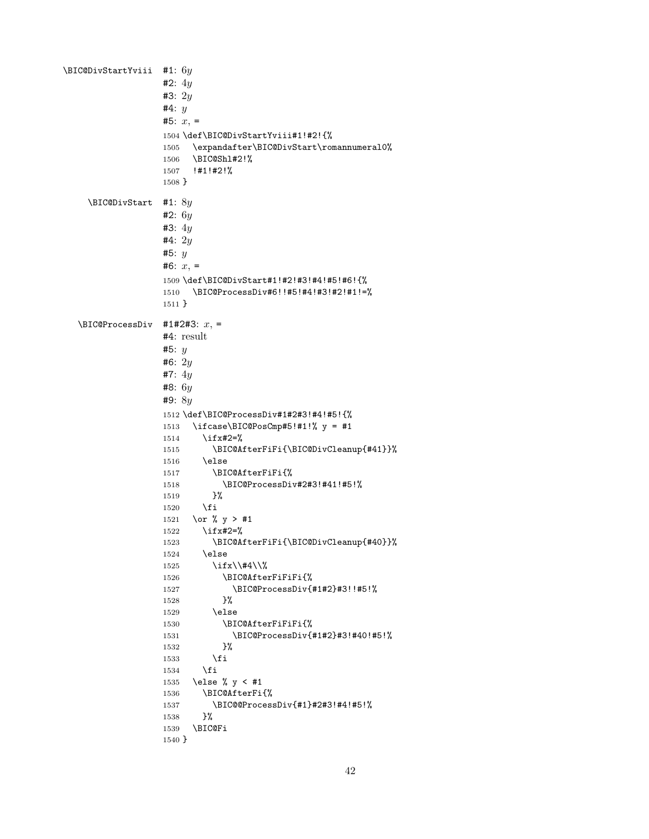```
\BIC@DivStartYviii #1: 6y
                   #2: 4y#3: 2y
                   #4: y#5: x =1504 \def\BIC@DivStartYviii#1!#2!{%
                   1505 \expandafter\BIC@DivStart\romannumeral0%
                   1506 \BIC@Shl#2!%
                   1507 !#1!#2!%
                   1508 }
    \BIC@DivStart #1: 8y
                   #2: 6y#3: 4y
                   #4: 2y#5: y
                   #6: x =1509 \def\BIC@DivStart#1!#2!#3!#4!#5!#6!{%
                   1510 \BIC@ProcessDiv#6!!#5!#4!#3!#2!#1!=%
                   1511 }
  \B{BIC@ProcessDiv} #1#2#3: x, =
                  #4: result
                   #5: y
                   #6: 2y
                   #7: 4y
                   #8: 6y
                   #9: 8y
                   1512 \def\BIC@ProcessDiv#1#2#3!#4!#5!{%
                   1513 \ifcase\BIC@PosCmp#5!#1!% y = #11514 \ifx#2=%
                   1515 \BIC@AfterFiFi{\BIC@DivCleanup{#41}}%
                   1516 \else
                   1517 \BIC@AfterFiFi{%
                   1518 \BIC@ProcessDiv#2#3!#41!#5!%
                   1519 }%
                   1520 \overrightarrow{fi}1521 \or % y > #1
                   1522 \ifx#2=%
                   1523 \BIC@AfterFiFi{\BIC@DivCleanup{#40}}%
                   1524 \else
                   1525 \i{fx}\t{#4}\1526 \BIC@AfterFiFiFi{%
                   1527 \BIC@ProcessDiv{#1#2}#3!!#5!%<br>1528 }%
                   1528\,1529 \else
                   1530 \BIC@AfterFiFiFi{%
                   1531 \BIC@ProcessDiv{#1#2}#3!#40!#5!%
                   1532 }%
                   1533 \overrightarrow{fi}1534 \overrightarrow{fi}1535 \else % y < #1
                   1536 \BIC@AfterFi{%
                   1537 \BIC@@ProcessDiv{#1}#2#3!#4!#5!%
                   1538 }%
                   1539 \BIC@Fi
                   1540 }
```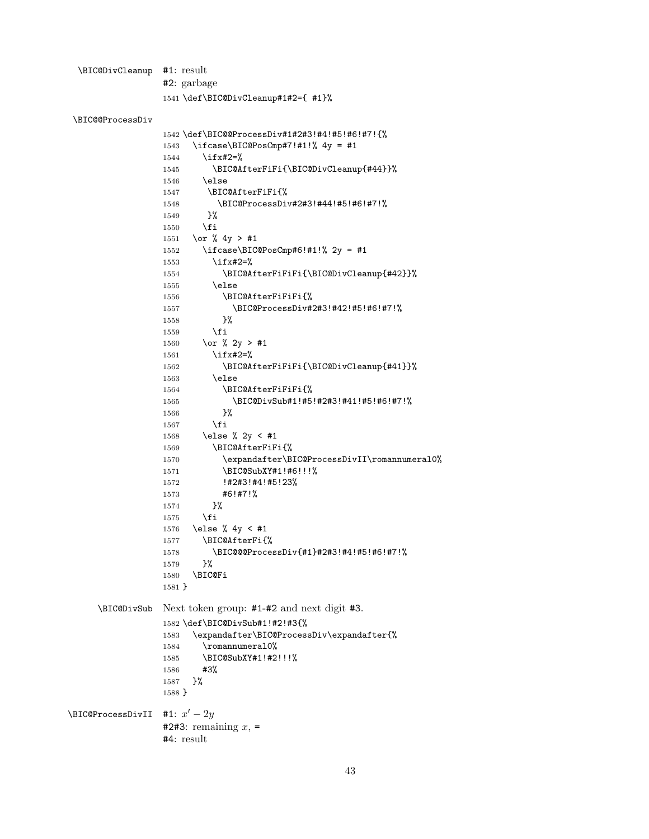<span id="page-42-10"></span>\BIC@DivCleanup #1: result #2: garbage \def\BIC@DivCleanup#1#2={ #1}%

```
\BIC@@ProcessDiv
```

```
1542 \def\BIC@@ProcessDiv#1#2#3!#4!#5!#6!#7!{%
                1543 \ifcase\BIC@PosCmp#7!#1!% 4y = #1
                1544 \ifx#2=%
                1545 \BIC@AfterFiFi{\BIC@DivCleanup{#44}}%
                1546 \else
                1547 \BIC@AfterFiFi{%
                1548 \BIC@ProcessDiv#2#3!#44!#5!#6!#7!%
                1549 }%
                1550 \overline{1550}1551 \or % 4y > #1
                1552 \ifcase\BIC@PosCmp#6!#1!% 2y = #1
                1553 \ifx#2=%
                1554 \BIC@AfterFiFiFi{\BIC@DivCleanup{#42}}%
                1555 \else
                1556 \BIC@AfterFiFiFi{%
                1557 \BIC@ProcessDiv#2#3!#42!#5!#6!#7!%
                1558 }%
                1559 \overrightarrow{fi}1560 \or % 2y > #1
                1561 \ifx#2=%
                1562 \BIC@AfterFiFiFi{\BIC@DivCleanup{#41}}%
                1563 \else
                1564 \BIC@AfterFiFiFi{%
                1565 \BIC@DivSub#1!#5!#2#3!#41!#5!#6!#7!%
                1566 }%
                1567 \fi
                1568 \else % 2y < #1
                1569 \BIC@AfterFiFi{%
                1570 \expandafter\BIC@ProcessDivII\romannumeral0%
                1571 \BIC@SubXY#1!#6!!!%
                1572 !#2#3!#4!#5!23%
                1573 #6!#7!%
                1574 }%
                1575 \fi
                1576 \else % 4y < #1
                1577 \BIC@AfterFi{%
                1578 \BIC@@@ProcessDiv{#1}#2#3!#4!#5!#6!#7!%
                1579 }%
                1580 \BIC@Fi
                1581 }
     \BIC@DivSub Next token group: #1-#2 and next digit #3.
                1582 \def\BIC@DivSub#1!#2!#3{%
                1583 \expandafter\BIC@ProcessDiv\expandafter{%
                1584 \romannumeral0%
                1585 \BIC@SubXY#1!#2!!!%
                1586 #3%
                1587 }%
                1588 }
\DeltaBIC@ProcessDivII #1: x' - 2y#2#3: remaining x, =
                #4: result
```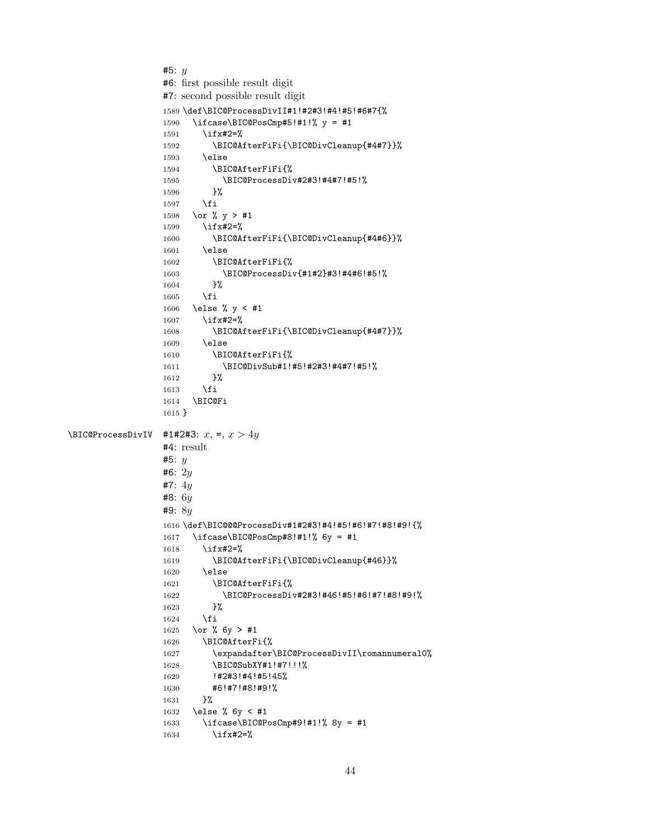```
#5: y
                 #6: first possible result digit
                 #7: second possible result digit
                 1589 \def\BIC@ProcessDivII#1!#2#3!#4!#5!#6#7{%
                 1590 \ifcase\BIC@PosCmp#5!#1!% y = #1
                 1591 \ifx#2=%
                 1592 \BIC@AfterFiFi{\BIC@DivCleanup{#4#7}}%
                 1593 \else
                 1594 \BIC@AfterFiFi{%
                 1595 \BIC@ProcessDiv#2#3!#4#7!#5!%
                 1596 }%
                 1597 \overrightarrow{fi}1598 \or % y > #1
                 1599 \ifx#2=%
                 1600 \BIC@AfterFiFi{\BIC@DivCleanup{#4#6}}%
                 1601 \else
                 1602 \BIC@AfterFiFi{%
                 1603 \BIC@ProcessDiv{#1#2}#3!#4#6!#5!%
                 1604 }%
                 1605 \fi
                 1606 \else % y < #1
                 1607 \ifx#2=%
                 1608 \BIC@AfterFiFi{\BIC@DivCleanup{#4#7}}%
                 1609 \else
                 1610 \BIC@AfterFiFi{%
                 1611 \BIC@DivSub#1!#5!#2#3!#4#7!#5!%
                 1612 }%
                 1613 \fi
                 1614 \BIC@Fi
                 1615 }
\BIC@ProcessDivIV #1#2#3: x, =, x > 4y#4: result
                 #5: y
                 #6: 2y
                 #7: 4y
                 #8: 6y#9: 8y
                 1616 \def\BIC@@@ProcessDiv#1#2#3!#4!#5!#6!#7!#8!#9!{%
                 1617 \ifcase\BIC@PosCmp#8!#1!% 6y = #1
                 1618 \ifx#2=%
                 1619 \BIC@AfterFiFi{\BIC@DivCleanup{#46}}%
                 1620 \else
                 1621 \BIC@AfterFiFi{%
                 1622 \BIC@ProcessDiv#2#3!#46!#5!#6!#7!#8!#9!%
                 1623 }%
                 1624 \fi
                 1625 \or % 6y > #1
                 1626 \BIC@AfterFi{%
                 1627 \expandafter\BIC@ProcessDivII\romannumeral0%
                 1628 \BIC@SubXY#1!#7!!!%
                 1629 !#2#3!#4!#5!45%
                 1630 #6!#7!#8!#9!%
                 1631 }%
                 1632 \else % 6y < #1
                 1633 \ifcase\BIC@PosCmp#9!#1!% 8y = #1
                 1634 \ifx#2=%
```

```
44
```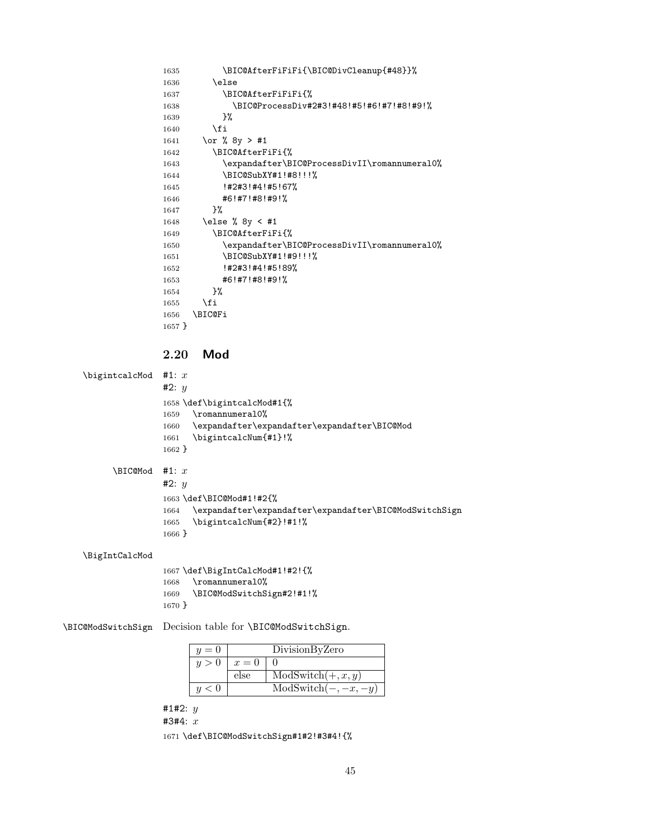```
1635 \BIC@AfterFiFiFi{\BIC@DivCleanup{#48}}%
              1636 \else
              1637 \BIC@AfterFiFiFi{%
              1638 \BIC@ProcessDiv#2#3!#48!#5!#6!#7!#8!#9!%
              1639 }%
              1640 \fi
              1641 \or % 8y > #1
              1642 \BIC@AfterFiFi{%
              1643 \expandafter\BIC@ProcessDivII\romannumeral0%
              1644 \BIC@SubXY#1!#8!!!%
              1645 !#2#3!#4!#5!67%
              1646 #6!#7!#8!#9!%
              1647 }%
              1648 \else % 8y < #1
              1649 \BIC@AfterFiFi{%
              1650 \expandafter\BIC@ProcessDivII\romannumeral0%
              1651 \BIC@SubXY#1!#9!!!%
              1652 !#2#3!#4!#5!89%
              1653 #6!#7!#8!#9!%
              1654 }%
              1655 \fi
              1656 \BIC@Fi
              1657 }
              2.20 Mod
\bigintcalcMod #1: x#2: y
              1658 \def\bigintcalcMod#1{%
              1659 \romannumeral0%
              1660 \expandafter\expandafter\expandafter\BIC@Mod
              1661 \bigintcalcNum{#1}!%
              1662 }
     \Bbb{IC@Mod} #1: x
              #2: y1663 \def\BIC@Mod#1!#2{%
              1664 \expandafter\expandafter\expandafter\BIC@ModSwitchSign
              1665 \bigintcalcNum{#2}!#1!%
              1666 }
\BigIntCalcMod
              1667 \def\BigIntCalcMod#1!#2!{%
              1668 \romannumeral0%
              1669 \BIC@ModSwitchSign#2!#1!%
              1670 }
```
<span id="page-44-20"></span><span id="page-44-17"></span><span id="page-44-16"></span><span id="page-44-10"></span><span id="page-44-7"></span>\BIC@ModSwitchSign Decision table for \BIC@ModSwitchSign.

<span id="page-44-21"></span><span id="page-44-19"></span><span id="page-44-18"></span><span id="page-44-9"></span><span id="page-44-8"></span><span id="page-44-6"></span>

| $u=0$ |       | DivisionByZero         |
|-------|-------|------------------------|
| u>0   | $x=0$ |                        |
|       | else  | $ModSwitch(+, x, y)$   |
| u < 0 |       | $ModSwitch(-, -x, -y)$ |

#1#2:  $y$ 

#3#4: x

\def\BIC@ModSwitchSign#1#2!#3#4!{%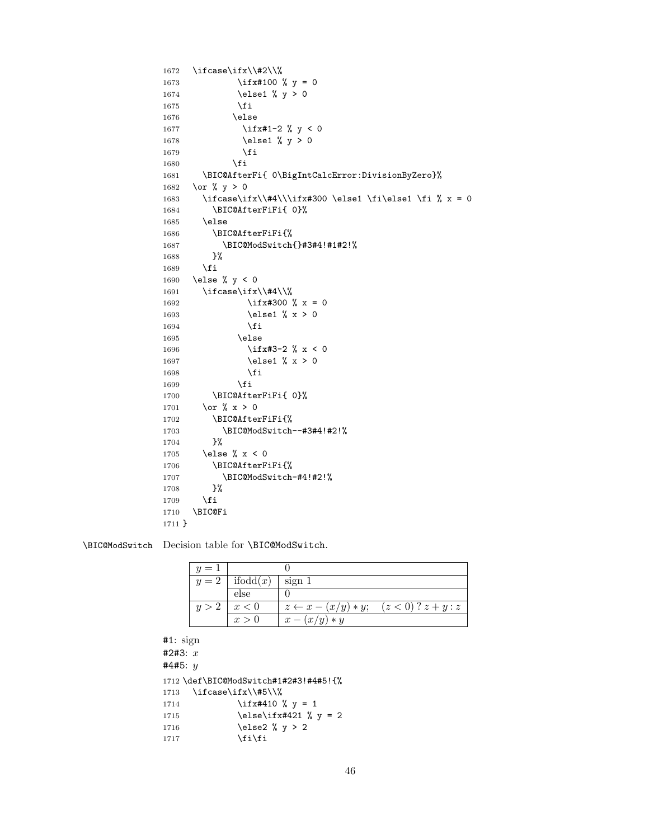```
1672 \ifcase\ifx\\#2\\%
1673 \iint x#100 % y = 01674 \else1 % y > 0
1675 \setminusfi
1676 \else
1677 \ifx#1-2 % y < 0
1678 \else1 % y > 0
1679 \fi
1680 \setminusfi
1681 \BIC@AfterFi{ 0\BigIntCalcError:DivisionByZero}%
1682 \or % y > 0
1683 \ifcase\ifx\\#4\\\ifx#300 \else1 \fi\else1 \fi % x = 0
1684 \BIC@AfterFiFi{ 0}%
1685 \else
1686 \BIC@AfterFiFi{%
1687 \BIC@ModSwitch{}#3#4!#1#2!%
1688 }%
1689 \fi
1690 \else % y < 0
1691 \ifcase\ifx\\#4\\%
1692 \iint x#300 % x = 01693 \else1 % x > 0
1694 \qquad \qquad \int fi
1695 \else
1696 \iint x#3-2 % x < 01697 \else1 % x > 0
1698 \setminusfi
1699 \fi
1700 \BIC@AfterFiFi{ 0}%
1701 \or % x > 0
1702 \BIC@AfterFiFi{%
1703 \BIC@ModSwitch--#3#4!#2!%
1704 }%
1705 \else % x < 0
1706 \BIC@AfterFiFi{%
1707 \BIC@ModSwitch-#4!#2!%
1708 }%
1709 \overrightarrow{f}1710 \BIC@Fi
1711 }
```
<span id="page-45-18"></span><span id="page-45-14"></span><span id="page-45-7"></span>\BIC@ModSwitch Decision table for \BIC@ModSwitch.

<span id="page-45-13"></span><span id="page-45-12"></span><span id="page-45-10"></span><span id="page-45-9"></span><span id="page-45-8"></span>

| $y=1$ |                              |                                                         |  |
|-------|------------------------------|---------------------------------------------------------|--|
|       | $y=2$   ifodd $(x)$   sign 1 |                                                         |  |
|       | else                         |                                                         |  |
|       | $y>2$ $x<0$                  | $z \leftarrow x - (x/y) * y; \quad (z < 0) ? z + y : z$ |  |
|       | x > 0                        | $x-(x/y)*y$                                             |  |

```
#1: sign
#2#3: x
#4#5: y1712 \def\BIC@ModSwitch#1#2#3!#4#5!{%
1713 \ifcase\ifx\\#5\\%
1714 \iint x#410 % y = 11715 \else\ifx#421 % y = 21716 \else2 % y > 2
1717 \fi\fi
```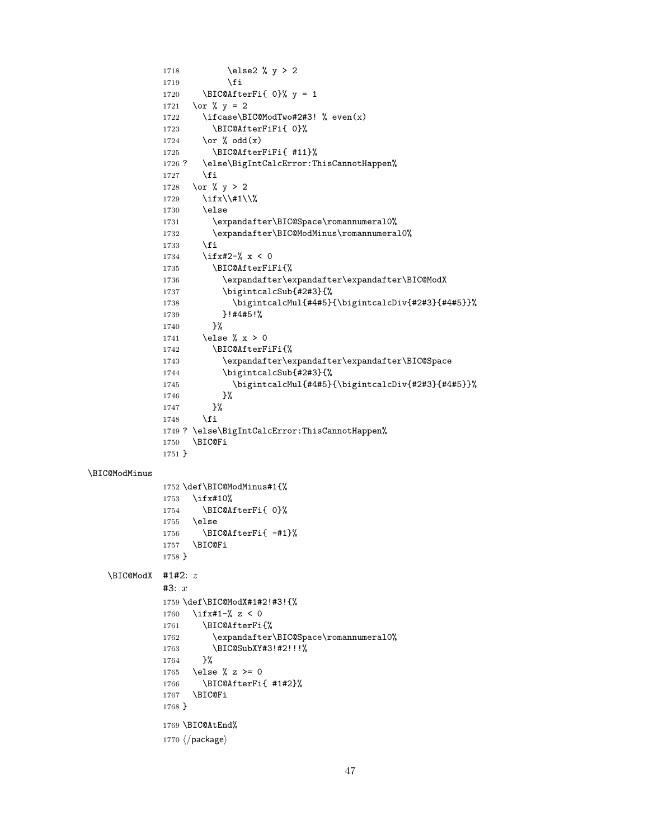```
1718 \else2 % y > 2
              1719 \overline{1719}1720 \BIC@AfterFi{ 0}% y = 1
              1721 \or % y = 21722 \ifcase\BIC@ModTwo#2#3! % even(x)
              1723 \BIC@AfterFiFi{ 0}%
              1724 \or \sqrt{6} odd(x)1725 \BIC@AfterFiFi{ #11}%
              1726 ? \else\BigIntCalcError:ThisCannotHappen%
              1727 \fi
              1728 \or % y > 2
              1729 \iint x \lvert 41 \rvert \lvert 81730 \else
              1731 \expandafter\BIC@Space\romannumeral0%
              1732 \expandafter\BIC@ModMinus\romannumeral0%
              1733 \setminusfi
              1734 \iint x \neq 2-\% x < 01735 \BIC@AfterFiFi{%
              1736 \expandafter\expandafter\expandafter\BIC@ModX
              1737 \bigintcalcSub{#2#3}{%
              1738 \bigintcalcMul{#4#5}{\bigintcalcDiv{#2#3}{#4#5}}%
              1739 }!#4#5!%<br>1740 }%
              17401741 \else % x > 0
              1742 \BIC@AfterFiFi{%
              1743 \expandafter\expandafter\expandafter\BIC@Space
              1744 \bigintcalcSub{#2#3}{%
              1745 \bigintcalcMul{#4#5}{\bigintcalcDiv{#2#3}{#4#5}}%
              1746 }%<br>1747 }%
              1747
              1748 \fi
              1749 ? \else\BigIntCalcError:ThisCannotHappen%
              1750 \BIC@Fi
              1751 }
\BIC@ModMinus
              1752 \def\BIC@ModMinus#1{%
              1753 \ifx#10%
              1754 \BIC@AfterFi{ 0}%
              1755 \else
              1756 \BIC@AfterFi{ -#1}%
              1757 \BIC@Fi
              1758 }
    \Bbb{ICOModX} #1#2: z#3: x1759 \def\BIC@ModX#1#2!#3!{%
              1760 \ifx#1-% z < 0
              1761 \BIC@AfterFi{%
              1762 \expandafter\BIC@Space\romannumeral0%
              1763 \BIC@SubXY#3!#2!!!%
              1764 }%
              1765 \else % z >= 0
              1766 \BIC@AfterFi{ #1#2}%
              1767 \BIC@Fi
              1768 }
              1769 \BIC@AtEnd%
              1770 \langle / package\rangle
```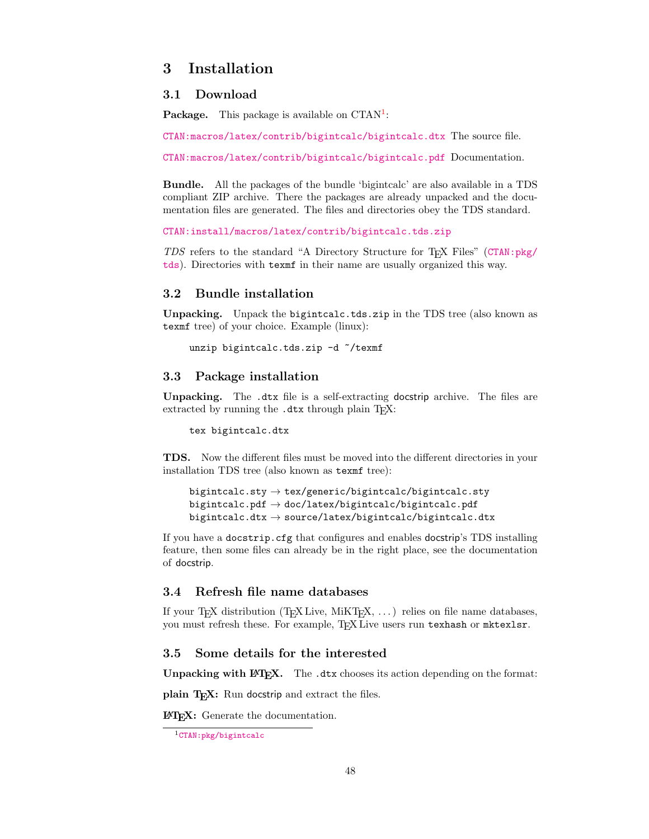### <span id="page-47-0"></span>3 Installation

#### <span id="page-47-1"></span>3.1 Download

**Package.** This package is available on  $CTAN^1$  $CTAN^1$ :

[CTAN:macros/latex/contrib/bigintcalc/bigintcalc.dtx](https://ctan.org/tex-archive/macros/latex/contrib/bigintcalc/bigintcalc.dtx) The source file.

[CTAN:macros/latex/contrib/bigintcalc/bigintcalc.pdf](https://ctan.org/tex-archive/macros/latex/contrib/bigintcalc/bigintcalc.pdf) Documentation.

Bundle. All the packages of the bundle 'bigintcalc' are also available in a TDS compliant ZIP archive. There the packages are already unpacked and the documentation files are generated. The files and directories obey the TDS standard.

```
CTAN:install/macros/latex/contrib/bigintcalc.tds.zip
```
TDS refers to the standard "A Directory Structure for TEX Files" ([CTAN:pkg/](http://ctan.org/pkg/tds) [tds](http://ctan.org/pkg/tds)). Directories with texmf in their name are usually organized this way.

### <span id="page-47-2"></span>3.2 Bundle installation

Unpacking. Unpack the bigintcalc.tds.zip in the TDS tree (also known as texmf tree) of your choice. Example (linux):

```
unzip bigintcalc.tds.zip -d ~/texmf
```
#### <span id="page-47-3"></span>3.3 Package installation

Unpacking. The .dtx file is a self-extracting docstrip archive. The files are extracted by running the  $.$ dtx through plain T<sub>E</sub>X:

tex bigintcalc.dtx

TDS. Now the different files must be moved into the different directories in your installation TDS tree (also known as texmf tree):

```
bigintcalc.sty \rightarrow tex/generic/bigintcalc/bigintcalc.sty
bigintcalc.pdf \rightarrow doc/latex/bigintcalc/bigintcalc.pdf
bigintcalc.dtx → source/latex/bigintcalc/bigintcalc.dtx
```
If you have a docstrip.cfg that configures and enables docstrip's TDS installing feature, then some files can already be in the right place, see the documentation of docstrip.

### <span id="page-47-4"></span>3.4 Refresh file name databases

If your T<sub>E</sub>X distribution (T<sub>E</sub>X Live, MiKT<sub>E</sub>X,  $\dots$ ) relies on file name databases, you must refresh these. For example, TFX Live users run texhash or mktexlsr.

### <span id="page-47-5"></span>3.5 Some details for the interested

**Unpacking with LATEX.** The  $\cdot$  dtx chooses its action depending on the format:

plain TEX: Run docstrip and extract the files.

LATEX: Generate the documentation.

<span id="page-47-6"></span><sup>1</sup>[CTAN:pkg/bigintcalc](http://ctan.org/pkg/bigintcalc)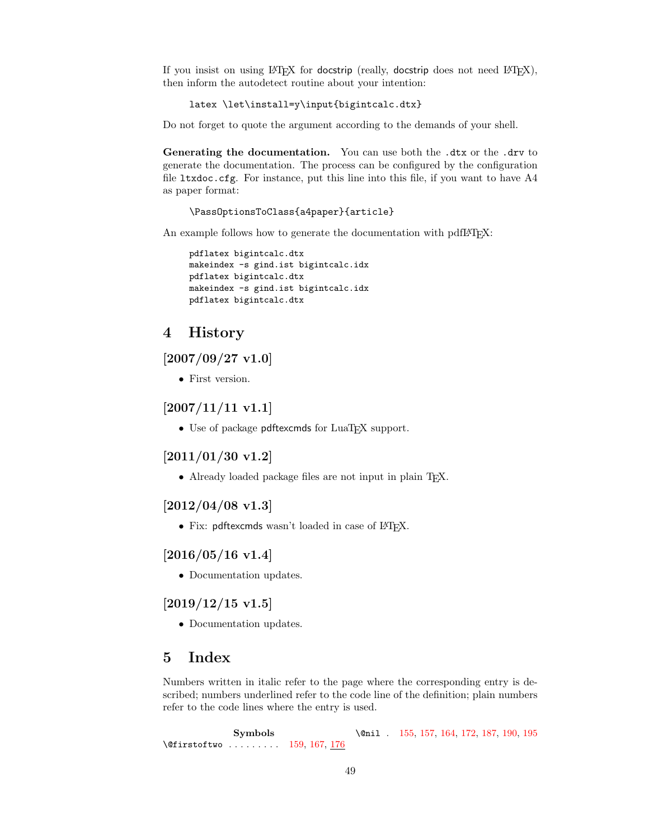If you insist on using  $L^2T_FX$  for docstrip (really, docstrip does not need  $L^2T_FX$ ), then inform the autodetect routine about your intention:

latex \let\install=y\input{bigintcalc.dtx}

Do not forget to quote the argument according to the demands of your shell.

Generating the documentation. You can use both the .dtx or the .drv to generate the documentation. The process can be configured by the configuration file  $l$ txdoc.cfg. For instance, put this line into this file, if you want to have  $A4$ as paper format:

\PassOptionsToClass{a4paper}{article}

An example follows how to generate the documentation with pdfL<sup>AT</sup>EX:

```
pdflatex bigintcalc.dtx
makeindex -s gind.ist bigintcalc.idx
pdflatex bigintcalc.dtx
makeindex -s gind.ist bigintcalc.idx
pdflatex bigintcalc.dtx
```
### <span id="page-48-0"></span>4 History

### <span id="page-48-1"></span> $[2007/09/27 \text{ v}1.0]$

• First version.

### <span id="page-48-2"></span>[2007/11/11 v1.1]

• Use of package pdftexcmds for LuaT<sub>EX</sub> support.

### <span id="page-48-3"></span>[2011/01/30 v1.2]

• Already loaded package files are not input in plain T<sub>E</sub>X.

### <span id="page-48-4"></span>[2012/04/08 v1.3]

• Fix: pdftexcmds wasn't loaded in case of IATFX.

### <span id="page-48-5"></span> $[2016/05/16 \text{ v}1.4]$

• Documentation updates.

### <span id="page-48-6"></span> $[2019/12/15 \text{ v}1.5]$

• Documentation updates.

### <span id="page-48-7"></span>5 Index

Numbers written in italic refer to the page where the corresponding entry is described; numbers underlined refer to the code line of the definition; plain numbers refer to the code lines where the entry is used.

Symbols \@firstoftwo ........ [159,](#page-10-1) [167,](#page-10-2) [176](#page-11-1) \@nil . [155,](#page-10-3) [157,](#page-10-4) [164,](#page-10-5) [172,](#page-10-6) [187,](#page-11-2) [190,](#page-11-3) [195](#page-11-4)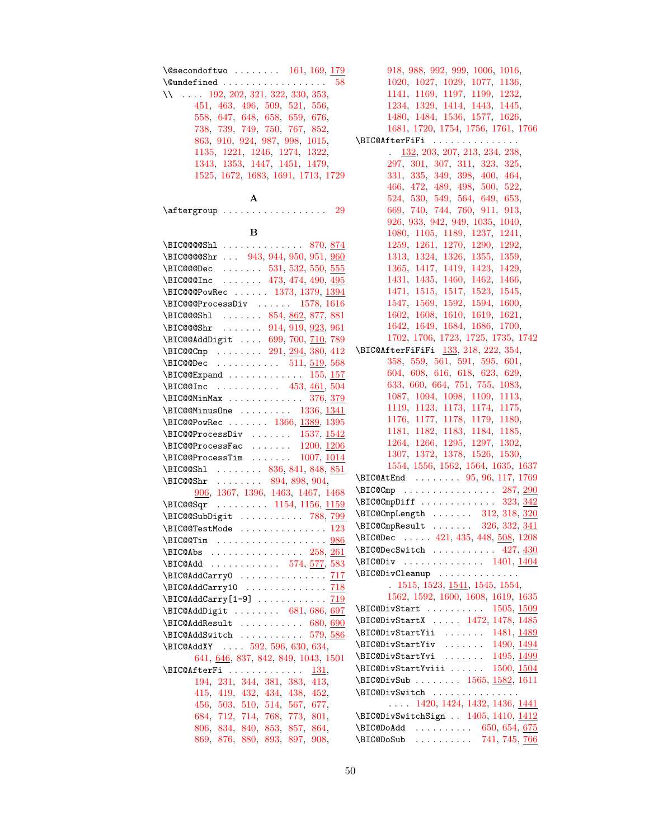| $\text{Qsecondoftwo} \dots \dots \dots \quad 161, 169, \underline{179}$                                              |  |
|----------------------------------------------------------------------------------------------------------------------|--|
| $\{\texttt{Qundefined      58}\}$                                                                                    |  |
| $11 \ldots$ 192, 202, 321, 322, 330, 353,                                                                            |  |
| 451, 463, 496, 509, 521, 556,                                                                                        |  |
| 558, 647, 648, 658, 659, 676,                                                                                        |  |
| 738, 739, 749, 750, 767, 852,                                                                                        |  |
|                                                                                                                      |  |
| 863, 910, 924, 987, 998, 1015,                                                                                       |  |
| $\begin{array}{cccc} 1135, & 1221, & 1246, & 1274, & 1322, \\ 1343, & 1353, & 1447, & 1451, & 1479, \end{array}$     |  |
|                                                                                                                      |  |
| 1525, 1672, 1683, 1691, 1713, 1729                                                                                   |  |
| $\mathbf{A}$                                                                                                         |  |
|                                                                                                                      |  |
| в                                                                                                                    |  |
| \BIC@@@Shl  870, 874                                                                                                 |  |
| \BIC@@@Shr  943, 944, 950, 951, 960                                                                                  |  |
|                                                                                                                      |  |
| $\\E$ IC@@@Dec  531, 532, 550, 555                                                                                   |  |
| \BIC@@@Inc  473, 474, 490, 495                                                                                       |  |
| \BIC@@@PowRec  1373, 1379, 1394                                                                                      |  |
| $\\B{BIC@@ProcessDiv   1578, 1616}$                                                                                  |  |
| \BIC@@Sh1  854, 862, 877, 881                                                                                        |  |
| \BIC@@Shr  914, 919, 923, 961                                                                                        |  |
| \BIC@@AddDigit  699, 700, 710, 789                                                                                   |  |
| \BIC@Cmp  291, 294, 380, 412                                                                                         |  |
| $\\E$ IC@@Dec  511, 519, 568                                                                                         |  |
| \BIC@@Expand $155, 157$                                                                                              |  |
| $\\E$ IC@QInc  453, 461, 504                                                                                         |  |
| $\\B{BIC@MinMax}$ 376, 379                                                                                           |  |
| $\\B{BIC@MinusOne}$ 1336, 1341                                                                                       |  |
| \BIC@@PowRec  1366, 1389, 1395                                                                                       |  |
| $\\B{BIC@ProprocessDiv   1537, 1542}$                                                                                |  |
| \BIC@@ProcessFac $\ldots$ . $1200, 1206$                                                                             |  |
|                                                                                                                      |  |
| $\\B$ IC@@ProcessTim  1007, $\underline{1014}$                                                                       |  |
| \BIC@Sh1  836, 841, 848, 851<br>$\text{BIC@Shr}$ 894, 898, 904,                                                      |  |
| 906, 1367, 1396, 1463, 1467, 1468                                                                                    |  |
|                                                                                                                      |  |
| \BIC@Sqr  1154, 1156, 1159                                                                                           |  |
| \BIC@@SubDigit  788, 799                                                                                             |  |
| $\\B{BIC@QTestMode}$ 123                                                                                             |  |
|                                                                                                                      |  |
| \BIC@Abs  258, 261<br>\BIC@Add  574, <u>577</u> , 583                                                                |  |
|                                                                                                                      |  |
| \BIC@AddCarry0  717                                                                                                  |  |
| \BIC@AddCarry10  718                                                                                                 |  |
|                                                                                                                      |  |
| \BIC@AddDigit  681, 686, 697                                                                                         |  |
| $\E{CQAddResult} \dots \dots \dots \ 680, 690$                                                                       |  |
| \BIC@AddSwitch  579, 586                                                                                             |  |
| \BIC@AddXY  592, 596, 630, 634,                                                                                      |  |
| 641, 646, 837, 842, 849, 1043, 1501                                                                                  |  |
| \BIC@AfterFi<br>131,                                                                                                 |  |
| 194, 231, 344, 381, 383, 413,                                                                                        |  |
| 415, 419, 432, 434, 438, 452,                                                                                        |  |
|                                                                                                                      |  |
| $\begin{array}{rrrr} 456, & 503, & 510, & 514, & 567, & 677, \\ 684, & 712, & 714, & 768, & 773, & 801, \end{array}$ |  |
| 806, 834, 840, 853, 857, 864,                                                                                        |  |
| 869, 876, 880, 893, 897, 908,                                                                                        |  |
|                                                                                                                      |  |

[918,](#page-27-11) [988,](#page-28-5) [992,](#page-28-6) [999,](#page-29-4) [1006,](#page-29-5) [1016,](#page-29-6) [1020,](#page-29-7) [1027,](#page-29-8) [1029,](#page-29-9) [1077,](#page-31-0) [1136,](#page-32-6) [1141,](#page-32-7) [1169,](#page-32-8) [1197,](#page-33-3) [1199,](#page-33-4) [1232,](#page-34-2) [1234,](#page-34-3) [1329,](#page-36-5) [1414,](#page-38-4) [1443,](#page-39-2) [1445,](#page-39-3) [1480,](#page-40-5) [1484,](#page-40-6) [1536,](#page-41-2) [1577,](#page-42-2) [1626,](#page-43-1) [1681,](#page-45-4) [1720,](#page-46-1) [1754,](#page-46-2) [1756,](#page-46-3) [1761,](#page-46-4) [1766](#page-46-5) \BIC@AfterFiFi . . . . . . . . . . . . . . . . [132,](#page-10-10) [203,](#page-11-9) [207,](#page-11-10) [213,](#page-11-11) [234,](#page-12-4) [238,](#page-12-5) [297,](#page-13-4) [301,](#page-13-5) [307,](#page-14-5) [311,](#page-14-6) [323,](#page-14-7) [325,](#page-14-8) [331,](#page-14-9) [335,](#page-14-10) [349,](#page-14-11) [398,](#page-16-8) [400,](#page-16-9) [464,](#page-17-9) [466,](#page-17-10) [472,](#page-17-11) [489,](#page-17-12) [498,](#page-18-12) [500,](#page-18-13) [522,](#page-18-14) [524,](#page-18-15) [530,](#page-18-16) [549,](#page-19-12) [564,](#page-19-13) [649,](#page-21-9) [653,](#page-21-10) [669,](#page-21-11) [740,](#page-23-6) [744,](#page-23-7) [760,](#page-23-8) [911,](#page-27-12) [913,](#page-27-13) [926,](#page-27-14) [933,](#page-27-15) [942,](#page-27-16) [949,](#page-27-17) [1035,](#page-29-10) [1040,](#page-29-11) [1080,](#page-31-1) [1105,](#page-31-2) [1189,](#page-33-5) [1237,](#page-34-4) [1241,](#page-34-5) [1259,](#page-35-1) [1261,](#page-35-2) [1270,](#page-35-3) [1290,](#page-35-4) [1292,](#page-35-5) [1313,](#page-36-6) [1324,](#page-36-7) [1326,](#page-36-8) [1355,](#page-37-7) [1359,](#page-37-8) [1365,](#page-37-9) [1417,](#page-38-5) [1419,](#page-39-4) [1423,](#page-39-5) [1429,](#page-39-6) [1431,](#page-39-7) [1435,](#page-39-8) [1460,](#page-39-9) [1462,](#page-39-10) [1466,](#page-40-7) [1471,](#page-40-8) [1515,](#page-41-3) [1517,](#page-41-4) [1523,](#page-41-5) [1545,](#page-42-3) [1547,](#page-42-4) [1569,](#page-42-5) [1592,](#page-43-2) [1594,](#page-43-3) [1600,](#page-43-4) [1602,](#page-43-5) [1608,](#page-43-6) [1610,](#page-43-7) [1619,](#page-43-8) [1621,](#page-43-9) [1642,](#page-44-1) [1649,](#page-44-2) [1684,](#page-45-5) [1686,](#page-45-6) [1700,](#page-45-7) [1702,](#page-45-8) [1706,](#page-45-9) [1723,](#page-46-6) [1725,](#page-46-7) [1735,](#page-46-8) [1742](#page-46-9) \BIC@AfterFiFiFi [133,](#page-10-11) [218,](#page-11-12) [222,](#page-12-6) [354,](#page-14-12) [358,](#page-15-6) [559,](#page-19-14) [561,](#page-19-15) [591,](#page-20-3) [595,](#page-20-4) [601,](#page-20-5) [604,](#page-20-6) [608,](#page-20-7) [616,](#page-20-8) [618,](#page-20-9) [623,](#page-20-10) [629,](#page-20-11) [633,](#page-21-12) [660,](#page-21-13) [664,](#page-21-14) [751,](#page-23-9) [755,](#page-23-10) [1083,](#page-31-3) [1087,](#page-31-4) [1094,](#page-31-5) [1098,](#page-31-6) [1109,](#page-31-7) [1113,](#page-31-8) [1119,](#page-31-9) [1123,](#page-31-10) [1173,](#page-33-6) [1174,](#page-33-7) [1175,](#page-33-8) [1176,](#page-33-9) [1177,](#page-33-10) [1178,](#page-33-11) [1179,](#page-33-12) [1180,](#page-33-13) [1181,](#page-33-14) [1182,](#page-33-15) [1183,](#page-33-16) [1184,](#page-33-17) [1185,](#page-33-18) [1264,](#page-35-6) [1266,](#page-35-7) [1295,](#page-35-8) [1297,](#page-35-9) [1302,](#page-35-10) [1307,](#page-36-9) [1372,](#page-37-10) [1378,](#page-37-11) [1526,](#page-41-6) [1530,](#page-41-7) [1554,](#page-42-6) [1556,](#page-42-7) [1562,](#page-42-8) [1564,](#page-42-9) [1635,](#page-44-3) [1637](#page-44-4) \BIC@AtEnd . . . . . . . . [95,](#page-9-4) [96,](#page-9-5) [117,](#page-9-6) [1769](#page-46-10) \BIC@Cmp . . . . . . . . . . . . . . . . [287,](#page-13-6) [290](#page-13-7) \BIC@CmpDiff . . . . . . . . . . . . . [323,](#page-14-7) [342](#page-14-13) \BIC@CmpLength . . . . . . . [312,](#page-14-14) [318,](#page-14-15) [320](#page-14-16) \BIC@CmpResult . . . . . . . [326,](#page-14-17) [332,](#page-14-18) [341](#page-14-19) \BIC@Dec .... [421,](#page-16-10) [435,](#page-16-11) [448,](#page-17-13) [508,](#page-18-17) [1208](#page-33-19)  $\B{BIC@DecSwitch ... ... ... 427, 430}$  $\B{BIC@DecSwitch ... ... ... 427, 430}$  $\B{BIC@DecSwitch ... ... ... 427, 430}$  $\B{BIC@DecSwitch ... ... ... 427, 430}$  $\B{BIC@DecSwitch ... ... ... 427, 430}$ \BIC@Div . . . . . . . . . . . . . . [1401,](#page-38-6) [1404](#page-38-7) \BIC@DivCleanup . . . . . . . . . . . . . . . [1515,](#page-41-3) [1523,](#page-41-5) [1541,](#page-42-10) [1545,](#page-42-3) [1554,](#page-42-6) [1562,](#page-42-8) [1592,](#page-43-2) [1600,](#page-43-4) [1608,](#page-43-6) [1619,](#page-43-8) [1635](#page-44-3) \BIC@DivStart ......... [1505,](#page-41-8) [1509](#page-41-9) \BIC@DivStartX . . . . . [1472,](#page-40-9) [1478,](#page-40-10) [1485](#page-40-11) \BIC@DivStartYii ....... [1481,](#page-40-12) [1489](#page-40-13) \BIC@DivStartYiv . . . . . . . [1490,](#page-40-14) [1494](#page-40-15) \BIC@DivStartYvi ....... [1495,](#page-40-16) [1499](#page-40-17) \BIC@DivStartYviii . . . . . . [1500,](#page-40-18) [1504](#page-41-10) \BIC@DivSub . . . . . . . . [1565,](#page-42-11) [1582,](#page-42-12) [1611](#page-43-10) \BIC@DivSwitch . . . . . . . . . . . . . . . . . . [1420,](#page-39-11) [1424,](#page-39-12) [1432,](#page-39-13) [1436,](#page-39-14) [1441](#page-39-15) \BIC@DivSwitchSign . . [1405,](#page-38-8) [1410,](#page-38-9) [1412](#page-38-10) \BIC@DoAdd . . . . . . . . . . [650,](#page-21-15) [654,](#page-21-16) [675](#page-21-17) \BIC@DoSub . . . . . . . . . . [741,](#page-23-11) [745,](#page-23-12) [766](#page-23-13)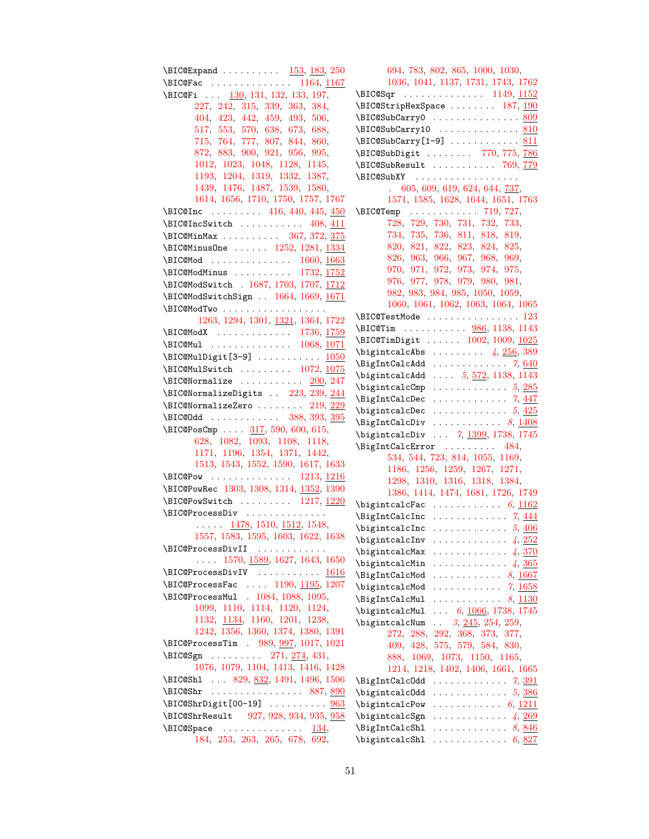\BIC@Expand . . . . . . . . . . [153,](#page-10-12) [183,](#page-11-13) [250](#page-12-7) \BIC@Fac . . . . . . . . . . . . . . [1164,](#page-32-9) [1167](#page-32-10) \BIC@Fi . . . [130,](#page-9-7) [131,](#page-9-8) [132,](#page-10-13) [133,](#page-10-14) [197,](#page-11-14) [227,](#page-12-8) [242,](#page-12-9) [315,](#page-14-20) [339,](#page-14-21) [363,](#page-15-7) [384,](#page-15-8) [404,](#page-16-14) [423,](#page-16-15) [442,](#page-17-14) [459,](#page-17-15) [493,](#page-18-18) [506,](#page-18-19) [517,](#page-18-20) [553,](#page-19-16) [570,](#page-19-17) [638,](#page-21-18) [673,](#page-21-19) [688,](#page-22-14) [715,](#page-22-15) [764,](#page-23-14) [777,](#page-24-6) [807,](#page-24-7) [844,](#page-25-14) [860,](#page-26-15) [872,](#page-26-16) [883,](#page-26-17) [900,](#page-26-18) [921,](#page-27-18) [956,](#page-27-19) [995,](#page-28-7) [1012,](#page-29-12) [1023,](#page-29-13) [1048,](#page-30-2) [1128,](#page-31-11) [1145,](#page-32-11) [1193,](#page-33-20) [1204,](#page-33-21) [1319,](#page-36-10) [1332,](#page-36-11) [1387,](#page-37-12) [1439,](#page-39-16) [1476,](#page-40-19) [1487,](#page-40-20) [1539,](#page-41-11) [1580,](#page-42-13) [1614,](#page-43-11) [1656,](#page-44-5) [1710,](#page-45-10) [1750,](#page-46-11) [1757,](#page-46-12) [1767](#page-46-13) \BIC@Inc . . . . . . . . . [416,](#page-16-16) [440,](#page-16-17) [445,](#page-17-16) [450](#page-17-17) \BIC@IncSwitch . . . . . . . . . . [408,](#page-16-18) [411](#page-16-19) \BIC@MinMax . . . . . . . . . . [367,](#page-15-9) [372,](#page-15-10) [375](#page-15-11) \BIC@MinusOne . . . . . . [1252,](#page-35-11) [1281,](#page-35-12) [1334](#page-36-12) \BIC@Mod . . . . . . . . . . . . . . [1660,](#page-44-6) [1663](#page-44-7) \BIC@ModMinus . . . . . . . . . [1732,](#page-46-14) [1752](#page-46-15) \BIC@ModSwitch . [1687,](#page-45-11) [1703,](#page-45-12) [1707,](#page-45-13) [1712](#page-45-14) \BIC@ModSwitchSign . . [1664,](#page-44-8) [1669,](#page-44-9) [1671](#page-44-10) \BIC@ModTwo . . . . . . . . . . . . . . . . . . [1263,](#page-35-13) [1294,](#page-35-14) [1301,](#page-35-15) [1321,](#page-36-13) [1364,](#page-37-13) [1722](#page-46-16) \BIC@ModX . . . . . . . . . . . . . [1736,](#page-46-17) [1759](#page-46-18) \BIC@Mul . . . . . . . . . . . . . . [1068,](#page-30-3) [1071](#page-30-4) \BIC@MulDigit[3-9] .......... [1050](#page-30-5) \BIC@MulSwitch . . . . . . . . [1072,](#page-30-6) [1075](#page-30-7)  $\B{BIC@Normalize ... ... ... 200, 247}$  $\B{BIC@Normalize ... ... ... 200, 247}$  $\B{BIC@Normalize ... ... ... 200, 247}$  $\B{BIC@Normalize ... ... ... 200, 247}$  $\B{BIC@Normalize ... ... ... 200, 247}$ \BIC@NormalizeDigits . [223,](#page-12-11) [239,](#page-12-12) [244](#page-12-13) \BIC@NormalizeZero ....... [219,](#page-11-16) [229](#page-12-14) \BIC@Odd . . . . . . . . . . . . . [388,](#page-15-12) [393,](#page-15-13) [395](#page-16-20) \BIC@PosCmp . . . . [317,](#page-14-22) [590,](#page-20-12) [600,](#page-20-13) [615,](#page-20-14) [628,](#page-20-15) [1082,](#page-31-12) [1093,](#page-31-13) [1108,](#page-31-14) [1118,](#page-31-15) [1171,](#page-33-22) [1196,](#page-33-23) [1354,](#page-37-14) [1371,](#page-37-15) [1442,](#page-39-17) [1513,](#page-41-12) [1543,](#page-42-14) [1552,](#page-42-15) [1590,](#page-43-12) [1617,](#page-43-13) [1633](#page-43-14) \BIC@Pow . . . . . . . . . . . . . . [1213,](#page-33-24) [1216](#page-34-6) \BIC@PowRec [1303,](#page-35-16) [1308,](#page-36-14) [1314,](#page-36-15) [1352,](#page-37-16) [1390](#page-38-11) \BIC@PowSwitch . . . . . . . . [1217,](#page-34-7) [1220](#page-34-8) \BIC@ProcessDiv . . . . . . . . . . . . . .  $\ldots$  .  $\frac{1478}{1510}$ ,  $\frac{1512}{1548}$ , [1557,](#page-42-17) [1583,](#page-42-18) [1595,](#page-43-15) [1603,](#page-43-16) [1622,](#page-43-17) [1638](#page-44-11) \BIC@ProcessDivII ............ . . . . [1570,](#page-42-19) [1589,](#page-42-20) [1627,](#page-43-18) [1643,](#page-44-12) [1650](#page-44-13) \BIC@ProcessDivIV .......... [1616](#page-43-19) \BIC@ProcessFac . . . . [1190,](#page-33-25) [1195,](#page-33-26) [1207](#page-33-27) \BIC@ProcessMul . [1084,](#page-31-16) [1088,](#page-31-17) [1095,](#page-31-18) [1099,](#page-31-19) [1110,](#page-31-20) [1114,](#page-31-21) [1120,](#page-31-22) [1124,](#page-31-23) [1132,](#page-32-12) [1134,](#page-32-13) [1160,](#page-32-14) [1201,](#page-33-28) [1238,](#page-34-9) [1242,](#page-34-10) [1356,](#page-37-17) [1360,](#page-37-18) [1374,](#page-37-19) [1380,](#page-37-20) [1391](#page-38-12) \BIC@ProcessTim . [989,](#page-28-8) [997,](#page-29-14) [1017,](#page-29-15) [1021](#page-29-16) \BIC@Sgn . . . . . . . . . [271,](#page-13-8) [274,](#page-13-9) [431,](#page-16-21) [1076,](#page-31-24) [1079,](#page-31-25) [1104,](#page-31-26) [1413,](#page-38-13) [1416,](#page-38-14) [1428](#page-39-18) \BIC@Shl . . . [829,](#page-25-15) [832,](#page-25-16) [1491,](#page-40-22) [1496,](#page-40-23) [1506](#page-41-15) \BIC@Shr . . . . . . . . . . . . . . . . [887,](#page-26-19) [890](#page-26-20) \BIC@ShrDigit[00-19] ......... [963](#page-28-9) \BIC@ShrResult [927,](#page-27-20) [928,](#page-27-21) [934,](#page-27-22) [935,](#page-27-23) [958](#page-28-10)  $\B{BIC@Space}$  . . . . . . . . . . . . . . [134,](#page-10-15) [184,](#page-11-17) [253,](#page-12-15) [263,](#page-13-10) [265,](#page-13-11) [678,](#page-21-20) [692,](#page-22-16)

[694,](#page-22-17) [783,](#page-24-8) [802,](#page-24-9) [865,](#page-26-21) [1000,](#page-29-17) [1030,](#page-29-18) [1036,](#page-29-19) [1041,](#page-30-8) [1137,](#page-32-15) [1731,](#page-46-19) [1743,](#page-46-20) [1762](#page-46-21) \BIC@Sqr . . . . . . . . . . . . . . [1149,](#page-32-16) [1152](#page-32-17) \BIC@StripHexSpace ....... [187,](#page-11-2) [190](#page-11-18)  $\B{BIC@SubCarry0}$  .................... [809](#page-24-10)  $\B{BIC@SubCarry10}$  . . . . . . . . . . . . . [810](#page-24-11)  $\B{BIC@SubCarry[1-9] \ldots \ldots \qquad \underline{811}$  $\B{BIC@SubCarry[1-9] \ldots \ldots \qquad \underline{811}$  $\B{BIC@SubCarry[1-9] \ldots \ldots \qquad \underline{811}$ \BIC@SubDigit ....... [770,](#page-24-13) [775,](#page-24-14) [786](#page-24-15) \BIC@SubResult . . . . . . . . . . [769,](#page-24-16) [779](#page-24-17) \BIC@SubXY . . . . . . . . . . . . . . . . . . . [605,](#page-20-16) [609,](#page-20-17) [619,](#page-20-18) [624,](#page-20-19) [644,](#page-21-21) [737,](#page-23-15) [1571,](#page-42-21) [1585,](#page-42-22) [1628,](#page-43-20) [1644,](#page-44-14) [1651,](#page-44-15) [1763](#page-46-22) \BIC@Temp . . . . . . . . . . . . [719,](#page-22-18) [727,](#page-23-16) [728,](#page-23-17) [729,](#page-23-18) [730,](#page-23-19) [731,](#page-23-20) [732,](#page-23-21) [733,](#page-23-22) [734,](#page-23-23) [735,](#page-23-24) [736,](#page-23-25) [811,](#page-24-18) [818,](#page-25-17) [819,](#page-25-18) [820,](#page-25-19) [821,](#page-25-20) [822,](#page-25-21) [823,](#page-25-22) [824,](#page-25-23) [825,](#page-25-24) [826,](#page-25-25) [963,](#page-28-11) [966,](#page-28-12) [967,](#page-28-13) [968,](#page-28-14) [969,](#page-28-15) [970,](#page-28-16) [971,](#page-28-17) [972,](#page-28-18) [973,](#page-28-19) [974,](#page-28-20) [975,](#page-28-21) [976,](#page-28-22) [977,](#page-28-23) [978,](#page-28-24) [979,](#page-28-25) [980,](#page-28-26) [981,](#page-28-27) [982,](#page-28-28) [983,](#page-28-29) [984,](#page-28-30) [985,](#page-28-31) [1050,](#page-30-9) [1059,](#page-30-10) [1060,](#page-30-11) [1061,](#page-30-12) [1062,](#page-30-13) [1063,](#page-30-14) [1064,](#page-30-15) [1065](#page-30-16) \BIC@TestMode ................ [123](#page-9-2) \BIC@Tim . . . . . . . . . . [986,](#page-28-32) [1138,](#page-32-18) [1143](#page-32-19) \BIC@TimDigit . . . . . . [1002,](#page-29-20) [1009,](#page-29-21) [1025](#page-29-22)  $\big\}$   $\big\}$  . . . . . . . . . [4](#page-3-2),  $\frac{256}{389}$  $\frac{256}{389}$  $\frac{256}{389}$  $\Big\{\Big\}$ BigIntCalcAdd . . . . . . . . . . . . [7](#page-6-2), [640](#page-21-22) \bigintcalcAdd ... [5](#page-4-2), [572,](#page-19-18) [1138,](#page-32-18) [1143](#page-32-19)  $\big\{ \begin{array}{ccc} \text{bigintcalcomp} & \ldots & \ldots & \ldots & 5,285 \end{array} \right.$  $\big\{ \begin{array}{ccc} \text{bigintcalcomp} & \ldots & \ldots & \ldots & 5,285 \end{array} \right.$  $\big\{ \begin{array}{ccc} \text{bigintcalcomp} & \ldots & \ldots & \ldots & 5,285 \end{array} \right.$  $\big\{ \begin{array}{ccc} \text{bigintcalcomp} & \ldots & \ldots & \ldots & 5,285 \end{array} \right.$  $\big\{ \begin{array}{ccc} \text{bigintcalcomp} & \ldots & \ldots & \ldots & 5,285 \end{array} \right.$ \BigIntCalcDec . . . . . . . . . . . . . [7](#page-6-3), [447](#page-17-18)  $\big\{\begin{matrix} \phi_1 & \phi_2 & \phi_3 \\ \phi_4 & \phi_5 & \phi_6 \end{matrix}\big\}$  $\big\{\begin{matrix} \phi_1 & \phi_2 & \phi_3 \\ \phi_4 & \phi_5 & \phi_6 \end{matrix}\big\}$  $\big\{\begin{matrix} \phi_1 & \phi_2 & \phi_3 \\ \phi_4 & \phi_5 & \phi_6 \end{matrix}\big\}$  $\Big\{\Big\}$ BigIntCalcDiv . . . . . . . . . . . . [8](#page-7-2), [1408](#page-38-15) \bigintcalcDiv . . . [7](#page-6-4), [1399,](#page-38-16) [1738,](#page-46-23) [1745](#page-46-24) \BigIntCalcError ......... [484,](#page-17-19) [534,](#page-18-21) [544,](#page-19-19) [723,](#page-23-26) [814,](#page-25-26) [1055,](#page-30-17) [1169,](#page-32-8) [1186,](#page-33-29) [1256,](#page-35-17) [1259,](#page-35-1) [1267,](#page-35-18) [1271,](#page-35-19) [1298,](#page-35-20) [1310,](#page-36-16) [1316,](#page-36-17) [1318,](#page-36-18) [1384,](#page-37-21) [1386,](#page-37-22) [1414,](#page-38-4) [1474,](#page-40-24) [1681,](#page-45-4) [1726,](#page-46-25) [1749](#page-46-26)  $\big\{ \big\}$  $\begin{array}{ccc}\n\text{BigIntCalcInc} & \ldots & \ldots & \ldots & \ldots & \ldots\n\end{array}$  $\big\{ \begin{array}{ccc} \text{bigintcal} & \ldots & \ldots & \ldots & 5,406 \end{array} \right.$  $\big\{ \begin{array}{ccc} \text{bigintcal} & \ldots & \ldots & \ldots & 5,406 \end{array} \right.$  $\big\{ \begin{array}{ccc} \text{bigintcal} & \ldots & \ldots & \ldots & 5,406 \end{array} \right.$  $\big\{ \begin{array}{ccc} \text{bigintcal} & \ldots & \ldots & \ldots & 5,406 \end{array} \right.$  $\big\{ \begin{array}{ccc} \text{bigintcal} & \ldots & \ldots & \ldots & 5,406 \end{array} \right.$  $\big\{ \begin{array}{ccc} \text{bigintcal} & \ldots & \ldots & 4, & 252 \end{array} \right\}$  $\big\{ \begin{array}{ccc} \text{bigintcal} & \ldots & \ldots & 4, & 252 \end{array} \right\}$  $\big\{ \begin{array}{ccc} \text{bigintcal} & \ldots & \ldots & 4, & 252 \end{array} \right\}$  $\big\{ \begin{array}{ccc} \text{bigintcal} & \ldots & \ldots & 4, & 252 \end{array} \right\}$  $\big\{ \begin{array}{ccc} \text{bigintcal} & \ldots & \ldots & 4, & 252 \end{array} \right\}$  $\big\{ \begin{array}{ccc} \text{bigintcal} \end{array} \right.$  $\big\{ \begin{array}{ccc} \text{bigintcalcMin} & \ldots & \ldots & 4,365 \end{array} \right.$  $\big\{ \begin{array}{ccc} \text{bigintcalcMin} & \ldots & \ldots & 4,365 \end{array} \right.$  $\big\{ \begin{array}{ccc} \text{bigintcalcMin} & \ldots & \ldots & 4,365 \end{array} \right.$  $\big\{ \begin{array}{ccc} \text{bigintcalcMin} & \ldots & \ldots & 4,365 \end{array} \right.$  $\big\{ \begin{array}{ccc} \text{bigintcalcMin} & \ldots & \ldots & 4,365 \end{array} \right.$  $\Big\{\Big\}$ BigIntCalcMod . . . . . . . . . . . [8](#page-7-3), [1667](#page-44-16)  $\big\{ \begin{array}{ccc} \big\{ \begin{array}{ccc} \big\{ \end{array} \big\} \end{array}$  $\begin{array}{ccc}\n\text{BigIntCalcMul} & \ldots & \ldots & \ldots & \ldots & \ldots\n\end{array}$ \bigintcalcMul ... [6](#page-5-3), [1066,](#page-30-18) [1738,](#page-46-23) [1745](#page-46-24) \bigintcalcNum . . [3](#page-2-4), [245,](#page-12-18) [254,](#page-12-19) [259,](#page-12-20) [272,](#page-13-13) [288,](#page-13-14) [292,](#page-13-15) [368,](#page-15-17) [373,](#page-15-18) [377,](#page-15-19) [409,](#page-16-24) [428,](#page-16-25) [575,](#page-19-20) [579,](#page-19-9) [584,](#page-19-21) [830,](#page-25-27) [888,](#page-26-22) [1069,](#page-30-19) [1073,](#page-30-20) [1150,](#page-32-21) [1165,](#page-32-22) [1214,](#page-33-30) [1218,](#page-34-11) [1402,](#page-38-17) [1406,](#page-38-18) [1661,](#page-44-18) [1665](#page-44-19) \BigIntCalcOdd ............ [7](#page-6-7), [391](#page-15-20)  $\big\{ \big\}$  $\big\{ \begin{array}{ccc} \big\{ \end{array} \right\}$  $\big\{ \begin{array}{ccc} \text{bigintcalcSgn} & \ldots & \ldots & \ldots & 4,269 \end{array} \right\}$  $\big\{ \begin{array}{ccc} \text{bigintcalcSgn} & \ldots & \ldots & \ldots & 4,269 \end{array} \right\}$  $\big\{ \begin{array}{ccc} \text{bigintcalcSgn} & \ldots & \ldots & \ldots & 4,269 \end{array} \right\}$  $\big\{ \begin{array}{ccc} \text{bigintcalcSgn} & \ldots & \ldots & \ldots & 4,269 \end{array} \right\}$  $\big\{ \begin{array}{ccc} \text{bigintcalcSgn} & \ldots & \ldots & \ldots & 4,269 \end{array} \right\}$  $\Big\{\Big\}$ BigIntCalcShl . . . . . . . . . . . . . [8](#page-7-5), [846](#page-25-28)  $\big\{ \begin{array}{ccc} \Delta & \ldots & \ldots & \ldots & \ldots & \ldots & \ldots \end{array} \right\}$